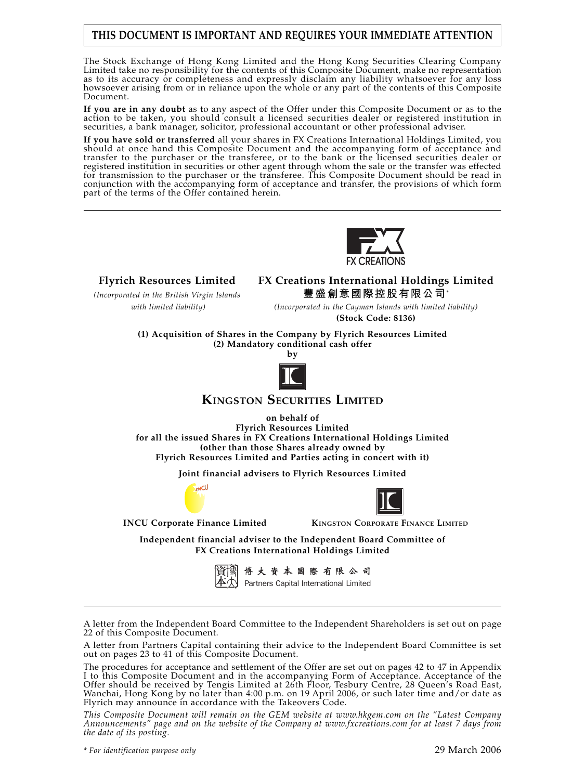# **THIS DOCUMENT IS IMPORTANT AND REQUIRES YOUR IMMEDIATE ATTENTION**

The Stock Exchange of Hong Kong Limited and the Hong Kong Securities Clearing Company Limited take no responsibility for the contents of this Composite Document, make no representation as to its accuracy or completeness and expressly disclaim any liability whatsoever for any loss howsoever arising from or in reliance upon the whole or any part of the contents of this Composite Document.

**If you are in any doubt** as to any aspect of the Offer under this Composite Document or as to the action to be taken, you should consult a licensed securities dealer or registered institution in securities, a bank manager, solicitor, professional accountant or other professional adviser.

**If you have sold or transferred** all your shares in FX Creations International Holdings Limited, you should at once hand this Composite Document and the accompanying form of acceptance and transfer to the purchaser or the transferee, or to the bank or the licensed securities dealer or registered institution in securities or other agent through whom the sale or the transfer was effected for transmission to the purchaser or the transferee. This Composite Document should be read in conjunction with the accompanying form of acceptance and transfer, the provisions of which form part of the terms of the Offer contained herein.



**Flyrich Resources Limited FX Creations International Holdings Limited** *(Incorporated in the British Virgin Islands* **豐盛創意國際控股有限公司**\*

 *with limited liability) (Incorporated in the Cayman Islands with limited liability)* **(Stock Code: 8136)**

**(1) Acquisition of Shares in the Company by Flyrich Resources Limited (2) Mandatory conditional cash offer**



**KINGSTON SECURITIES LIMITED**

**on behalf of**

**Flyrich Resources Limited for all the issued Shares in FX Creations International Holdings Limited (other than those Shares already owned by Flyrich Resources Limited and Parties acting in concert with it)**

**Joint financial advisers to Flyrich Resources Limited**





**INCU Corporate Finance Limited KINGSTON CORPORATE FINANCE LIMITED**

**Independent financial adviser to the Independent Board Committee of FX Creations International Holdings Limited**



博大資本國際有限公司 Partners Capital International Limited

A letter from the Independent Board Committee to the Independent Shareholders is set out on page 22 of this Composite Document.

A letter from Partners Capital containing their advice to the Independent Board Committee is set out on pages 23 to 41 of this Composite Document.

The procedures for acceptance and settlement of the Offer are set out on pages 42 to 47 in Appendix I to this Composite Document and in the accompanying Form of Acceptance. Acceptance of the Offer should be received by Tengis Limited at 26th Floor, Tesbury Centre, 28 Queen's Road East, Wanchai, Hong Kong by no later than 4:00 p.m. on 19 April 2006, or such later time and/or date as Flyrich may announce in accordance with the Takeovers Code.

*This Composite Document will remain on the GEM website at www.hkgem.com on the "Latest Company Announcements" page and on the website of the Company at www.fxcreations.com for at least 7 days from the date of its posting.*

*\* For identification purpose only* 29 March 2006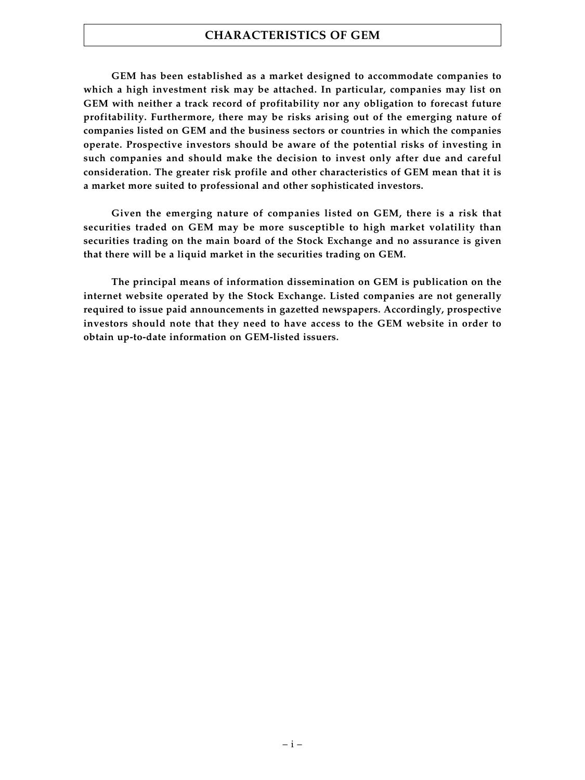### **CHARACTERISTICS OF GEM**

**GEM has been established as a market designed to accommodate companies to which a high investment risk may be attached. In particular, companies may list on GEM with neither a track record of profitability nor any obligation to forecast future profitability. Furthermore, there may be risks arising out of the emerging nature of companies listed on GEM and the business sectors or countries in which the companies operate. Prospective investors should be aware of the potential risks of investing in such companies and should make the decision to invest only after due and careful consideration. The greater risk profile and other characteristics of GEM mean that it is a market more suited to professional and other sophisticated investors.**

**Given the emerging nature of companies listed on GEM, there is a risk that securities traded on GEM may be more susceptible to high market volatility than securities trading on the main board of the Stock Exchange and no assurance is given that there will be a liquid market in the securities trading on GEM.**

**The principal means of information dissemination on GEM is publication on the internet website operated by the Stock Exchange. Listed companies are not generally required to issue paid announcements in gazetted newspapers. Accordingly, prospective investors should note that they need to have access to the GEM website in order to obtain up-to-date information on GEM-listed issuers.**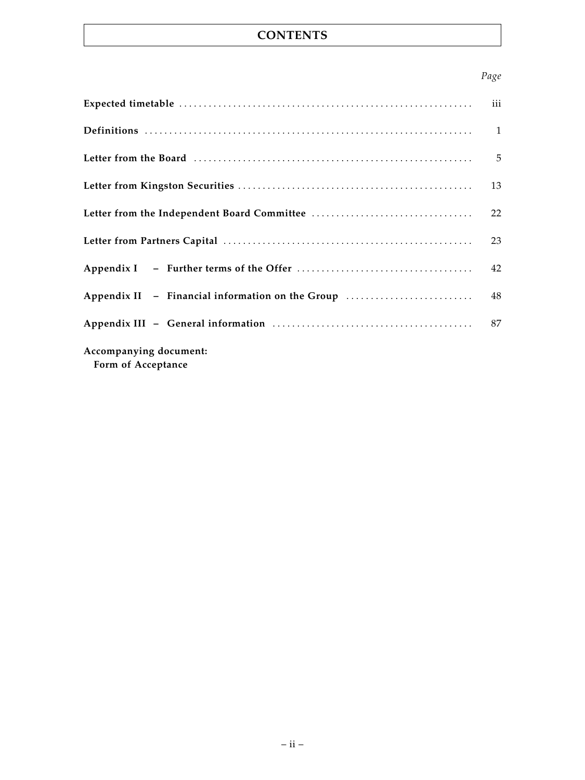# **CONTENTS**

### *Page*

|                                                  | iii |
|--------------------------------------------------|-----|
|                                                  |     |
|                                                  |     |
|                                                  | 13  |
|                                                  | 22  |
|                                                  | 23  |
|                                                  | 42  |
| Appendix II - Financial information on the Group | 48  |
|                                                  | 87  |
| Accompanying document:<br>Form of Acceptance     |     |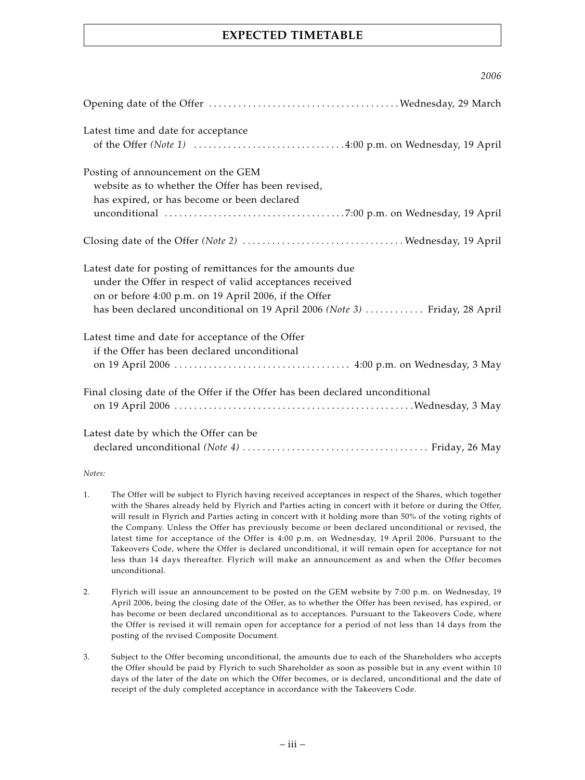# **EXPECTED TIMETABLE**

*2006*

| ZUUU                                                                                                                                                                                                                                                           |
|----------------------------------------------------------------------------------------------------------------------------------------------------------------------------------------------------------------------------------------------------------------|
|                                                                                                                                                                                                                                                                |
| Latest time and date for acceptance                                                                                                                                                                                                                            |
| Posting of announcement on the GEM<br>website as to whether the Offer has been revised,<br>has expired, or has become or been declared                                                                                                                         |
|                                                                                                                                                                                                                                                                |
| Latest date for posting of remittances for the amounts due<br>under the Offer in respect of valid acceptances received<br>on or before 4:00 p.m. on 19 April 2006, if the Offer<br>has been declared unconditional on 19 April 2006 (Note 3)  Friday, 28 April |
| Latest time and date for acceptance of the Offer<br>if the Offer has been declared unconditional                                                                                                                                                               |
| Final closing date of the Offer if the Offer has been declared unconditional                                                                                                                                                                                   |
| Latest date by which the Offer can be                                                                                                                                                                                                                          |

#### *Notes:*

- 1. The Offer will be subject to Flyrich having received acceptances in respect of the Shares, which together with the Shares already held by Flyrich and Parties acting in concert with it before or during the Offer, will result in Flyrich and Parties acting in concert with it holding more than 50% of the voting rights of the Company. Unless the Offer has previously become or been declared unconditional or revised, the latest time for acceptance of the Offer is 4:00 p.m. on Wednesday, 19 April 2006. Pursuant to the Takeovers Code, where the Offer is declared unconditional, it will remain open for acceptance for not less than 14 days thereafter. Flyrich will make an announcement as and when the Offer becomes unconditional.
- 2. Flyrich will issue an announcement to be posted on the GEM website by 7:00 p.m. on Wednesday, 19 April 2006, being the closing date of the Offer, as to whether the Offer has been revised, has expired, or has become or been declared unconditional as to acceptances. Pursuant to the Takeovers Code, where the Offer is revised it will remain open for acceptance for a period of not less than 14 days from the posting of the revised Composite Document.
- 3. Subject to the Offer becoming unconditional, the amounts due to each of the Shareholders who accepts the Offer should be paid by Flyrich to such Shareholder as soon as possible but in any event within 10 days of the later of the date on which the Offer becomes, or is declared, unconditional and the date of receipt of the duly completed acceptance in accordance with the Takeovers Code.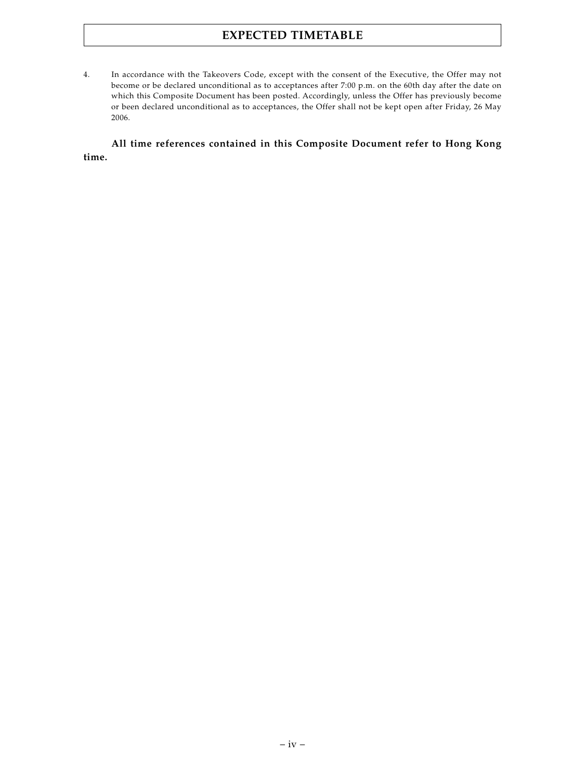# **EXPECTED TIMETABLE**

4. In accordance with the Takeovers Code, except with the consent of the Executive, the Offer may not become or be declared unconditional as to acceptances after 7:00 p.m. on the 60th day after the date on which this Composite Document has been posted. Accordingly, unless the Offer has previously become or been declared unconditional as to acceptances, the Offer shall not be kept open after Friday, 26 May 2006.

### **All time references contained in this Composite Document refer to Hong Kong time.**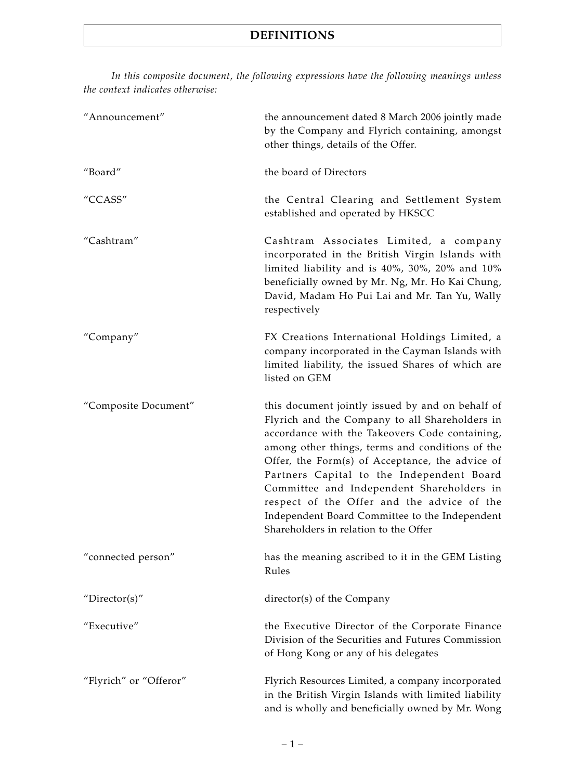*In this composite document, the following expressions have the following meanings unless the context indicates otherwise:*

| "Announcement"         | the announcement dated 8 March 2006 jointly made<br>by the Company and Flyrich containing, amongst<br>other things, details of the Offer.                                                                                                                                                                                                                                                                                                                                                     |
|------------------------|-----------------------------------------------------------------------------------------------------------------------------------------------------------------------------------------------------------------------------------------------------------------------------------------------------------------------------------------------------------------------------------------------------------------------------------------------------------------------------------------------|
| "Board"                | the board of Directors                                                                                                                                                                                                                                                                                                                                                                                                                                                                        |
| "CCASS"                | the Central Clearing and Settlement System<br>established and operated by HKSCC                                                                                                                                                                                                                                                                                                                                                                                                               |
| "Cashtram"             | Cashtram Associates Limited, a company<br>incorporated in the British Virgin Islands with<br>limited liability and is 40%, 30%, 20% and 10%<br>beneficially owned by Mr. Ng, Mr. Ho Kai Chung,<br>David, Madam Ho Pui Lai and Mr. Tan Yu, Wally<br>respectively                                                                                                                                                                                                                               |
| "Company"              | FX Creations International Holdings Limited, a<br>company incorporated in the Cayman Islands with<br>limited liability, the issued Shares of which are<br>listed on GEM                                                                                                                                                                                                                                                                                                                       |
| "Composite Document"   | this document jointly issued by and on behalf of<br>Flyrich and the Company to all Shareholders in<br>accordance with the Takeovers Code containing,<br>among other things, terms and conditions of the<br>Offer, the Form(s) of Acceptance, the advice of<br>Partners Capital to the Independent Board<br>Committee and Independent Shareholders in<br>respect of the Offer and the advice of the<br>Independent Board Committee to the Independent<br>Shareholders in relation to the Offer |
| "connected person"     | has the meaning ascribed to it in the GEM Listing<br>Rules                                                                                                                                                                                                                                                                                                                                                                                                                                    |
| "Director(s)"          | director(s) of the Company                                                                                                                                                                                                                                                                                                                                                                                                                                                                    |
| "Executive"            | the Executive Director of the Corporate Finance<br>Division of the Securities and Futures Commission<br>of Hong Kong or any of his delegates                                                                                                                                                                                                                                                                                                                                                  |
| "Flyrich" or "Offeror" | Flyrich Resources Limited, a company incorporated<br>in the British Virgin Islands with limited liability<br>and is wholly and beneficially owned by Mr. Wong                                                                                                                                                                                                                                                                                                                                 |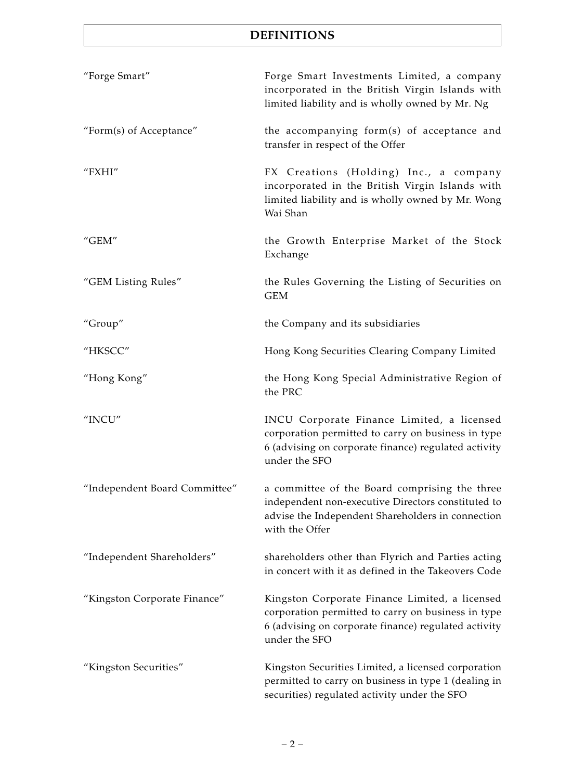# **DEFINITIONS**

| "Forge Smart"                 | Forge Smart Investments Limited, a company<br>incorporated in the British Virgin Islands with<br>limited liability and is wholly owned by Mr. Ng                              |
|-------------------------------|-------------------------------------------------------------------------------------------------------------------------------------------------------------------------------|
| "Form(s) of Acceptance"       | the accompanying form(s) of acceptance and<br>transfer in respect of the Offer                                                                                                |
| "FXHI"                        | FX Creations (Holding) Inc., a company<br>incorporated in the British Virgin Islands with<br>limited liability and is wholly owned by Mr. Wong<br>Wai Shan                    |
| "GEM"                         | the Growth Enterprise Market of the Stock<br>Exchange                                                                                                                         |
| "GEM Listing Rules"           | the Rules Governing the Listing of Securities on<br><b>GEM</b>                                                                                                                |
| "Group"                       | the Company and its subsidiaries                                                                                                                                              |
| "HKSCC"                       | Hong Kong Securities Clearing Company Limited                                                                                                                                 |
| "Hong Kong"                   | the Hong Kong Special Administrative Region of<br>the PRC                                                                                                                     |
| "INCU"                        | INCU Corporate Finance Limited, a licensed<br>corporation permitted to carry on business in type<br>6 (advising on corporate finance) regulated activity<br>under the SFO     |
| "Independent Board Committee" | a committee of the Board comprising the three<br>independent non-executive Directors constituted to<br>advise the Independent Shareholders in connection<br>with the Offer    |
| "Independent Shareholders"    | shareholders other than Flyrich and Parties acting<br>in concert with it as defined in the Takeovers Code                                                                     |
| "Kingston Corporate Finance"  | Kingston Corporate Finance Limited, a licensed<br>corporation permitted to carry on business in type<br>6 (advising on corporate finance) regulated activity<br>under the SFO |
| "Kingston Securities"         | Kingston Securities Limited, a licensed corporation<br>permitted to carry on business in type 1 (dealing in<br>securities) regulated activity under the SFO                   |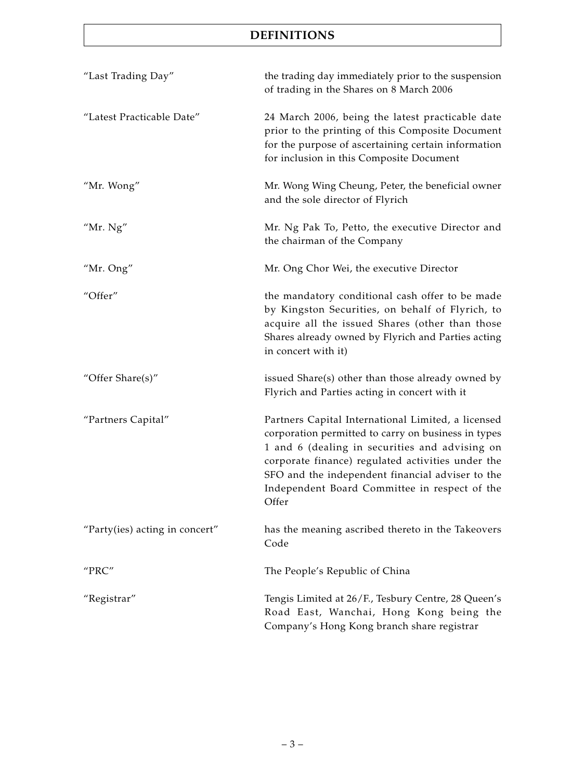# **DEFINITIONS**

| "Last Trading Day"             | the trading day immediately prior to the suspension<br>of trading in the Shares on 8 March 2006                                                                                                                                                                                                                                |
|--------------------------------|--------------------------------------------------------------------------------------------------------------------------------------------------------------------------------------------------------------------------------------------------------------------------------------------------------------------------------|
| "Latest Practicable Date"      | 24 March 2006, being the latest practicable date<br>prior to the printing of this Composite Document<br>for the purpose of ascertaining certain information<br>for inclusion in this Composite Document                                                                                                                        |
| "Mr. Wong"                     | Mr. Wong Wing Cheung, Peter, the beneficial owner<br>and the sole director of Flyrich                                                                                                                                                                                                                                          |
| "Mr. $Ng"$                     | Mr. Ng Pak To, Petto, the executive Director and<br>the chairman of the Company                                                                                                                                                                                                                                                |
| "Mr. Ong"                      | Mr. Ong Chor Wei, the executive Director                                                                                                                                                                                                                                                                                       |
| "Offer"                        | the mandatory conditional cash offer to be made<br>by Kingston Securities, on behalf of Flyrich, to<br>acquire all the issued Shares (other than those<br>Shares already owned by Flyrich and Parties acting<br>in concert with it)                                                                                            |
| "Offer Share(s)"               | issued Share(s) other than those already owned by<br>Flyrich and Parties acting in concert with it                                                                                                                                                                                                                             |
| "Partners Capital"             | Partners Capital International Limited, a licensed<br>corporation permitted to carry on business in types<br>1 and 6 (dealing in securities and advising on<br>corporate finance) regulated activities under the<br>SFO and the independent financial adviser to the<br>Independent Board Committee in respect of the<br>Offer |
| "Party(ies) acting in concert" | has the meaning ascribed thereto in the Takeovers<br>Code                                                                                                                                                                                                                                                                      |
| "PRC"                          | The People's Republic of China                                                                                                                                                                                                                                                                                                 |
| "Registrar"                    | Tengis Limited at 26/F., Tesbury Centre, 28 Queen's<br>Road East, Wanchai, Hong Kong being the<br>Company's Hong Kong branch share registrar                                                                                                                                                                                   |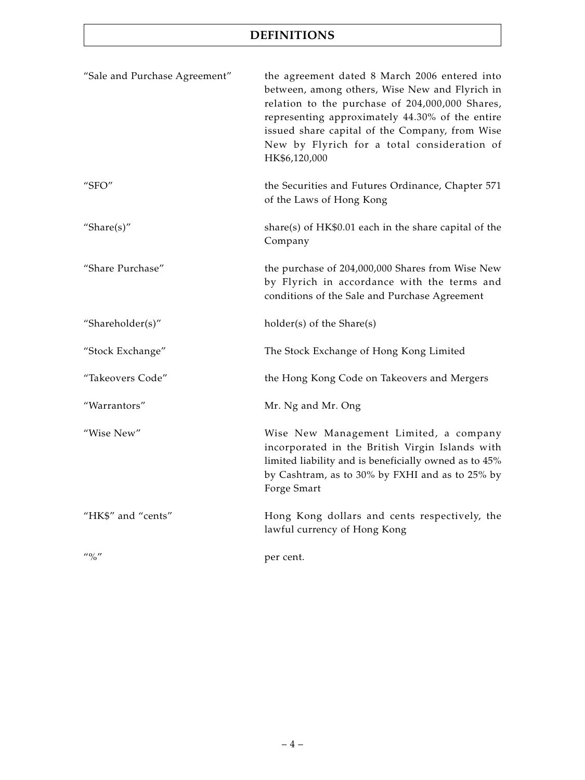# **DEFINITIONS**

| "Sale and Purchase Agreement"         | the agreement dated 8 March 2006 entered into<br>between, among others, Wise New and Flyrich in<br>relation to the purchase of 204,000,000 Shares,<br>representing approximately 44.30% of the entire<br>issued share capital of the Company, from Wise<br>New by Flyrich for a total consideration of<br>HK\$6,120,000 |
|---------------------------------------|-------------------------------------------------------------------------------------------------------------------------------------------------------------------------------------------------------------------------------------------------------------------------------------------------------------------------|
| "SFO"                                 | the Securities and Futures Ordinance, Chapter 571<br>of the Laws of Hong Kong                                                                                                                                                                                                                                           |
| "Share $(s)$ "                        | share(s) of $HK$0.01$ each in the share capital of the<br>Company                                                                                                                                                                                                                                                       |
| "Share Purchase"                      | the purchase of 204,000,000 Shares from Wise New<br>by Flyrich in accordance with the terms and<br>conditions of the Sale and Purchase Agreement                                                                                                                                                                        |
| "Shareholder(s)"                      | holder(s) of the Share(s)                                                                                                                                                                                                                                                                                               |
| "Stock Exchange"                      | The Stock Exchange of Hong Kong Limited                                                                                                                                                                                                                                                                                 |
| "Takeovers Code"                      | the Hong Kong Code on Takeovers and Mergers                                                                                                                                                                                                                                                                             |
| "Warrantors"                          | Mr. Ng and Mr. Ong                                                                                                                                                                                                                                                                                                      |
| "Wise New"                            | Wise New Management Limited, a company<br>incorporated in the British Virgin Islands with<br>limited liability and is beneficially owned as to 45%<br>by Cashtram, as to 30% by FXHI and as to 25% by<br>Forge Smart                                                                                                    |
| "HK\$" and "cents"                    | Hong Kong dollars and cents respectively, the<br>lawful currency of Hong Kong                                                                                                                                                                                                                                           |
| $^{\prime\prime}$ % $^{\prime\prime}$ | per cent.                                                                                                                                                                                                                                                                                                               |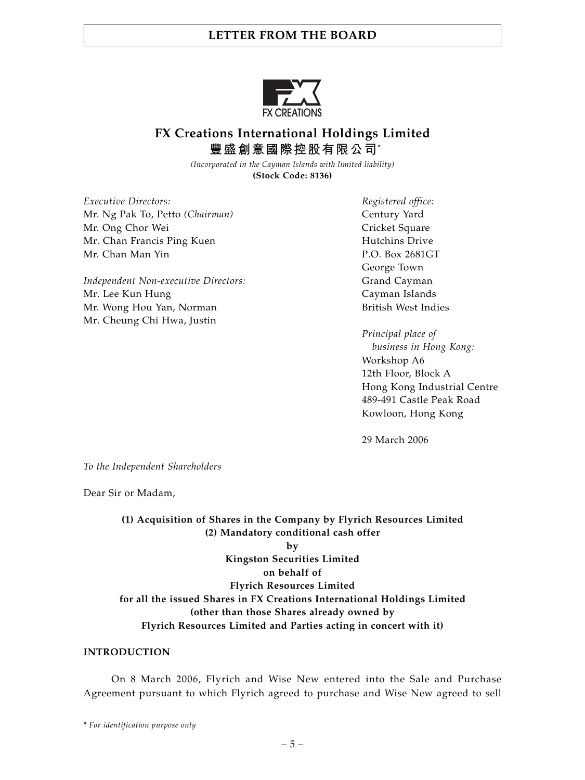

# **FX Creations International Holdings Limited 豐盛創意國際控股有限公司**\*

*(Incorporated in the Cayman Islands with limited liability)* **(Stock Code: 8136)**

*Executive Directors: Registered office:* Mr. Ng Pak To, Petto (Chairman) Century Yard Mr. Ong Chor Wei Cricket Square Mr. Chan Francis Ping Kuen **Hutchins Drive** Hutchins Drive Mr. Chan Man Yin P.O. Box 2681GT

*Independent Non-executive Directors:* Grand Cayman Mr. Lee Kun Hung **Cayman Islands** Mr. Wong Hou Yan, Norman British West Indies Mr. Cheung Chi Hwa, Justin

George Town

*Principal place of business in Hong Kong:* Workshop A6 12th Floor, Block A Hong Kong Industrial Centre 489-491 Castle Peak Road Kowloon, Hong Kong

29 March 2006

*To the Independent Shareholders*

Dear Sir or Madam,

### **(1) Acquisition of Shares in the Company by Flyrich Resources Limited (2) Mandatory conditional cash offer by Kingston Securities Limited on behalf of Flyrich Resources Limited for all the issued Shares in FX Creations International Holdings Limited (other than those Shares already owned by Flyrich Resources Limited and Parties acting in concert with it)**

### **INTRODUCTION**

On 8 March 2006, Flyrich and Wise New entered into the Sale and Purchase Agreement pursuant to which Flyrich agreed to purchase and Wise New agreed to sell

*\* For identification purpose only*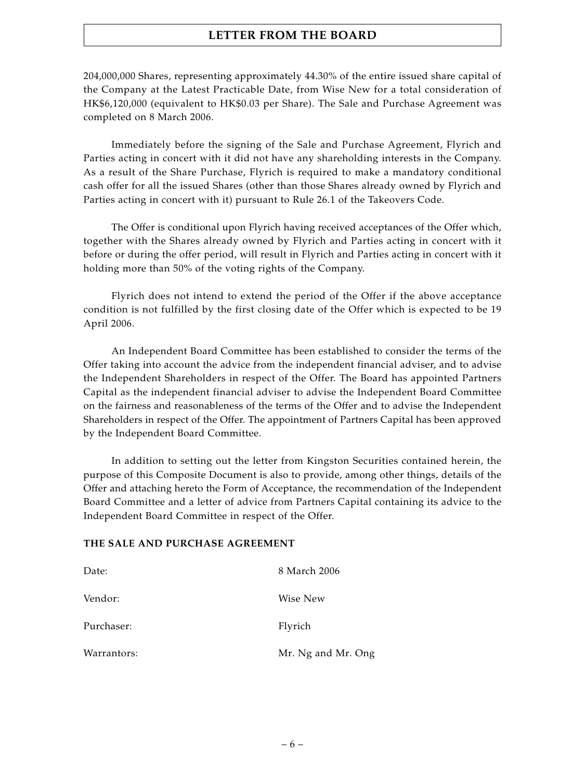204,000,000 Shares, representing approximately 44.30% of the entire issued share capital of the Company at the Latest Practicable Date, from Wise New for a total consideration of HK\$6,120,000 (equivalent to HK\$0.03 per Share). The Sale and Purchase Agreement was completed on 8 March 2006.

Immediately before the signing of the Sale and Purchase Agreement, Flyrich and Parties acting in concert with it did not have any shareholding interests in the Company. As a result of the Share Purchase, Flyrich is required to make a mandatory conditional cash offer for all the issued Shares (other than those Shares already owned by Flyrich and Parties acting in concert with it) pursuant to Rule 26.1 of the Takeovers Code.

The Offer is conditional upon Flyrich having received acceptances of the Offer which, together with the Shares already owned by Flyrich and Parties acting in concert with it before or during the offer period, will result in Flyrich and Parties acting in concert with it holding more than 50% of the voting rights of the Company.

Flyrich does not intend to extend the period of the Offer if the above acceptance condition is not fulfilled by the first closing date of the Offer which is expected to be 19 April 2006.

An Independent Board Committee has been established to consider the terms of the Offer taking into account the advice from the independent financial adviser, and to advise the Independent Shareholders in respect of the Offer. The Board has appointed Partners Capital as the independent financial adviser to advise the Independent Board Committee on the fairness and reasonableness of the terms of the Offer and to advise the Independent Shareholders in respect of the Offer. The appointment of Partners Capital has been approved by the Independent Board Committee.

In addition to setting out the letter from Kingston Securities contained herein, the purpose of this Composite Document is also to provide, among other things, details of the Offer and attaching hereto the Form of Acceptance, the recommendation of the Independent Board Committee and a letter of advice from Partners Capital containing its advice to the Independent Board Committee in respect of the Offer.

### **THE SALE AND PURCHASE AGREEMENT**

| Date:       | 8 March 2006       |
|-------------|--------------------|
| Vendor:     | Wise New           |
| Purchaser:  | Flyrich            |
| Warrantors: | Mr. Ng and Mr. Ong |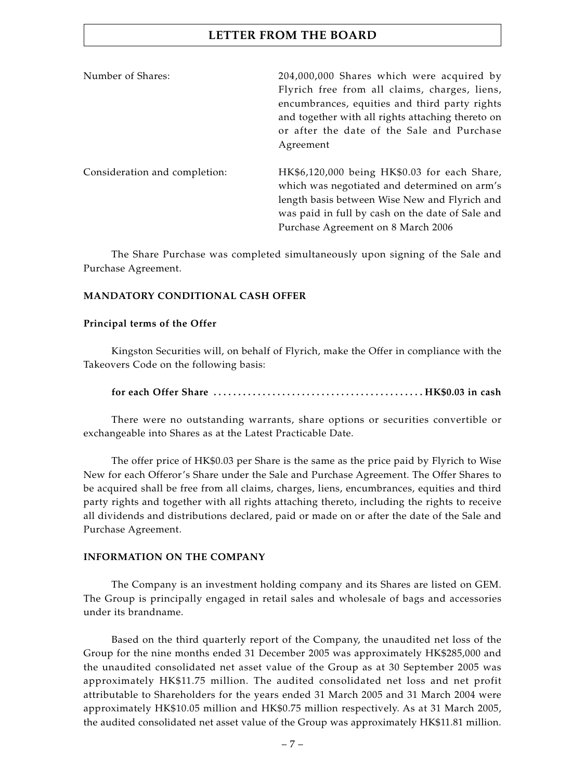| Number of Shares:             | 204,000,000 Shares which were acquired by<br>Flyrich free from all claims, charges, liens,<br>encumbrances, equities and third party rights<br>and together with all rights attaching thereto on<br>or after the date of the Sale and Purchase<br>Agreement |
|-------------------------------|-------------------------------------------------------------------------------------------------------------------------------------------------------------------------------------------------------------------------------------------------------------|
| Consideration and completion: | HK\$6,120,000 being HK\$0.03 for each Share,<br>which was negotiated and determined on arm's<br>length basis between Wise New and Flyrich and<br>was paid in full by cash on the date of Sale and<br>Purchase Agreement on 8 March 2006                     |

The Share Purchase was completed simultaneously upon signing of the Sale and Purchase Agreement.

### **MANDATORY CONDITIONAL CASH OFFER**

### **Principal terms of the Offer**

Kingston Securities will, on behalf of Flyrich, make the Offer in compliance with the Takeovers Code on the following basis:

### **for each Offer Share . . . . . . . . . . . . . . . . . . . . . . . . . . . . . . . . . . . . . . . . . . . HK\$0.03 in cash**

There were no outstanding warrants, share options or securities convertible or exchangeable into Shares as at the Latest Practicable Date.

The offer price of HK\$0.03 per Share is the same as the price paid by Flyrich to Wise New for each Offeror's Share under the Sale and Purchase Agreement. The Offer Shares to be acquired shall be free from all claims, charges, liens, encumbrances, equities and third party rights and together with all rights attaching thereto, including the rights to receive all dividends and distributions declared, paid or made on or after the date of the Sale and Purchase Agreement.

### **INFORMATION ON THE COMPANY**

The Company is an investment holding company and its Shares are listed on GEM. The Group is principally engaged in retail sales and wholesale of bags and accessories under its brandname.

Based on the third quarterly report of the Company, the unaudited net loss of the Group for the nine months ended 31 December 2005 was approximately HK\$285,000 and the unaudited consolidated net asset value of the Group as at 30 September 2005 was approximately HK\$11.75 million. The audited consolidated net loss and net profit attributable to Shareholders for the years ended 31 March 2005 and 31 March 2004 were approximately HK\$10.05 million and HK\$0.75 million respectively. As at 31 March 2005, the audited consolidated net asset value of the Group was approximately HK\$11.81 million.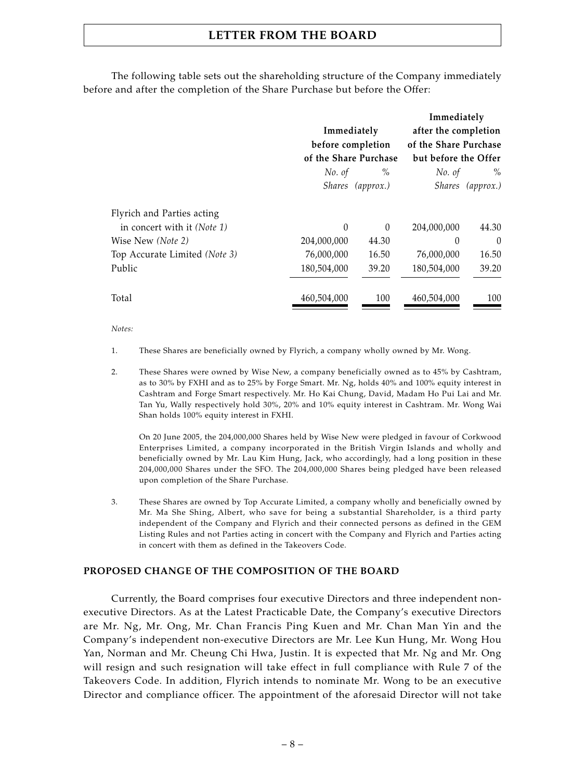The following table sets out the shareholding structure of the Company immediately before and after the completion of the Share Purchase but before the Offer:

|                                      |                   |                       | Immediately          |                  |  |
|--------------------------------------|-------------------|-----------------------|----------------------|------------------|--|
|                                      | Immediately       |                       | after the completion |                  |  |
|                                      | before completion | of the Share Purchase |                      |                  |  |
|                                      |                   | of the Share Purchase | but before the Offer |                  |  |
|                                      | No. of            | $\%$                  | No. of               | $\%$             |  |
|                                      |                   | Shares (approx.)      |                      | Shares (approx.) |  |
| Flyrich and Parties acting           |                   |                       |                      |                  |  |
| in concert with it ( <i>Note 1</i> ) | $\theta$          | $\Omega$              | 204,000,000          | 44.30            |  |
| Wise New (Note 2)                    | 204,000,000       | 44.30                 | 0                    | $\theta$         |  |
| Top Accurate Limited (Note 3)        | 76,000,000        | 16.50                 | 76,000,000           | 16.50            |  |
| Public                               | 180,504,000       | 39.20                 | 180,504,000          | 39.20            |  |
| Total                                | 460,504,000       | 100                   | 460,504,000          | 100              |  |

*Notes:*

- 1. These Shares are beneficially owned by Flyrich, a company wholly owned by Mr. Wong.
- 2. These Shares were owned by Wise New, a company beneficially owned as to 45% by Cashtram, as to 30% by FXHI and as to 25% by Forge Smart. Mr. Ng, holds 40% and 100% equity interest in Cashtram and Forge Smart respectively. Mr. Ho Kai Chung, David, Madam Ho Pui Lai and Mr. Tan Yu, Wally respectively hold 30%, 20% and 10% equity interest in Cashtram. Mr. Wong Wai Shan holds 100% equity interest in FXHI.

On 20 June 2005, the 204,000,000 Shares held by Wise New were pledged in favour of Corkwood Enterprises Limited, a company incorporated in the British Virgin Islands and wholly and beneficially owned by Mr. Lau Kim Hung, Jack, who accordingly, had a long position in these 204,000,000 Shares under the SFO. The 204,000,000 Shares being pledged have been released upon completion of the Share Purchase.

3. These Shares are owned by Top Accurate Limited, a company wholly and beneficially owned by Mr. Ma She Shing, Albert, who save for being a substantial Shareholder, is a third party independent of the Company and Flyrich and their connected persons as defined in the GEM Listing Rules and not Parties acting in concert with the Company and Flyrich and Parties acting in concert with them as defined in the Takeovers Code.

#### **PROPOSED CHANGE OF THE COMPOSITION OF THE BOARD**

Currently, the Board comprises four executive Directors and three independent nonexecutive Directors. As at the Latest Practicable Date, the Company's executive Directors are Mr. Ng, Mr. Ong, Mr. Chan Francis Ping Kuen and Mr. Chan Man Yin and the Company's independent non-executive Directors are Mr. Lee Kun Hung, Mr. Wong Hou Yan, Norman and Mr. Cheung Chi Hwa, Justin. It is expected that Mr. Ng and Mr. Ong will resign and such resignation will take effect in full compliance with Rule 7 of the Takeovers Code. In addition, Flyrich intends to nominate Mr. Wong to be an executive Director and compliance officer. The appointment of the aforesaid Director will not take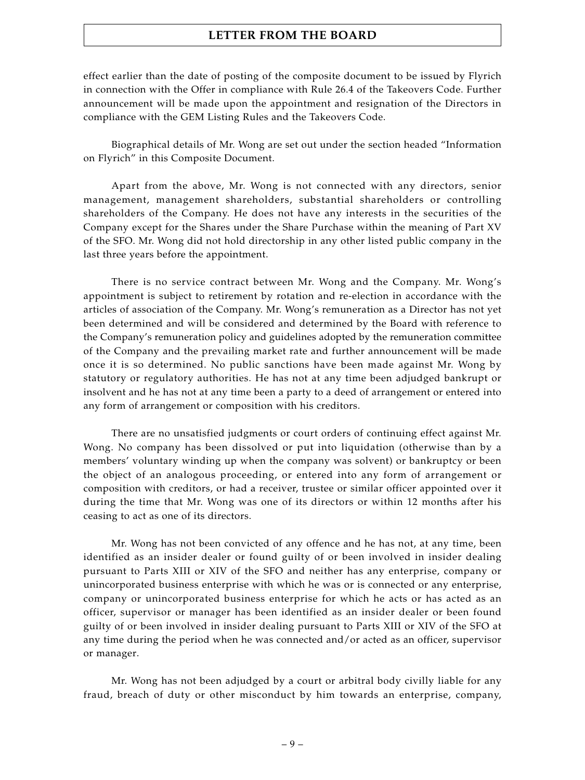effect earlier than the date of posting of the composite document to be issued by Flyrich in connection with the Offer in compliance with Rule 26.4 of the Takeovers Code. Further announcement will be made upon the appointment and resignation of the Directors in compliance with the GEM Listing Rules and the Takeovers Code.

Biographical details of Mr. Wong are set out under the section headed "Information on Flyrich" in this Composite Document.

Apart from the above, Mr. Wong is not connected with any directors, senior management, management shareholders, substantial shareholders or controlling shareholders of the Company. He does not have any interests in the securities of the Company except for the Shares under the Share Purchase within the meaning of Part XV of the SFO. Mr. Wong did not hold directorship in any other listed public company in the last three years before the appointment.

There is no service contract between Mr. Wong and the Company. Mr. Wong's appointment is subject to retirement by rotation and re-election in accordance with the articles of association of the Company. Mr. Wong's remuneration as a Director has not yet been determined and will be considered and determined by the Board with reference to the Company's remuneration policy and guidelines adopted by the remuneration committee of the Company and the prevailing market rate and further announcement will be made once it is so determined. No public sanctions have been made against Mr. Wong by statutory or regulatory authorities. He has not at any time been adjudged bankrupt or insolvent and he has not at any time been a party to a deed of arrangement or entered into any form of arrangement or composition with his creditors.

There are no unsatisfied judgments or court orders of continuing effect against Mr. Wong. No company has been dissolved or put into liquidation (otherwise than by a members' voluntary winding up when the company was solvent) or bankruptcy or been the object of an analogous proceeding, or entered into any form of arrangement or composition with creditors, or had a receiver, trustee or similar officer appointed over it during the time that Mr. Wong was one of its directors or within 12 months after his ceasing to act as one of its directors.

Mr. Wong has not been convicted of any offence and he has not, at any time, been identified as an insider dealer or found guilty of or been involved in insider dealing pursuant to Parts XIII or XIV of the SFO and neither has any enterprise, company or unincorporated business enterprise with which he was or is connected or any enterprise, company or unincorporated business enterprise for which he acts or has acted as an officer, supervisor or manager has been identified as an insider dealer or been found guilty of or been involved in insider dealing pursuant to Parts XIII or XIV of the SFO at any time during the period when he was connected and/or acted as an officer, supervisor or manager.

Mr. Wong has not been adjudged by a court or arbitral body civilly liable for any fraud, breach of duty or other misconduct by him towards an enterprise, company,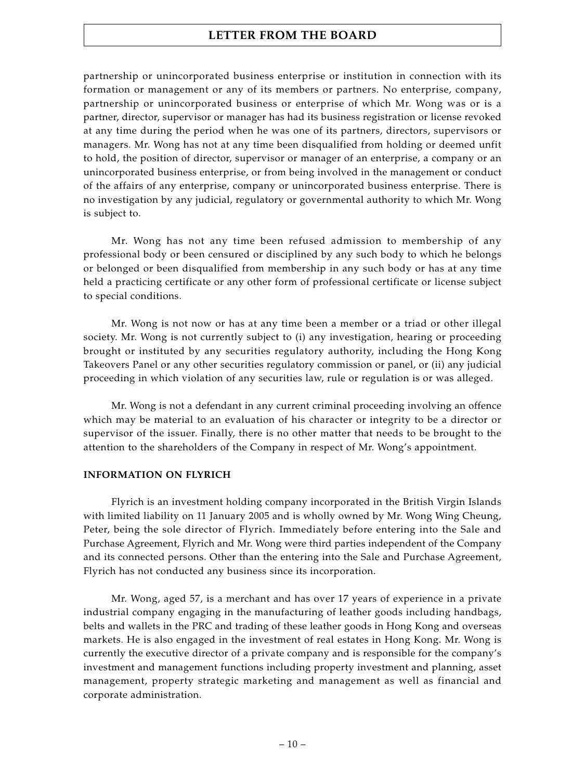partnership or unincorporated business enterprise or institution in connection with its formation or management or any of its members or partners. No enterprise, company, partnership or unincorporated business or enterprise of which Mr. Wong was or is a partner, director, supervisor or manager has had its business registration or license revoked at any time during the period when he was one of its partners, directors, supervisors or managers. Mr. Wong has not at any time been disqualified from holding or deemed unfit to hold, the position of director, supervisor or manager of an enterprise, a company or an unincorporated business enterprise, or from being involved in the management or conduct of the affairs of any enterprise, company or unincorporated business enterprise. There is no investigation by any judicial, regulatory or governmental authority to which Mr. Wong is subject to.

Mr. Wong has not any time been refused admission to membership of any professional body or been censured or disciplined by any such body to which he belongs or belonged or been disqualified from membership in any such body or has at any time held a practicing certificate or any other form of professional certificate or license subject to special conditions.

Mr. Wong is not now or has at any time been a member or a triad or other illegal society. Mr. Wong is not currently subject to (i) any investigation, hearing or proceeding brought or instituted by any securities regulatory authority, including the Hong Kong Takeovers Panel or any other securities regulatory commission or panel, or (ii) any judicial proceeding in which violation of any securities law, rule or regulation is or was alleged.

Mr. Wong is not a defendant in any current criminal proceeding involving an offence which may be material to an evaluation of his character or integrity to be a director or supervisor of the issuer. Finally, there is no other matter that needs to be brought to the attention to the shareholders of the Company in respect of Mr. Wong's appointment.

### **INFORMATION ON FLYRICH**

Flyrich is an investment holding company incorporated in the British Virgin Islands with limited liability on 11 January 2005 and is wholly owned by Mr. Wong Wing Cheung, Peter, being the sole director of Flyrich. Immediately before entering into the Sale and Purchase Agreement, Flyrich and Mr. Wong were third parties independent of the Company and its connected persons. Other than the entering into the Sale and Purchase Agreement, Flyrich has not conducted any business since its incorporation.

Mr. Wong, aged 57, is a merchant and has over 17 years of experience in a private industrial company engaging in the manufacturing of leather goods including handbags, belts and wallets in the PRC and trading of these leather goods in Hong Kong and overseas markets. He is also engaged in the investment of real estates in Hong Kong. Mr. Wong is currently the executive director of a private company and is responsible for the company's investment and management functions including property investment and planning, asset management, property strategic marketing and management as well as financial and corporate administration.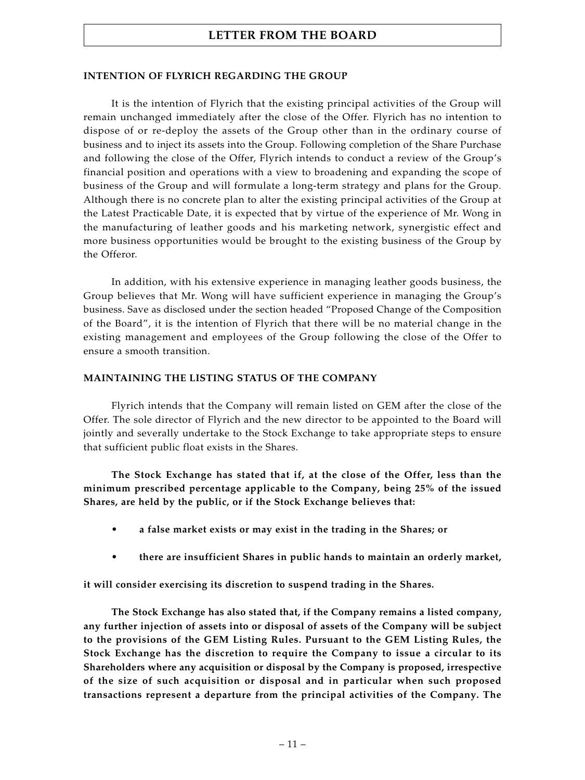### **INTENTION OF FLYRICH REGARDING THE GROUP**

It is the intention of Flyrich that the existing principal activities of the Group will remain unchanged immediately after the close of the Offer. Flyrich has no intention to dispose of or re-deploy the assets of the Group other than in the ordinary course of business and to inject its assets into the Group. Following completion of the Share Purchase and following the close of the Offer, Flyrich intends to conduct a review of the Group's financial position and operations with a view to broadening and expanding the scope of business of the Group and will formulate a long-term strategy and plans for the Group. Although there is no concrete plan to alter the existing principal activities of the Group at the Latest Practicable Date, it is expected that by virtue of the experience of Mr. Wong in the manufacturing of leather goods and his marketing network, synergistic effect and more business opportunities would be brought to the existing business of the Group by the Offeror.

In addition, with his extensive experience in managing leather goods business, the Group believes that Mr. Wong will have sufficient experience in managing the Group's business. Save as disclosed under the section headed "Proposed Change of the Composition of the Board", it is the intention of Flyrich that there will be no material change in the existing management and employees of the Group following the close of the Offer to ensure a smooth transition.

### **MAINTAINING THE LISTING STATUS OF THE COMPANY**

Flyrich intends that the Company will remain listed on GEM after the close of the Offer. The sole director of Flyrich and the new director to be appointed to the Board will jointly and severally undertake to the Stock Exchange to take appropriate steps to ensure that sufficient public float exists in the Shares.

**The Stock Exchange has stated that if, at the close of the Offer, less than the minimum prescribed percentage applicable to the Company, being 25% of the issued Shares, are held by the public, or if the Stock Exchange believes that:**

- **• a false market exists or may exist in the trading in the Shares; or**
- **• there are insufficient Shares in public hands to maintain an orderly market,**

**it will consider exercising its discretion to suspend trading in the Shares.**

**The Stock Exchange has also stated that, if the Company remains a listed company, any further injection of assets into or disposal of assets of the Company will be subject to the provisions of the GEM Listing Rules. Pursuant to the GEM Listing Rules, the Stock Exchange has the discretion to require the Company to issue a circular to its Shareholders where any acquisition or disposal by the Company is proposed, irrespective of the size of such acquisition or disposal and in particular when such proposed transactions represent a departure from the principal activities of the Company. The**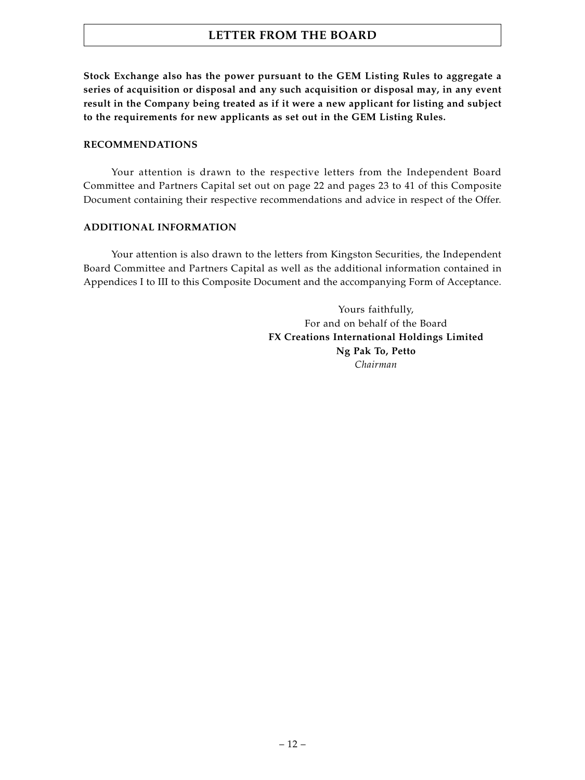**Stock Exchange also has the power pursuant to the GEM Listing Rules to aggregate a series of acquisition or disposal and any such acquisition or disposal may, in any event result in the Company being treated as if it were a new applicant for listing and subject to the requirements for new applicants as set out in the GEM Listing Rules.**

### **RECOMMENDATIONS**

Your attention is drawn to the respective letters from the Independent Board Committee and Partners Capital set out on page 22 and pages 23 to 41 of this Composite Document containing their respective recommendations and advice in respect of the Offer.

### **ADDITIONAL INFORMATION**

Your attention is also drawn to the letters from Kingston Securities, the Independent Board Committee and Partners Capital as well as the additional information contained in Appendices I to III to this Composite Document and the accompanying Form of Acceptance.

> Yours faithfully, For and on behalf of the Board **FX Creations International Holdings Limited Ng Pak To, Petto** *Chairman*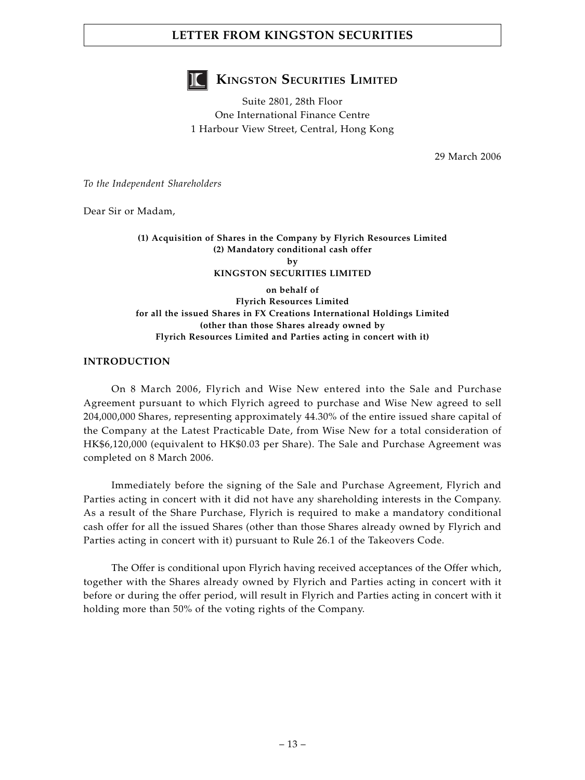

# **KINGSTON SECURITIES LIMITED**

Suite 2801, 28th Floor One International Finance Centre 1 Harbour View Street, Central, Hong Kong

29 March 2006

*To the Independent Shareholders*

Dear Sir or Madam,

### **(1) Acquisition of Shares in the Company by Flyrich Resources Limited (2) Mandatory conditional cash offer by KINGSTON SECURITIES LIMITED**

### **on behalf of Flyrich Resources Limited for all the issued Shares in FX Creations International Holdings Limited (other than those Shares already owned by Flyrich Resources Limited and Parties acting in concert with it)**

### **INTRODUCTION**

On 8 March 2006, Flyrich and Wise New entered into the Sale and Purchase Agreement pursuant to which Flyrich agreed to purchase and Wise New agreed to sell 204,000,000 Shares, representing approximately 44.30% of the entire issued share capital of the Company at the Latest Practicable Date, from Wise New for a total consideration of HK\$6,120,000 (equivalent to HK\$0.03 per Share). The Sale and Purchase Agreement was completed on 8 March 2006.

Immediately before the signing of the Sale and Purchase Agreement, Flyrich and Parties acting in concert with it did not have any shareholding interests in the Company. As a result of the Share Purchase, Flyrich is required to make a mandatory conditional cash offer for all the issued Shares (other than those Shares already owned by Flyrich and Parties acting in concert with it) pursuant to Rule 26.1 of the Takeovers Code.

The Offer is conditional upon Flyrich having received acceptances of the Offer which, together with the Shares already owned by Flyrich and Parties acting in concert with it before or during the offer period, will result in Flyrich and Parties acting in concert with it holding more than 50% of the voting rights of the Company.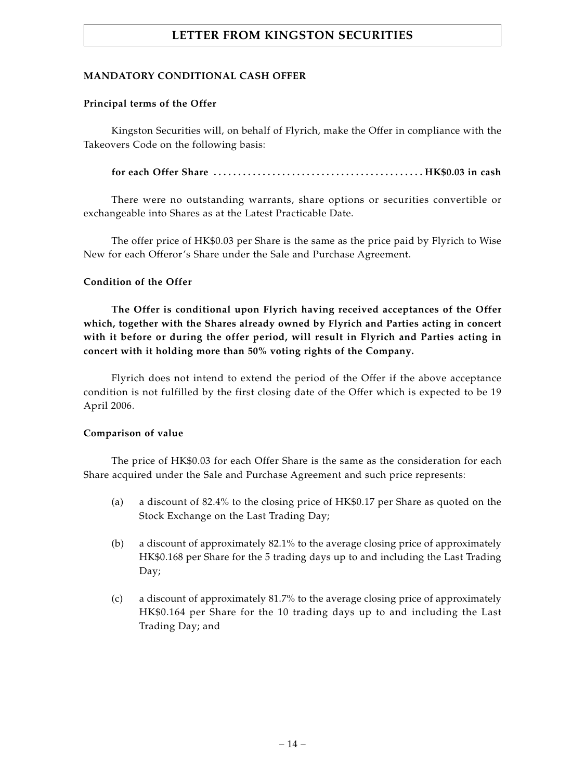### **MANDATORY CONDITIONAL CASH OFFER**

### **Principal terms of the Offer**

Kingston Securities will, on behalf of Flyrich, make the Offer in compliance with the Takeovers Code on the following basis:

**for each Offer Share . . . . . . . . . . . . . . . . . . . . . . . . . . . . . . . . . . . . . . . . . . . HK\$0.03 in cash**

There were no outstanding warrants, share options or securities convertible or exchangeable into Shares as at the Latest Practicable Date.

The offer price of HK\$0.03 per Share is the same as the price paid by Flyrich to Wise New for each Offeror's Share under the Sale and Purchase Agreement.

### **Condition of the Offer**

**The Offer is conditional upon Flyrich having received acceptances of the Offer which, together with the Shares already owned by Flyrich and Parties acting in concert with it before or during the offer period, will result in Flyrich and Parties acting in concert with it holding more than 50% voting rights of the Company.**

Flyrich does not intend to extend the period of the Offer if the above acceptance condition is not fulfilled by the first closing date of the Offer which is expected to be 19 April 2006.

### **Comparison of value**

The price of HK\$0.03 for each Offer Share is the same as the consideration for each Share acquired under the Sale and Purchase Agreement and such price represents:

- (a) a discount of 82.4% to the closing price of HK\$0.17 per Share as quoted on the Stock Exchange on the Last Trading Day;
- (b) a discount of approximately 82.1% to the average closing price of approximately HK\$0.168 per Share for the 5 trading days up to and including the Last Trading Day;
- (c) a discount of approximately 81.7% to the average closing price of approximately HK\$0.164 per Share for the 10 trading days up to and including the Last Trading Day; and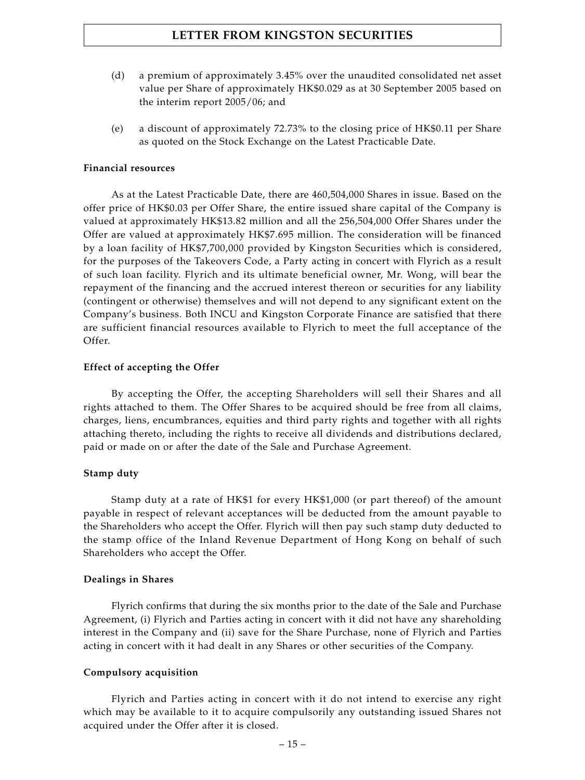- (d) a premium of approximately 3.45% over the unaudited consolidated net asset value per Share of approximately HK\$0.029 as at 30 September 2005 based on the interim report 2005/06; and
- (e) a discount of approximately 72.73% to the closing price of HK\$0.11 per Share as quoted on the Stock Exchange on the Latest Practicable Date.

#### **Financial resources**

As at the Latest Practicable Date, there are 460,504,000 Shares in issue. Based on the offer price of HK\$0.03 per Offer Share, the entire issued share capital of the Company is valued at approximately HK\$13.82 million and all the 256,504,000 Offer Shares under the Offer are valued at approximately HK\$7.695 million. The consideration will be financed by a loan facility of HK\$7,700,000 provided by Kingston Securities which is considered, for the purposes of the Takeovers Code, a Party acting in concert with Flyrich as a result of such loan facility. Flyrich and its ultimate beneficial owner, Mr. Wong, will bear the repayment of the financing and the accrued interest thereon or securities for any liability (contingent or otherwise) themselves and will not depend to any significant extent on the Company's business. Both INCU and Kingston Corporate Finance are satisfied that there are sufficient financial resources available to Flyrich to meet the full acceptance of the Offer.

### **Effect of accepting the Offer**

By accepting the Offer, the accepting Shareholders will sell their Shares and all rights attached to them. The Offer Shares to be acquired should be free from all claims, charges, liens, encumbrances, equities and third party rights and together with all rights attaching thereto, including the rights to receive all dividends and distributions declared, paid or made on or after the date of the Sale and Purchase Agreement.

### **Stamp duty**

Stamp duty at a rate of HK\$1 for every HK\$1,000 (or part thereof) of the amount payable in respect of relevant acceptances will be deducted from the amount payable to the Shareholders who accept the Offer. Flyrich will then pay such stamp duty deducted to the stamp office of the Inland Revenue Department of Hong Kong on behalf of such Shareholders who accept the Offer.

### **Dealings in Shares**

Flyrich confirms that during the six months prior to the date of the Sale and Purchase Agreement, (i) Flyrich and Parties acting in concert with it did not have any shareholding interest in the Company and (ii) save for the Share Purchase, none of Flyrich and Parties acting in concert with it had dealt in any Shares or other securities of the Company.

#### **Compulsory acquisition**

Flyrich and Parties acting in concert with it do not intend to exercise any right which may be available to it to acquire compulsorily any outstanding issued Shares not acquired under the Offer after it is closed.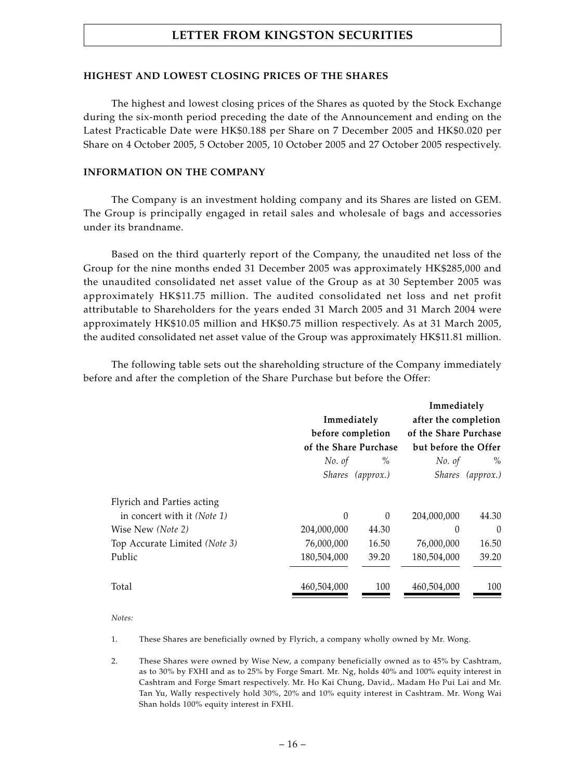### **HIGHEST AND LOWEST CLOSING PRICES OF THE SHARES**

The highest and lowest closing prices of the Shares as quoted by the Stock Exchange during the six-month period preceding the date of the Announcement and ending on the Latest Practicable Date were HK\$0.188 per Share on 7 December 2005 and HK\$0.020 per Share on 4 October 2005, 5 October 2005, 10 October 2005 and 27 October 2005 respectively.

### **INFORMATION ON THE COMPANY**

The Company is an investment holding company and its Shares are listed on GEM. The Group is principally engaged in retail sales and wholesale of bags and accessories under its brandname.

Based on the third quarterly report of the Company, the unaudited net loss of the Group for the nine months ended 31 December 2005 was approximately HK\$285,000 and the unaudited consolidated net asset value of the Group as at 30 September 2005 was approximately HK\$11.75 million. The audited consolidated net loss and net profit attributable to Shareholders for the years ended 31 March 2005 and 31 March 2004 were approximately HK\$10.05 million and HK\$0.75 million respectively. As at 31 March 2005, the audited consolidated net asset value of the Group was approximately HK\$11.81 million.

The following table sets out the shareholding structure of the Company immediately before and after the completion of the Share Purchase but before the Offer:

|                                      |             |                       | Immediately           |                  |  |
|--------------------------------------|-------------|-----------------------|-----------------------|------------------|--|
|                                      | Immediately |                       | after the completion  |                  |  |
|                                      |             | before completion     | of the Share Purchase |                  |  |
|                                      |             | of the Share Purchase | but before the Offer  |                  |  |
|                                      | No. of      | $\%$                  | No. of                | $\%$             |  |
|                                      |             | Shares (approx.)      |                       | Shares (approx.) |  |
| Flyrich and Parties acting           |             |                       |                       |                  |  |
| in concert with it ( <i>Note 1</i> ) | $\Omega$    | $\theta$              | 204,000,000           | 44.30            |  |
| Wise New (Note 2)                    | 204,000,000 | 44.30                 | 0                     | $\theta$         |  |
| Top Accurate Limited (Note 3)        | 76,000,000  | 16.50                 | 76,000,000            | 16.50            |  |
| Public                               | 180,504,000 | 39.20                 | 180,504,000           | 39.20            |  |
| Total                                | 460,504,000 | 100                   | 460,504,000           | 100              |  |

*Notes:*

1. These Shares are beneficially owned by Flyrich, a company wholly owned by Mr. Wong.

2. These Shares were owned by Wise New, a company beneficially owned as to 45% by Cashtram, as to 30% by FXHI and as to 25% by Forge Smart. Mr. Ng, holds 40% and 100% equity interest in Cashtram and Forge Smart respectively. Mr. Ho Kai Chung, David,. Madam Ho Pui Lai and Mr. Tan Yu, Wally respectively hold 30%, 20% and 10% equity interest in Cashtram. Mr. Wong Wai Shan holds 100% equity interest in FXHI.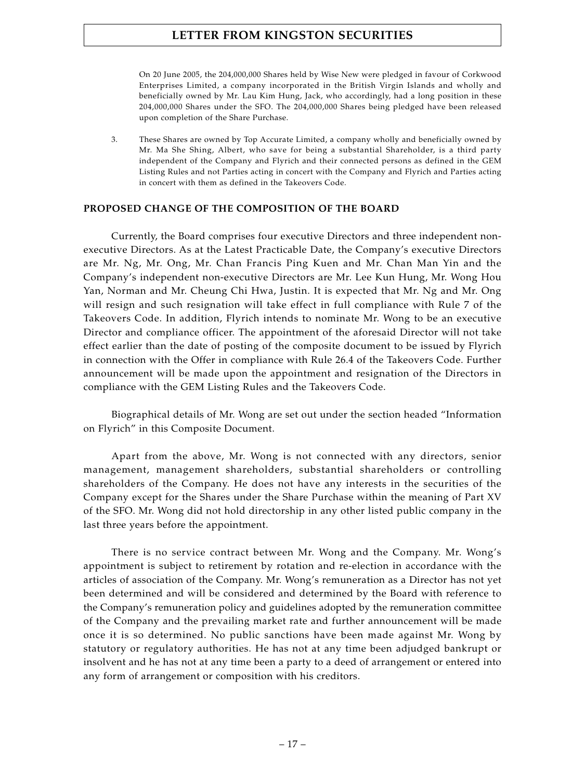On 20 June 2005, the 204,000,000 Shares held by Wise New were pledged in favour of Corkwood Enterprises Limited, a company incorporated in the British Virgin Islands and wholly and beneficially owned by Mr. Lau Kim Hung, Jack, who accordingly, had a long position in these 204,000,000 Shares under the SFO. The 204,000,000 Shares being pledged have been released upon completion of the Share Purchase.

3. These Shares are owned by Top Accurate Limited, a company wholly and beneficially owned by Mr. Ma She Shing, Albert, who save for being a substantial Shareholder, is a third party independent of the Company and Flyrich and their connected persons as defined in the GEM Listing Rules and not Parties acting in concert with the Company and Flyrich and Parties acting in concert with them as defined in the Takeovers Code.

### **PROPOSED CHANGE OF THE COMPOSITION OF THE BOARD**

Currently, the Board comprises four executive Directors and three independent nonexecutive Directors. As at the Latest Practicable Date, the Company's executive Directors are Mr. Ng, Mr. Ong, Mr. Chan Francis Ping Kuen and Mr. Chan Man Yin and the Company's independent non-executive Directors are Mr. Lee Kun Hung, Mr. Wong Hou Yan, Norman and Mr. Cheung Chi Hwa, Justin. It is expected that Mr. Ng and Mr. Ong will resign and such resignation will take effect in full compliance with Rule 7 of the Takeovers Code. In addition, Flyrich intends to nominate Mr. Wong to be an executive Director and compliance officer. The appointment of the aforesaid Director will not take effect earlier than the date of posting of the composite document to be issued by Flyrich in connection with the Offer in compliance with Rule 26.4 of the Takeovers Code. Further announcement will be made upon the appointment and resignation of the Directors in compliance with the GEM Listing Rules and the Takeovers Code.

Biographical details of Mr. Wong are set out under the section headed "Information on Flyrich" in this Composite Document.

Apart from the above, Mr. Wong is not connected with any directors, senior management, management shareholders, substantial shareholders or controlling shareholders of the Company. He does not have any interests in the securities of the Company except for the Shares under the Share Purchase within the meaning of Part XV of the SFO. Mr. Wong did not hold directorship in any other listed public company in the last three years before the appointment.

There is no service contract between Mr. Wong and the Company. Mr. Wong's appointment is subject to retirement by rotation and re-election in accordance with the articles of association of the Company. Mr. Wong's remuneration as a Director has not yet been determined and will be considered and determined by the Board with reference to the Company's remuneration policy and guidelines adopted by the remuneration committee of the Company and the prevailing market rate and further announcement will be made once it is so determined. No public sanctions have been made against Mr. Wong by statutory or regulatory authorities. He has not at any time been adjudged bankrupt or insolvent and he has not at any time been a party to a deed of arrangement or entered into any form of arrangement or composition with his creditors.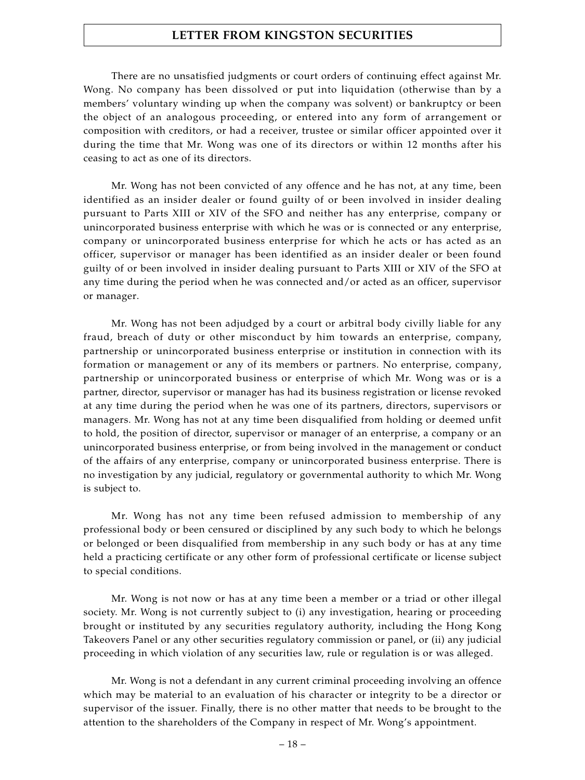There are no unsatisfied judgments or court orders of continuing effect against Mr. Wong. No company has been dissolved or put into liquidation (otherwise than by a members' voluntary winding up when the company was solvent) or bankruptcy or been the object of an analogous proceeding, or entered into any form of arrangement or composition with creditors, or had a receiver, trustee or similar officer appointed over it during the time that Mr. Wong was one of its directors or within 12 months after his ceasing to act as one of its directors.

Mr. Wong has not been convicted of any offence and he has not, at any time, been identified as an insider dealer or found guilty of or been involved in insider dealing pursuant to Parts XIII or XIV of the SFO and neither has any enterprise, company or unincorporated business enterprise with which he was or is connected or any enterprise, company or unincorporated business enterprise for which he acts or has acted as an officer, supervisor or manager has been identified as an insider dealer or been found guilty of or been involved in insider dealing pursuant to Parts XIII or XIV of the SFO at any time during the period when he was connected and/or acted as an officer, supervisor or manager.

Mr. Wong has not been adjudged by a court or arbitral body civilly liable for any fraud, breach of duty or other misconduct by him towards an enterprise, company, partnership or unincorporated business enterprise or institution in connection with its formation or management or any of its members or partners. No enterprise, company, partnership or unincorporated business or enterprise of which Mr. Wong was or is a partner, director, supervisor or manager has had its business registration or license revoked at any time during the period when he was one of its partners, directors, supervisors or managers. Mr. Wong has not at any time been disqualified from holding or deemed unfit to hold, the position of director, supervisor or manager of an enterprise, a company or an unincorporated business enterprise, or from being involved in the management or conduct of the affairs of any enterprise, company or unincorporated business enterprise. There is no investigation by any judicial, regulatory or governmental authority to which Mr. Wong is subject to.

Mr. Wong has not any time been refused admission to membership of any professional body or been censured or disciplined by any such body to which he belongs or belonged or been disqualified from membership in any such body or has at any time held a practicing certificate or any other form of professional certificate or license subject to special conditions.

Mr. Wong is not now or has at any time been a member or a triad or other illegal society. Mr. Wong is not currently subject to (i) any investigation, hearing or proceeding brought or instituted by any securities regulatory authority, including the Hong Kong Takeovers Panel or any other securities regulatory commission or panel, or (ii) any judicial proceeding in which violation of any securities law, rule or regulation is or was alleged.

Mr. Wong is not a defendant in any current criminal proceeding involving an offence which may be material to an evaluation of his character or integrity to be a director or supervisor of the issuer. Finally, there is no other matter that needs to be brought to the attention to the shareholders of the Company in respect of Mr. Wong's appointment.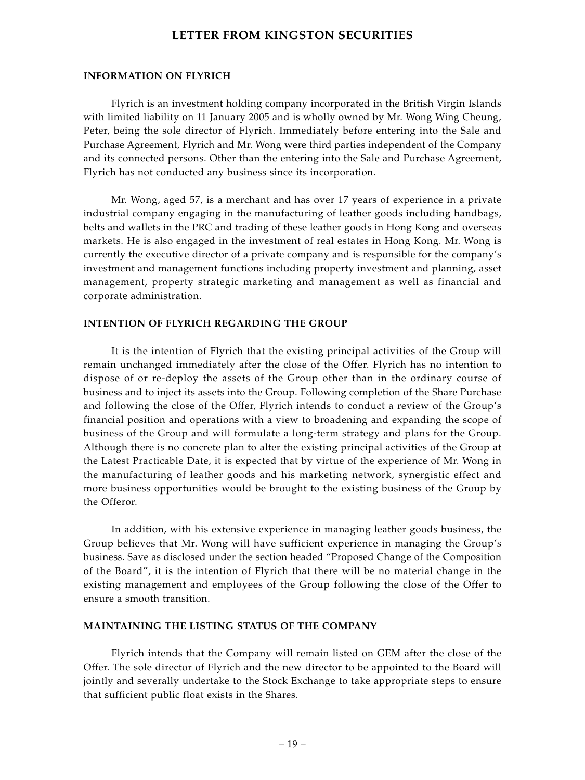#### **INFORMATION ON FLYRICH**

Flyrich is an investment holding company incorporated in the British Virgin Islands with limited liability on 11 January 2005 and is wholly owned by Mr. Wong Wing Cheung, Peter, being the sole director of Flyrich. Immediately before entering into the Sale and Purchase Agreement, Flyrich and Mr. Wong were third parties independent of the Company and its connected persons. Other than the entering into the Sale and Purchase Agreement, Flyrich has not conducted any business since its incorporation.

Mr. Wong, aged 57, is a merchant and has over 17 years of experience in a private industrial company engaging in the manufacturing of leather goods including handbags, belts and wallets in the PRC and trading of these leather goods in Hong Kong and overseas markets. He is also engaged in the investment of real estates in Hong Kong. Mr. Wong is currently the executive director of a private company and is responsible for the company's investment and management functions including property investment and planning, asset management, property strategic marketing and management as well as financial and corporate administration.

#### **INTENTION OF FLYRICH REGARDING THE GROUP**

It is the intention of Flyrich that the existing principal activities of the Group will remain unchanged immediately after the close of the Offer. Flyrich has no intention to dispose of or re-deploy the assets of the Group other than in the ordinary course of business and to inject its assets into the Group. Following completion of the Share Purchase and following the close of the Offer, Flyrich intends to conduct a review of the Group's financial position and operations with a view to broadening and expanding the scope of business of the Group and will formulate a long-term strategy and plans for the Group. Although there is no concrete plan to alter the existing principal activities of the Group at the Latest Practicable Date, it is expected that by virtue of the experience of Mr. Wong in the manufacturing of leather goods and his marketing network, synergistic effect and more business opportunities would be brought to the existing business of the Group by the Offeror.

In addition, with his extensive experience in managing leather goods business, the Group believes that Mr. Wong will have sufficient experience in managing the Group's business. Save as disclosed under the section headed "Proposed Change of the Composition of the Board", it is the intention of Flyrich that there will be no material change in the existing management and employees of the Group following the close of the Offer to ensure a smooth transition.

#### **MAINTAINING THE LISTING STATUS OF THE COMPANY**

Flyrich intends that the Company will remain listed on GEM after the close of the Offer. The sole director of Flyrich and the new director to be appointed to the Board will jointly and severally undertake to the Stock Exchange to take appropriate steps to ensure that sufficient public float exists in the Shares.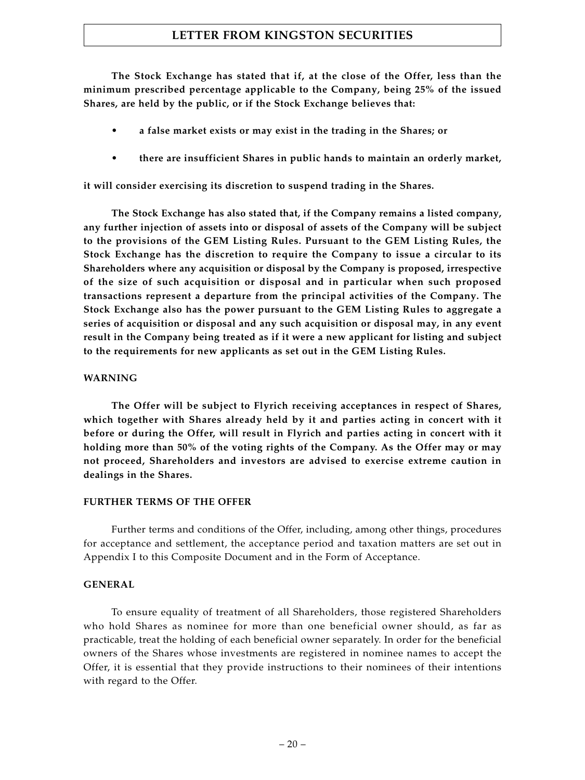**The Stock Exchange has stated that if, at the close of the Offer, less than the minimum prescribed percentage applicable to the Company, being 25% of the issued Shares, are held by the public, or if the Stock Exchange believes that:**

- **• a false market exists or may exist in the trading in the Shares; or**
- **• there are insufficient Shares in public hands to maintain an orderly market,**

**it will consider exercising its discretion to suspend trading in the Shares.**

**The Stock Exchange has also stated that, if the Company remains a listed company, any further injection of assets into or disposal of assets of the Company will be subject to the provisions of the GEM Listing Rules. Pursuant to the GEM Listing Rules, the Stock Exchange has the discretion to require the Company to issue a circular to its Shareholders where any acquisition or disposal by the Company is proposed, irrespective of the size of such acquisition or disposal and in particular when such proposed transactions represent a departure from the principal activities of the Company. The Stock Exchange also has the power pursuant to the GEM Listing Rules to aggregate a series of acquisition or disposal and any such acquisition or disposal may, in any event result in the Company being treated as if it were a new applicant for listing and subject to the requirements for new applicants as set out in the GEM Listing Rules.**

#### **WARNING**

**The Offer will be subject to Flyrich receiving acceptances in respect of Shares, which together with Shares already held by it and parties acting in concert with it before or during the Offer, will result in Flyrich and parties acting in concert with it holding more than 50% of the voting rights of the Company. As the Offer may or may not proceed, Shareholders and investors are advised to exercise extreme caution in dealings in the Shares.**

#### **FURTHER TERMS OF THE OFFER**

Further terms and conditions of the Offer, including, among other things, procedures for acceptance and settlement, the acceptance period and taxation matters are set out in Appendix I to this Composite Document and in the Form of Acceptance.

### **GENERAL**

To ensure equality of treatment of all Shareholders, those registered Shareholders who hold Shares as nominee for more than one beneficial owner should, as far as practicable, treat the holding of each beneficial owner separately. In order for the beneficial owners of the Shares whose investments are registered in nominee names to accept the Offer, it is essential that they provide instructions to their nominees of their intentions with regard to the Offer.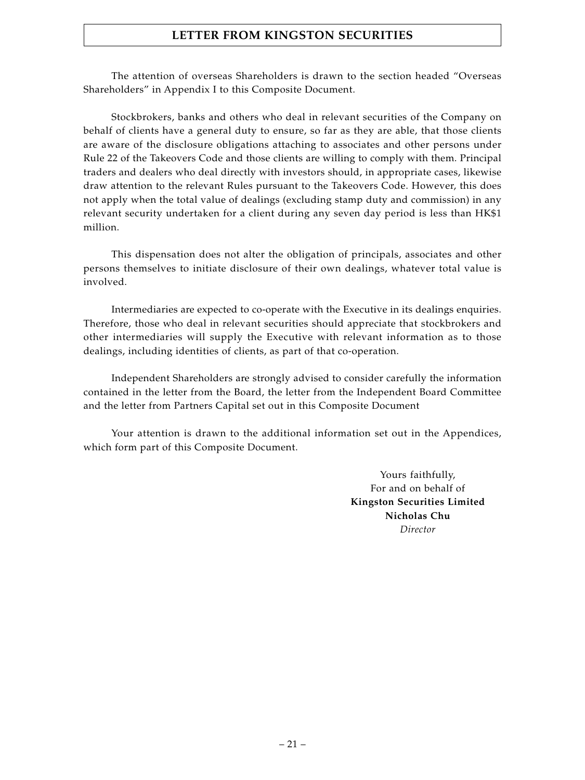The attention of overseas Shareholders is drawn to the section headed "Overseas Shareholders" in Appendix I to this Composite Document.

Stockbrokers, banks and others who deal in relevant securities of the Company on behalf of clients have a general duty to ensure, so far as they are able, that those clients are aware of the disclosure obligations attaching to associates and other persons under Rule 22 of the Takeovers Code and those clients are willing to comply with them. Principal traders and dealers who deal directly with investors should, in appropriate cases, likewise draw attention to the relevant Rules pursuant to the Takeovers Code. However, this does not apply when the total value of dealings (excluding stamp duty and commission) in any relevant security undertaken for a client during any seven day period is less than HK\$1 million.

This dispensation does not alter the obligation of principals, associates and other persons themselves to initiate disclosure of their own dealings, whatever total value is involved.

Intermediaries are expected to co-operate with the Executive in its dealings enquiries. Therefore, those who deal in relevant securities should appreciate that stockbrokers and other intermediaries will supply the Executive with relevant information as to those dealings, including identities of clients, as part of that co-operation.

Independent Shareholders are strongly advised to consider carefully the information contained in the letter from the Board, the letter from the Independent Board Committee and the letter from Partners Capital set out in this Composite Document

Your attention is drawn to the additional information set out in the Appendices, which form part of this Composite Document.

> Yours faithfully, For and on behalf of **Kingston Securities Limited Nicholas Chu** *Director*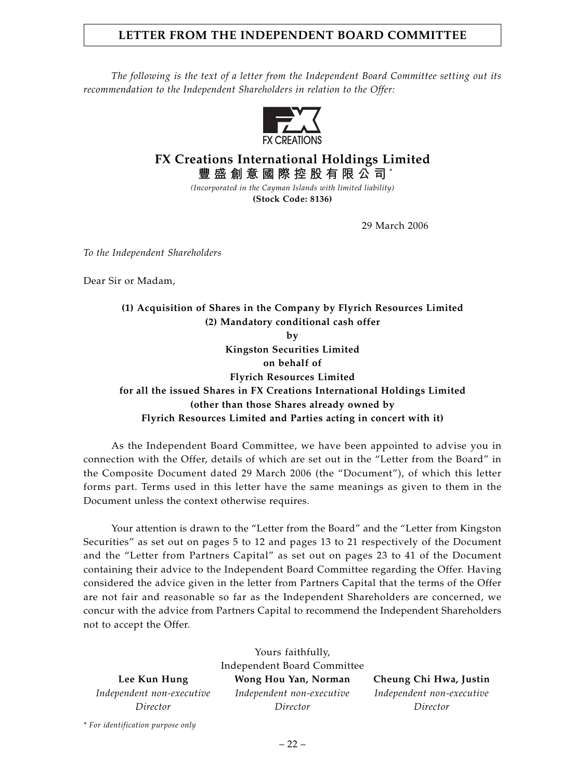# **LETTER FROM THE INDEPENDENT BOARD COMMITTEE**

*The following is the text of a letter from the Independent Board Committee setting out its recommendation to the Independent Shareholders in relation to the Offer:*



# **FX Creations International Holdings Limited 豐盛創意國際控股有限公司** \*

*(Incorporated in the Cayman Islands with limited liability)* **(Stock Code: 8136)**

29 March 2006

*To the Independent Shareholders*

Dear Sir or Madam,

**(1) Acquisition of Shares in the Company by Flyrich Resources Limited (2) Mandatory conditional cash offer by Kingston Securities Limited on behalf of Flyrich Resources Limited for all the issued Shares in FX Creations International Holdings Limited (other than those Shares already owned by Flyrich Resources Limited and Parties acting in concert with it)**

As the Independent Board Committee, we have been appointed to advise you in connection with the Offer, details of which are set out in the "Letter from the Board" in the Composite Document dated 29 March 2006 (the "Document"), of which this letter forms part. Terms used in this letter have the same meanings as given to them in the Document unless the context otherwise requires.

Your attention is drawn to the "Letter from the Board" and the "Letter from Kingston Securities" as set out on pages 5 to 12 and pages 13 to 21 respectively of the Document and the "Letter from Partners Capital" as set out on pages 23 to 41 of the Document containing their advice to the Independent Board Committee regarding the Offer. Having considered the advice given in the letter from Partners Capital that the terms of the Offer are not fair and reasonable so far as the Independent Shareholders are concerned, we concur with the advice from Partners Capital to recommend the Independent Shareholders not to accept the Offer.

Yours faithfully,

Independent Board Committee **Lee Kun Hung Wong Hou Yan, Norman Cheung Chi Hwa, Justin** *Independent non-executive Independent non-executive Independent non-executive Director Director Director*

*\* For identification purpose only*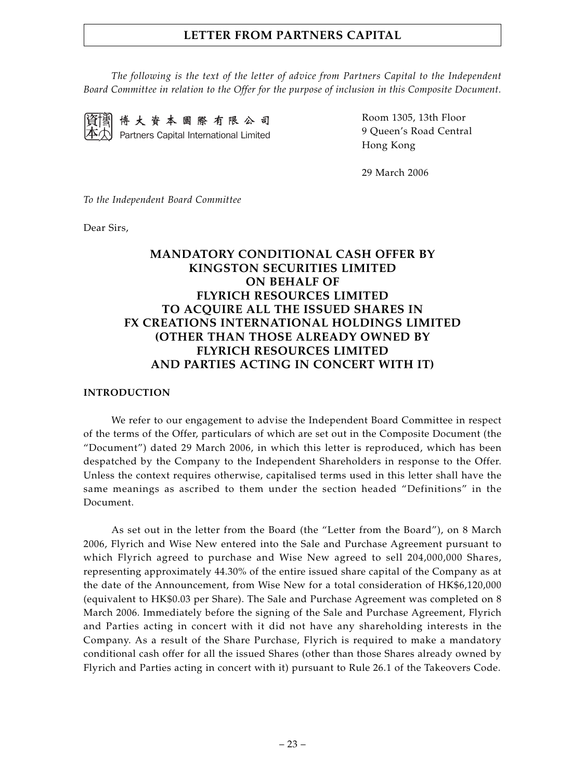*The following is the text of the letter of advice from Partners Capital to the Independent Board Committee in relation to the Offer for the purpose of inclusion in this Composite Document.*



博大資本國際有限公司 Partners Capital International Limited Room 1305, 13th Floor 9 Queen's Road Central Hong Kong

29 March 2006

*To the Independent Board Committee*

Dear Sirs,

# **MANDATORY CONDITIONAL CASH OFFER BY KINGSTON SECURITIES LIMITED ON BEHALF OF FLYRICH RESOURCES LIMITED TO ACQUIRE ALL THE ISSUED SHARES IN FX CREATIONS INTERNATIONAL HOLDINGS LIMITED (OTHER THAN THOSE ALREADY OWNED BY FLYRICH RESOURCES LIMITED AND PARTIES ACTING IN CONCERT WITH IT)**

#### **INTRODUCTION**

We refer to our engagement to advise the Independent Board Committee in respect of the terms of the Offer, particulars of which are set out in the Composite Document (the "Document") dated 29 March 2006, in which this letter is reproduced, which has been despatched by the Company to the Independent Shareholders in response to the Offer. Unless the context requires otherwise, capitalised terms used in this letter shall have the same meanings as ascribed to them under the section headed "Definitions" in the Document.

As set out in the letter from the Board (the "Letter from the Board"), on 8 March 2006, Flyrich and Wise New entered into the Sale and Purchase Agreement pursuant to which Flyrich agreed to purchase and Wise New agreed to sell 204,000,000 Shares, representing approximately 44.30% of the entire issued share capital of the Company as at the date of the Announcement, from Wise New for a total consideration of HK\$6,120,000 (equivalent to HK\$0.03 per Share). The Sale and Purchase Agreement was completed on 8 March 2006. Immediately before the signing of the Sale and Purchase Agreement, Flyrich and Parties acting in concert with it did not have any shareholding interests in the Company. As a result of the Share Purchase, Flyrich is required to make a mandatory conditional cash offer for all the issued Shares (other than those Shares already owned by Flyrich and Parties acting in concert with it) pursuant to Rule 26.1 of the Takeovers Code.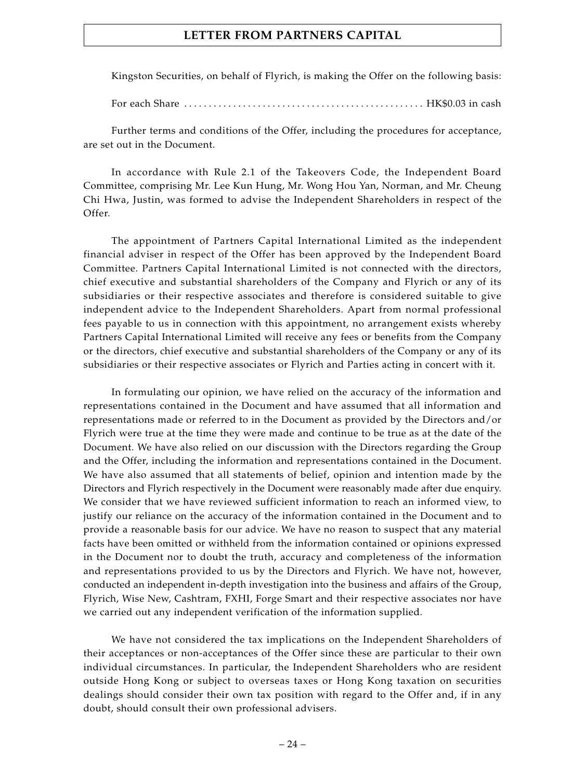Kingston Securities, on behalf of Flyrich, is making the Offer on the following basis:

For each Share . . . . . . . . . . . . . . . . . . . . . . . . . . . . . . . . . . . . . . . . . . . . . . . . . HK\$0.03 in cash

Further terms and conditions of the Offer, including the procedures for acceptance, are set out in the Document.

In accordance with Rule 2.1 of the Takeovers Code, the Independent Board Committee, comprising Mr. Lee Kun Hung, Mr. Wong Hou Yan, Norman, and Mr. Cheung Chi Hwa, Justin, was formed to advise the Independent Shareholders in respect of the Offer.

The appointment of Partners Capital International Limited as the independent financial adviser in respect of the Offer has been approved by the Independent Board Committee. Partners Capital International Limited is not connected with the directors, chief executive and substantial shareholders of the Company and Flyrich or any of its subsidiaries or their respective associates and therefore is considered suitable to give independent advice to the Independent Shareholders. Apart from normal professional fees payable to us in connection with this appointment, no arrangement exists whereby Partners Capital International Limited will receive any fees or benefits from the Company or the directors, chief executive and substantial shareholders of the Company or any of its subsidiaries or their respective associates or Flyrich and Parties acting in concert with it.

In formulating our opinion, we have relied on the accuracy of the information and representations contained in the Document and have assumed that all information and representations made or referred to in the Document as provided by the Directors and/or Flyrich were true at the time they were made and continue to be true as at the date of the Document. We have also relied on our discussion with the Directors regarding the Group and the Offer, including the information and representations contained in the Document. We have also assumed that all statements of belief, opinion and intention made by the Directors and Flyrich respectively in the Document were reasonably made after due enquiry. We consider that we have reviewed sufficient information to reach an informed view, to justify our reliance on the accuracy of the information contained in the Document and to provide a reasonable basis for our advice. We have no reason to suspect that any material facts have been omitted or withheld from the information contained or opinions expressed in the Document nor to doubt the truth, accuracy and completeness of the information and representations provided to us by the Directors and Flyrich. We have not, however, conducted an independent in-depth investigation into the business and affairs of the Group, Flyrich, Wise New, Cashtram, FXHI, Forge Smart and their respective associates nor have we carried out any independent verification of the information supplied.

We have not considered the tax implications on the Independent Shareholders of their acceptances or non-acceptances of the Offer since these are particular to their own individual circumstances. In particular, the Independent Shareholders who are resident outside Hong Kong or subject to overseas taxes or Hong Kong taxation on securities dealings should consider their own tax position with regard to the Offer and, if in any doubt, should consult their own professional advisers.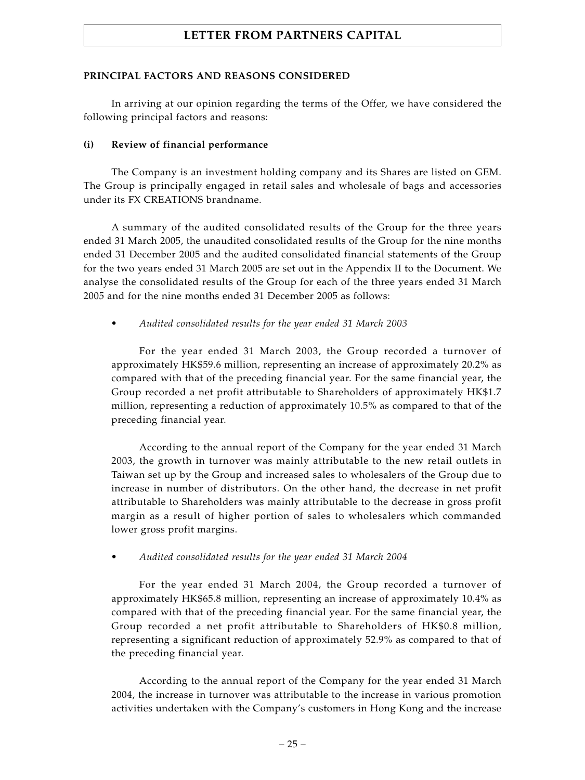### **PRINCIPAL FACTORS AND REASONS CONSIDERED**

In arriving at our opinion regarding the terms of the Offer, we have considered the following principal factors and reasons:

### **(i) Review of financial performance**

The Company is an investment holding company and its Shares are listed on GEM. The Group is principally engaged in retail sales and wholesale of bags and accessories under its FX CREATIONS brandname.

A summary of the audited consolidated results of the Group for the three years ended 31 March 2005, the unaudited consolidated results of the Group for the nine months ended 31 December 2005 and the audited consolidated financial statements of the Group for the two years ended 31 March 2005 are set out in the Appendix II to the Document. We analyse the consolidated results of the Group for each of the three years ended 31 March 2005 and for the nine months ended 31 December 2005 as follows:

*• Audited consolidated results for the year ended 31 March 2003*

For the year ended 31 March 2003, the Group recorded a turnover of approximately HK\$59.6 million, representing an increase of approximately 20.2% as compared with that of the preceding financial year. For the same financial year, the Group recorded a net profit attributable to Shareholders of approximately HK\$1.7 million, representing a reduction of approximately 10.5% as compared to that of the preceding financial year.

According to the annual report of the Company for the year ended 31 March 2003, the growth in turnover was mainly attributable to the new retail outlets in Taiwan set up by the Group and increased sales to wholesalers of the Group due to increase in number of distributors. On the other hand, the decrease in net profit attributable to Shareholders was mainly attributable to the decrease in gross profit margin as a result of higher portion of sales to wholesalers which commanded lower gross profit margins.

*• Audited consolidated results for the year ended 31 March 2004*

For the year ended 31 March 2004, the Group recorded a turnover of approximately HK\$65.8 million, representing an increase of approximately 10.4% as compared with that of the preceding financial year. For the same financial year, the Group recorded a net profit attributable to Shareholders of HK\$0.8 million, representing a significant reduction of approximately 52.9% as compared to that of the preceding financial year.

According to the annual report of the Company for the year ended 31 March 2004, the increase in turnover was attributable to the increase in various promotion activities undertaken with the Company's customers in Hong Kong and the increase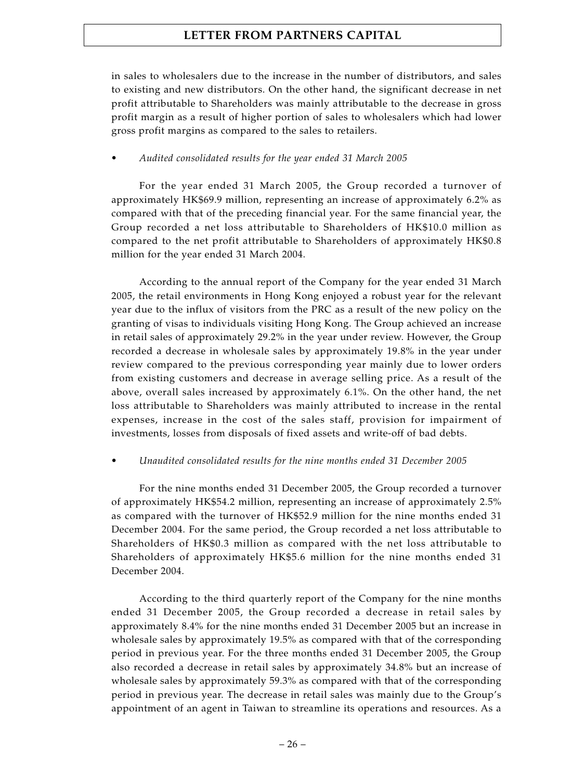in sales to wholesalers due to the increase in the number of distributors, and sales to existing and new distributors. On the other hand, the significant decrease in net profit attributable to Shareholders was mainly attributable to the decrease in gross profit margin as a result of higher portion of sales to wholesalers which had lower gross profit margins as compared to the sales to retailers.

### *• Audited consolidated results for the year ended 31 March 2005*

For the year ended 31 March 2005, the Group recorded a turnover of approximately HK\$69.9 million, representing an increase of approximately 6.2% as compared with that of the preceding financial year. For the same financial year, the Group recorded a net loss attributable to Shareholders of HK\$10.0 million as compared to the net profit attributable to Shareholders of approximately HK\$0.8 million for the year ended 31 March 2004.

According to the annual report of the Company for the year ended 31 March 2005, the retail environments in Hong Kong enjoyed a robust year for the relevant year due to the influx of visitors from the PRC as a result of the new policy on the granting of visas to individuals visiting Hong Kong. The Group achieved an increase in retail sales of approximately 29.2% in the year under review. However, the Group recorded a decrease in wholesale sales by approximately 19.8% in the year under review compared to the previous corresponding year mainly due to lower orders from existing customers and decrease in average selling price. As a result of the above, overall sales increased by approximately 6.1%. On the other hand, the net loss attributable to Shareholders was mainly attributed to increase in the rental expenses, increase in the cost of the sales staff, provision for impairment of investments, losses from disposals of fixed assets and write-off of bad debts.

### *• Unaudited consolidated results for the nine months ended 31 December 2005*

For the nine months ended 31 December 2005, the Group recorded a turnover of approximately HK\$54.2 million, representing an increase of approximately 2.5% as compared with the turnover of HK\$52.9 million for the nine months ended 31 December 2004. For the same period, the Group recorded a net loss attributable to Shareholders of HK\$0.3 million as compared with the net loss attributable to Shareholders of approximately HK\$5.6 million for the nine months ended 31 December 2004.

According to the third quarterly report of the Company for the nine months ended 31 December 2005, the Group recorded a decrease in retail sales by approximately 8.4% for the nine months ended 31 December 2005 but an increase in wholesale sales by approximately 19.5% as compared with that of the corresponding period in previous year. For the three months ended 31 December 2005, the Group also recorded a decrease in retail sales by approximately 34.8% but an increase of wholesale sales by approximately 59.3% as compared with that of the corresponding period in previous year. The decrease in retail sales was mainly due to the Group's appointment of an agent in Taiwan to streamline its operations and resources. As a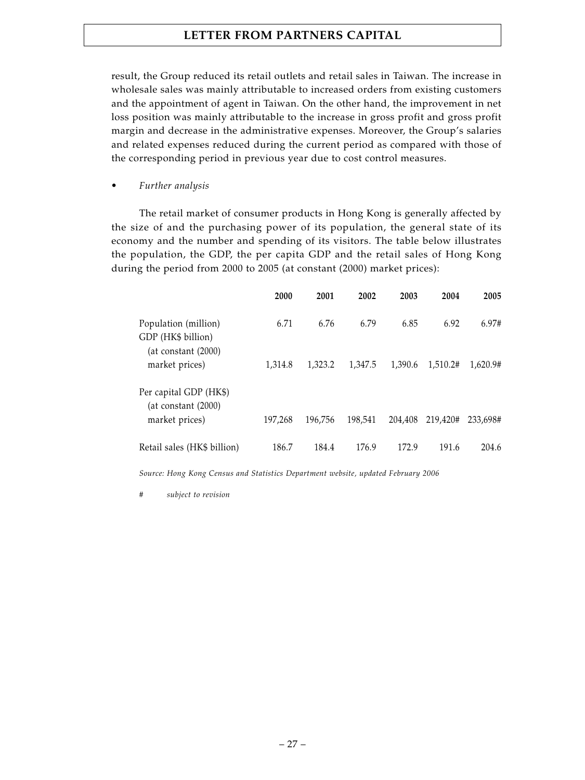result, the Group reduced its retail outlets and retail sales in Taiwan. The increase in wholesale sales was mainly attributable to increased orders from existing customers and the appointment of agent in Taiwan. On the other hand, the improvement in net loss position was mainly attributable to the increase in gross profit and gross profit margin and decrease in the administrative expenses. Moreover, the Group's salaries and related expenses reduced during the current period as compared with those of the corresponding period in previous year due to cost control measures.

*• Further analysis*

The retail market of consumer products in Hong Kong is generally affected by the size of and the purchasing power of its population, the general state of its economy and the number and spending of its visitors. The table below illustrates the population, the GDP, the per capita GDP and the retail sales of Hong Kong during the period from 2000 to 2005 (at constant (2000) market prices):

|                                               | 2000    | 2001    | 2002    | 2003    | 2004     | 2005     |
|-----------------------------------------------|---------|---------|---------|---------|----------|----------|
| Population (million)<br>GDP (HK\$ billion)    | 6.71    | 6.76    | 6.79    | 6.85    | 6.92     | 6.97#    |
| (at constant (2000))<br>market prices)        | 1.314.8 | 1.323.2 | 1,347.5 | 1.390.6 | 1.510.2# | 1.620.9# |
| Per capital GDP (HK\$)<br>(at constant (2000) |         |         |         |         |          |          |
| market prices)                                | 197.268 | 196.756 | 198.541 | 204.408 | 219.420# | 233.698# |
| Retail sales (HK\$ billion)                   | 186.7   | 184.4   | 176.9   | 172.9   | 191.6    | 204.6    |

*Source: Hong Kong Census and Statistics Department website, updated February 2006*

 $subject$  to revision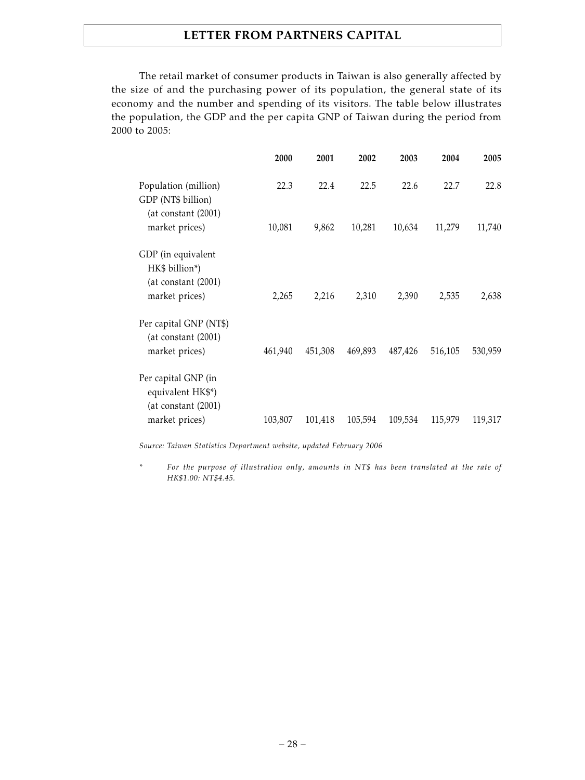The retail market of consumer products in Taiwan is also generally affected by the size of and the purchasing power of its population, the general state of its economy and the number and spending of its visitors. The table below illustrates the population, the GDP and the per capita GNP of Taiwan during the period from 2000 to 2005:

| 2000    | 2001    | 2002    | 2003    | 2004    | 2005    |
|---------|---------|---------|---------|---------|---------|
| 22.3    | 22.4    | 22.5    | 22.6    | 22.7    | 22.8    |
| 10,081  | 9,862   | 10,281  | 10,634  | 11,279  | 11,740  |
| 2,265   | 2,216   | 2,310   | 2,390   | 2,535   | 2,638   |
| 461,940 | 451,308 | 469,893 | 487,426 | 516,105 | 530,959 |
|         |         |         |         |         | 119,317 |
|         | 103,807 | 101,418 | 105,594 | 109,534 | 115,979 |

*Source: Taiwan Statistics Department website, updated February 2006*

*\* For the purpose of illustration only, amounts in NT\$ has been translated at the rate of HK\$1.00: NT\$4.45.*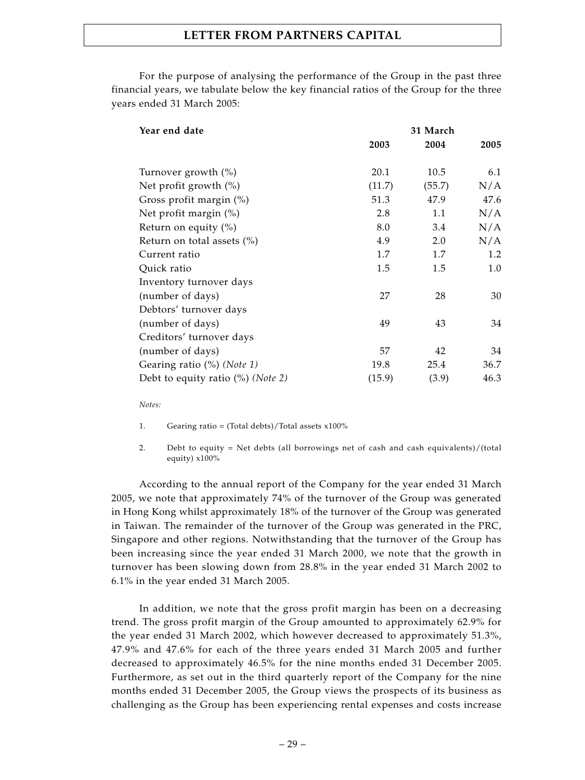For the purpose of analysing the performance of the Group in the past three financial years, we tabulate below the key financial ratios of the Group for the three years ended 31 March 2005:

| Year end date                                 | 31 March |        |      |  |  |
|-----------------------------------------------|----------|--------|------|--|--|
|                                               | 2003     | 2004   | 2005 |  |  |
| Turnover growth (%)                           | 20.1     | 10.5   | 6.1  |  |  |
| Net profit growth $(\%)$                      | (11.7)   | (55.7) | N/A  |  |  |
| Gross profit margin (%)                       | 51.3     | 47.9   | 47.6 |  |  |
| Net profit margin $(\%)$                      | 2.8      | 1.1    | N/A  |  |  |
| Return on equity $(\%)$                       | 8.0      | 3.4    | N/A  |  |  |
| Return on total assets $(\%)$                 | 4.9      | 2.0    | N/A  |  |  |
| Current ratio                                 | 1.7      | 1.7    | 1.2  |  |  |
| Quick ratio                                   | 1.5      | 1.5    | 1.0  |  |  |
| Inventory turnover days                       |          |        |      |  |  |
| (number of days)                              | 27       | 28     | 30   |  |  |
| Debtors' turnover days                        |          |        |      |  |  |
| (number of days)                              | 49       | 43     | 34   |  |  |
| Creditors' turnover days                      |          |        |      |  |  |
| (number of days)                              | 57       | 42     | 34   |  |  |
| Gearing ratio $(\%)$ (Note 1)                 | 19.8     | 25.4   | 36.7 |  |  |
| Debt to equity ratio $(\%)$ ( <i>Note 2</i> ) | (15.9)   | (3.9)  | 46.3 |  |  |

*Notes:*

- 1. Gearing ratio = (Total debts)/Total assets x100%
- 2. Debt to equity = Net debts (all borrowings net of cash and cash equivalents)/(total equity) x100%

According to the annual report of the Company for the year ended 31 March 2005, we note that approximately 74% of the turnover of the Group was generated in Hong Kong whilst approximately 18% of the turnover of the Group was generated in Taiwan. The remainder of the turnover of the Group was generated in the PRC, Singapore and other regions. Notwithstanding that the turnover of the Group has been increasing since the year ended 31 March 2000, we note that the growth in turnover has been slowing down from 28.8% in the year ended 31 March 2002 to 6.1% in the year ended 31 March 2005.

In addition, we note that the gross profit margin has been on a decreasing trend. The gross profit margin of the Group amounted to approximately 62.9% for the year ended 31 March 2002, which however decreased to approximately 51.3%, 47.9% and 47.6% for each of the three years ended 31 March 2005 and further decreased to approximately 46.5% for the nine months ended 31 December 2005. Furthermore, as set out in the third quarterly report of the Company for the nine months ended 31 December 2005, the Group views the prospects of its business as challenging as the Group has been experiencing rental expenses and costs increase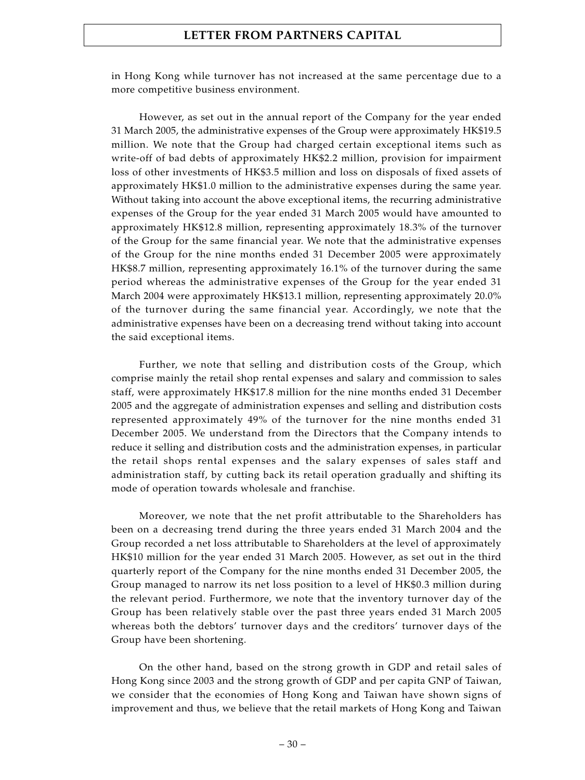in Hong Kong while turnover has not increased at the same percentage due to a more competitive business environment.

However, as set out in the annual report of the Company for the year ended 31 March 2005, the administrative expenses of the Group were approximately HK\$19.5 million. We note that the Group had charged certain exceptional items such as write-off of bad debts of approximately HK\$2.2 million, provision for impairment loss of other investments of HK\$3.5 million and loss on disposals of fixed assets of approximately HK\$1.0 million to the administrative expenses during the same year. Without taking into account the above exceptional items, the recurring administrative expenses of the Group for the year ended 31 March 2005 would have amounted to approximately HK\$12.8 million, representing approximately 18.3% of the turnover of the Group for the same financial year. We note that the administrative expenses of the Group for the nine months ended 31 December 2005 were approximately HK\$8.7 million, representing approximately 16.1% of the turnover during the same period whereas the administrative expenses of the Group for the year ended 31 March 2004 were approximately HK\$13.1 million, representing approximately 20.0% of the turnover during the same financial year. Accordingly, we note that the administrative expenses have been on a decreasing trend without taking into account the said exceptional items.

Further, we note that selling and distribution costs of the Group, which comprise mainly the retail shop rental expenses and salary and commission to sales staff, were approximately HK\$17.8 million for the nine months ended 31 December 2005 and the aggregate of administration expenses and selling and distribution costs represented approximately 49% of the turnover for the nine months ended 31 December 2005. We understand from the Directors that the Company intends to reduce it selling and distribution costs and the administration expenses, in particular the retail shops rental expenses and the salary expenses of sales staff and administration staff, by cutting back its retail operation gradually and shifting its mode of operation towards wholesale and franchise.

Moreover, we note that the net profit attributable to the Shareholders has been on a decreasing trend during the three years ended 31 March 2004 and the Group recorded a net loss attributable to Shareholders at the level of approximately HK\$10 million for the year ended 31 March 2005. However, as set out in the third quarterly report of the Company for the nine months ended 31 December 2005, the Group managed to narrow its net loss position to a level of HK\$0.3 million during the relevant period. Furthermore, we note that the inventory turnover day of the Group has been relatively stable over the past three years ended 31 March 2005 whereas both the debtors' turnover days and the creditors' turnover days of the Group have been shortening.

On the other hand, based on the strong growth in GDP and retail sales of Hong Kong since 2003 and the strong growth of GDP and per capita GNP of Taiwan, we consider that the economies of Hong Kong and Taiwan have shown signs of improvement and thus, we believe that the retail markets of Hong Kong and Taiwan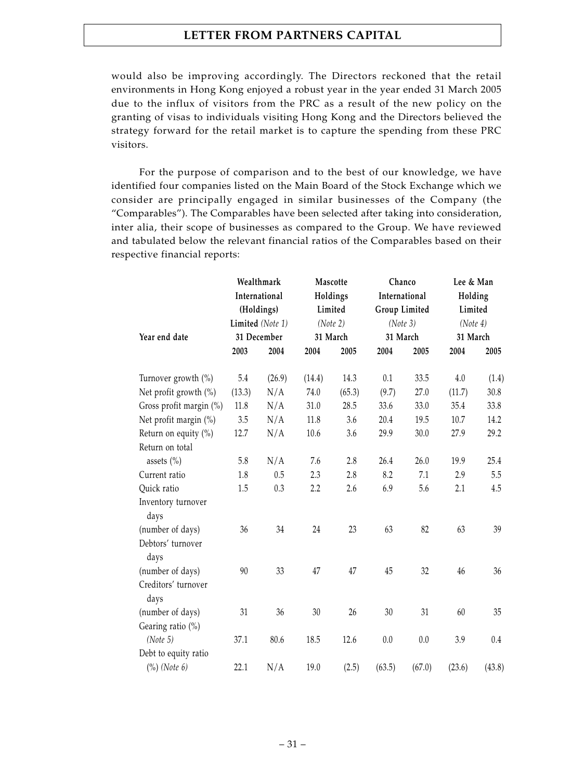would also be improving accordingly. The Directors reckoned that the retail environments in Hong Kong enjoyed a robust year in the year ended 31 March 2005 due to the influx of visitors from the PRC as a result of the new policy on the granting of visas to individuals visiting Hong Kong and the Directors believed the strategy forward for the retail market is to capture the spending from these PRC visitors.

For the purpose of comparison and to the best of our knowledge, we have identified four companies listed on the Main Board of the Stock Exchange which we consider are principally engaged in similar businesses of the Company (the "Comparables"). The Comparables have been selected after taking into consideration, inter alia, their scope of businesses as compared to the Group. We have reviewed and tabulated below the relevant financial ratios of the Comparables based on their respective financial reports:

|                                | Wealthmark<br>International<br>(Holdings)<br>Limited (Note 1)<br>31 December |        | Mascotte<br>Holdings<br>Limited<br>(Note 2)<br>31 March |         | Chanco<br>International<br>Group Limited<br>(Note 3)<br>31 March |        | Lee & Man<br>Holding<br>Limited<br>(Note 4)<br>31 March |        |
|--------------------------------|------------------------------------------------------------------------------|--------|---------------------------------------------------------|---------|------------------------------------------------------------------|--------|---------------------------------------------------------|--------|
|                                |                                                                              |        |                                                         |         |                                                                  |        |                                                         |        |
|                                |                                                                              |        |                                                         |         |                                                                  |        |                                                         |        |
| Year end date                  |                                                                              |        |                                                         |         |                                                                  |        |                                                         |        |
|                                | 2003                                                                         | 2004   | 2004                                                    | 2005    | 2004                                                             | 2005   | 2004                                                    | 2005   |
| Turnover growth $\binom{0}{0}$ | 5.4                                                                          | (26.9) | (14.4)                                                  | 14.3    | 0.1                                                              | 33.5   | 4.0                                                     | (1.4)  |
| Net profit growth (%)          | (13.3)                                                                       | N/A    | 74.0                                                    | (65.3)  | (9.7)                                                            | 27.0   | (11.7)                                                  | 30.8   |
| Gross profit margin (%)        | 11.8                                                                         | N/A    | 31.0                                                    | 28.5    | 33.6                                                             | 33.0   | 35.4                                                    | 33.8   |
| Net profit margin (%)          | 3.5                                                                          | N/A    | 11.8                                                    | 3.6     | 20.4                                                             | 19.5   | 10.7                                                    | 14.2   |
| Return on equity (%)           | 12.7                                                                         | N/A    | 10.6                                                    | 3.6     | 29.9                                                             | 30.0   | 27.9                                                    | 29.2   |
| Return on total                |                                                                              |        |                                                         |         |                                                                  |        |                                                         |        |
| assets $(\% )$                 | 5.8                                                                          | N/A    | 7.6                                                     | $2.8\,$ | 26.4                                                             | 26.0   | 19.9                                                    | 25.4   |
| Current ratio                  | 1.8                                                                          | 0.5    | 2.3                                                     | 2.8     | 8.2                                                              | 7.1    | 2.9                                                     | 5.5    |
| Quick ratio                    | 1.5                                                                          | 0.3    | 2.2                                                     | 2.6     | 6.9                                                              | 5.6    | 2.1                                                     | 4.5    |
| Inventory turnover<br>days     |                                                                              |        |                                                         |         |                                                                  |        |                                                         |        |
| (number of days)               | 36                                                                           | 34     | 24                                                      | 23      | 63                                                               | 82     | 63                                                      | 39     |
| Debtors' turnover              |                                                                              |        |                                                         |         |                                                                  |        |                                                         |        |
| days                           |                                                                              |        |                                                         |         |                                                                  |        |                                                         |        |
| (number of days)               | 90                                                                           | 33     | 47                                                      | 47      | 45                                                               | 32     | 46                                                      | 36     |
| Creditors' turnover<br>days    |                                                                              |        |                                                         |         |                                                                  |        |                                                         |        |
| (number of days)               | 31                                                                           | 36     | 30                                                      | 26      | 30                                                               | 31     | 60                                                      | 35     |
| Gearing ratio (%)              |                                                                              |        |                                                         |         |                                                                  |        |                                                         |        |
| (Note 5)                       | 37.1                                                                         | 80.6   | 18.5                                                    | 12.6    | 0.0                                                              | 0.0    | 3.9                                                     | 0.4    |
| Debt to equity ratio           |                                                                              |        |                                                         |         |                                                                  |        |                                                         |        |
| $(\%)$ (Note 6)                | 22.1                                                                         | N/A    | 19.0                                                    | (2.5)   | (63.5)                                                           | (67.0) | (23.6)                                                  | (43.8) |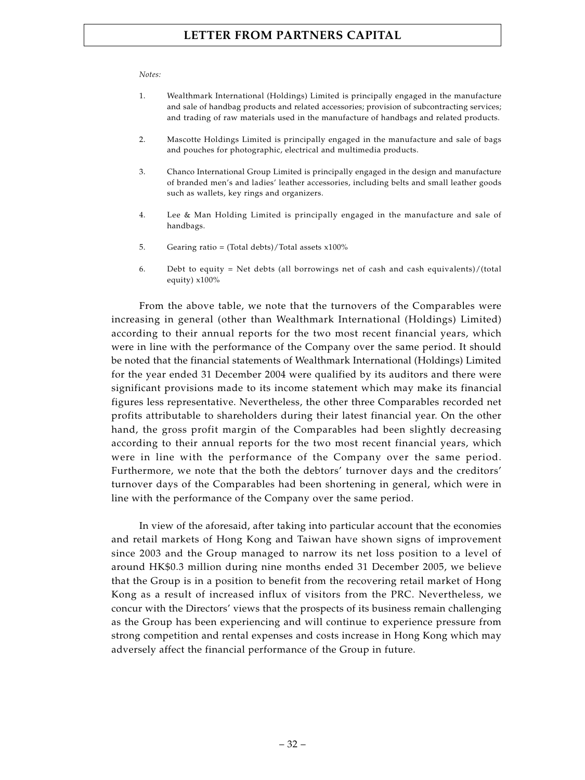### *Notes:*

- 1. Wealthmark International (Holdings) Limited is principally engaged in the manufacture and sale of handbag products and related accessories; provision of subcontracting services; and trading of raw materials used in the manufacture of handbags and related products.
- 2. Mascotte Holdings Limited is principally engaged in the manufacture and sale of bags and pouches for photographic, electrical and multimedia products.
- 3. Chanco International Group Limited is principally engaged in the design and manufacture of branded men's and ladies' leather accessories, including belts and small leather goods such as wallets, key rings and organizers.
- 4. Lee & Man Holding Limited is principally engaged in the manufacture and sale of handbags.
- 5. Gearing ratio = (Total debts)/Total assets  $x100\%$
- 6. Debt to equity = Net debts (all borrowings net of cash and cash equivalents)/(total equity) x100%

From the above table, we note that the turnovers of the Comparables were increasing in general (other than Wealthmark International (Holdings) Limited) according to their annual reports for the two most recent financial years, which were in line with the performance of the Company over the same period. It should be noted that the financial statements of Wealthmark International (Holdings) Limited for the year ended 31 December 2004 were qualified by its auditors and there were significant provisions made to its income statement which may make its financial figures less representative. Nevertheless, the other three Comparables recorded net profits attributable to shareholders during their latest financial year. On the other hand, the gross profit margin of the Comparables had been slightly decreasing according to their annual reports for the two most recent financial years, which were in line with the performance of the Company over the same period. Furthermore, we note that the both the debtors' turnover days and the creditors' turnover days of the Comparables had been shortening in general, which were in line with the performance of the Company over the same period.

In view of the aforesaid, after taking into particular account that the economies and retail markets of Hong Kong and Taiwan have shown signs of improvement since 2003 and the Group managed to narrow its net loss position to a level of around HK\$0.3 million during nine months ended 31 December 2005, we believe that the Group is in a position to benefit from the recovering retail market of Hong Kong as a result of increased influx of visitors from the PRC. Nevertheless, we concur with the Directors' views that the prospects of its business remain challenging as the Group has been experiencing and will continue to experience pressure from strong competition and rental expenses and costs increase in Hong Kong which may adversely affect the financial performance of the Group in future.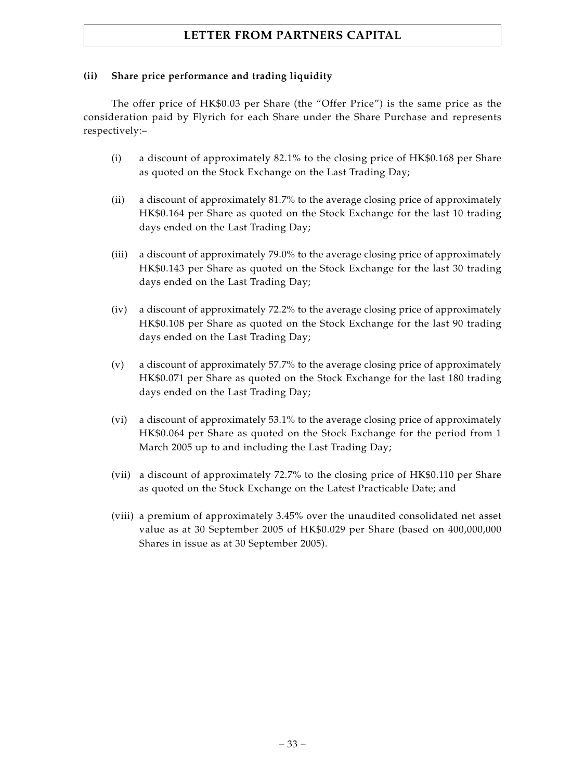# **(ii) Share price performance and trading liquidity**

The offer price of HK\$0.03 per Share (the "Offer Price") is the same price as the consideration paid by Flyrich for each Share under the Share Purchase and represents respectively:–

- (i) a discount of approximately 82.1% to the closing price of HK\$0.168 per Share as quoted on the Stock Exchange on the Last Trading Day;
- (ii) a discount of approximately 81.7% to the average closing price of approximately HK\$0.164 per Share as quoted on the Stock Exchange for the last 10 trading days ended on the Last Trading Day;
- (iii) a discount of approximately 79.0% to the average closing price of approximately HK\$0.143 per Share as quoted on the Stock Exchange for the last 30 trading days ended on the Last Trading Day;
- (iv) a discount of approximately 72.2% to the average closing price of approximately HK\$0.108 per Share as quoted on the Stock Exchange for the last 90 trading days ended on the Last Trading Day;
- (v) a discount of approximately 57.7% to the average closing price of approximately HK\$0.071 per Share as quoted on the Stock Exchange for the last 180 trading days ended on the Last Trading Day;
- (vi) a discount of approximately 53.1% to the average closing price of approximately HK\$0.064 per Share as quoted on the Stock Exchange for the period from 1 March 2005 up to and including the Last Trading Day;
- (vii) a discount of approximately 72.7% to the closing price of HK\$0.110 per Share as quoted on the Stock Exchange on the Latest Practicable Date; and
- (viii) a premium of approximately 3.45% over the unaudited consolidated net asset value as at 30 September 2005 of HK\$0.029 per Share (based on 400,000,000 Shares in issue as at 30 September 2005).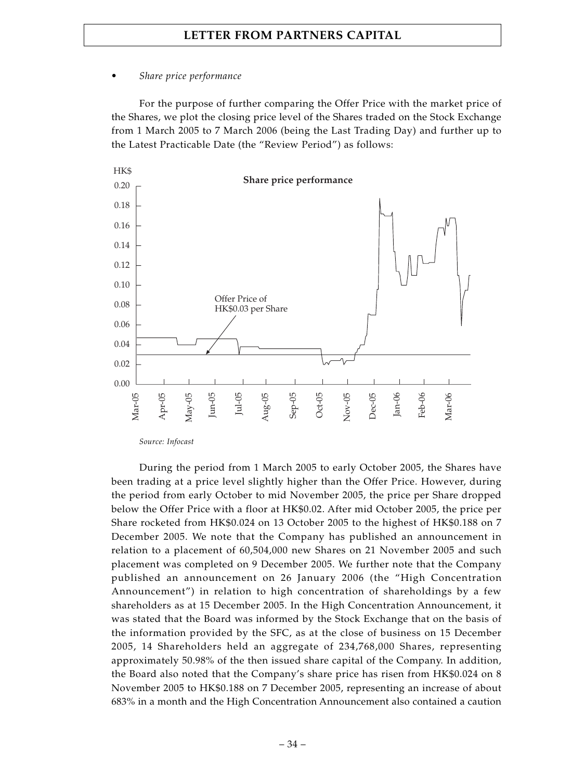### *• Share price performance*

For the purpose of further comparing the Offer Price with the market price of the Shares, we plot the closing price level of the Shares traded on the Stock Exchange from 1 March 2005 to 7 March 2006 (being the Last Trading Day) and further up to the Latest Practicable Date (the "Review Period") as follows:



*Source: Infocast*

During the period from 1 March 2005 to early October 2005, the Shares have been trading at a price level slightly higher than the Offer Price. However, during the period from early October to mid November 2005, the price per Share dropped below the Offer Price with a floor at HK\$0.02. After mid October 2005, the price per Share rocketed from HK\$0.024 on 13 October 2005 to the highest of HK\$0.188 on 7 December 2005. We note that the Company has published an announcement in relation to a placement of 60,504,000 new Shares on 21 November 2005 and such placement was completed on 9 December 2005. We further note that the Company published an announcement on 26 January 2006 (the "High Concentration Announcement") in relation to high concentration of shareholdings by a few shareholders as at 15 December 2005. In the High Concentration Announcement, it was stated that the Board was informed by the Stock Exchange that on the basis of the information provided by the SFC, as at the close of business on 15 December 2005, 14 Shareholders held an aggregate of 234,768,000 Shares, representing approximately 50.98% of the then issued share capital of the Company. In addition, the Board also noted that the Company's share price has risen from HK\$0.024 on 8 November 2005 to HK\$0.188 on 7 December 2005, representing an increase of about 683% in a month and the High Concentration Announcement also contained a caution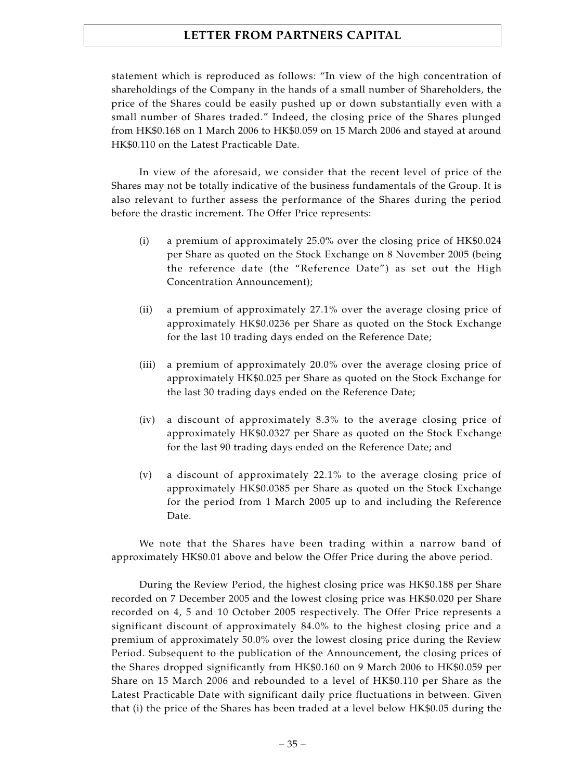statement which is reproduced as follows: "In view of the high concentration of shareholdings of the Company in the hands of a small number of Shareholders, the price of the Shares could be easily pushed up or down substantially even with a small number of Shares traded." Indeed, the closing price of the Shares plunged from HK\$0.168 on 1 March 2006 to HK\$0.059 on 15 March 2006 and stayed at around HK\$0.110 on the Latest Practicable Date.

In view of the aforesaid, we consider that the recent level of price of the Shares may not be totally indicative of the business fundamentals of the Group. It is also relevant to further assess the performance of the Shares during the period before the drastic increment. The Offer Price represents:

- (i) a premium of approximately 25.0% over the closing price of HK\$0.024 per Share as quoted on the Stock Exchange on 8 November 2005 (being the reference date (the "Reference Date") as set out the High Concentration Announcement);
- (ii) a premium of approximately 27.1% over the average closing price of approximately HK\$0.0236 per Share as quoted on the Stock Exchange for the last 10 trading days ended on the Reference Date;
- (iii) a premium of approximately 20.0% over the average closing price of approximately HK\$0.025 per Share as quoted on the Stock Exchange for the last 30 trading days ended on the Reference Date;
- (iv) a discount of approximately 8.3% to the average closing price of approximately HK\$0.0327 per Share as quoted on the Stock Exchange for the last 90 trading days ended on the Reference Date; and
- (v) a discount of approximately 22.1% to the average closing price of approximately HK\$0.0385 per Share as quoted on the Stock Exchange for the period from 1 March 2005 up to and including the Reference Date.

We note that the Shares have been trading within a narrow band of approximately HK\$0.01 above and below the Offer Price during the above period.

During the Review Period, the highest closing price was HK\$0.188 per Share recorded on 7 December 2005 and the lowest closing price was HK\$0.020 per Share recorded on 4, 5 and 10 October 2005 respectively. The Offer Price represents a significant discount of approximately 84.0% to the highest closing price and a premium of approximately 50.0% over the lowest closing price during the Review Period. Subsequent to the publication of the Announcement, the closing prices of the Shares dropped significantly from HK\$0.160 on 9 March 2006 to HK\$0.059 per Share on 15 March 2006 and rebounded to a level of HK\$0.110 per Share as the Latest Practicable Date with significant daily price fluctuations in between. Given that (i) the price of the Shares has been traded at a level below HK\$0.05 during the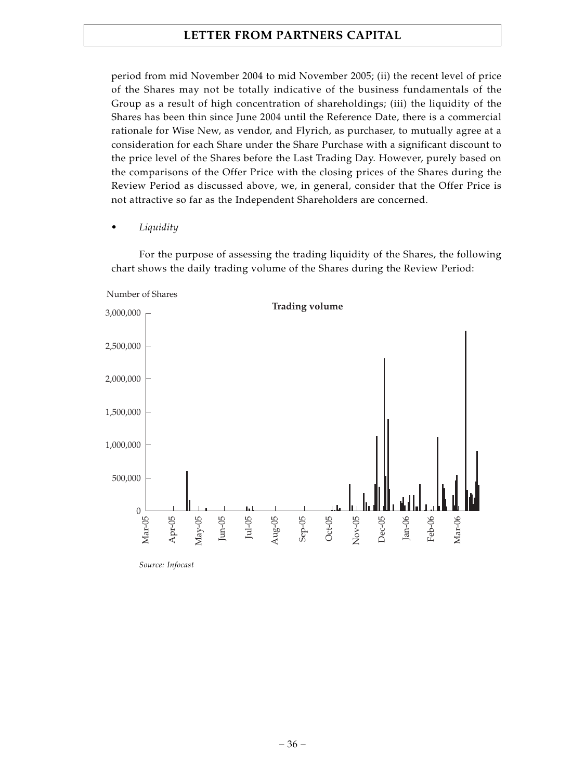period from mid November 2004 to mid November 2005; (ii) the recent level of price of the Shares may not be totally indicative of the business fundamentals of the Group as a result of high concentration of shareholdings; (iii) the liquidity of the Shares has been thin since June 2004 until the Reference Date, there is a commercial rationale for Wise New, as vendor, and Flyrich, as purchaser, to mutually agree at a consideration for each Share under the Share Purchase with a significant discount to the price level of the Shares before the Last Trading Day. However, purely based on the comparisons of the Offer Price with the closing prices of the Shares during the Review Period as discussed above, we, in general, consider that the Offer Price is not attractive so far as the Independent Shareholders are concerned.

*• Liquidity*

For the purpose of assessing the trading liquidity of the Shares, the following chart shows the daily trading volume of the Shares during the Review Period:



*Source: Infocast*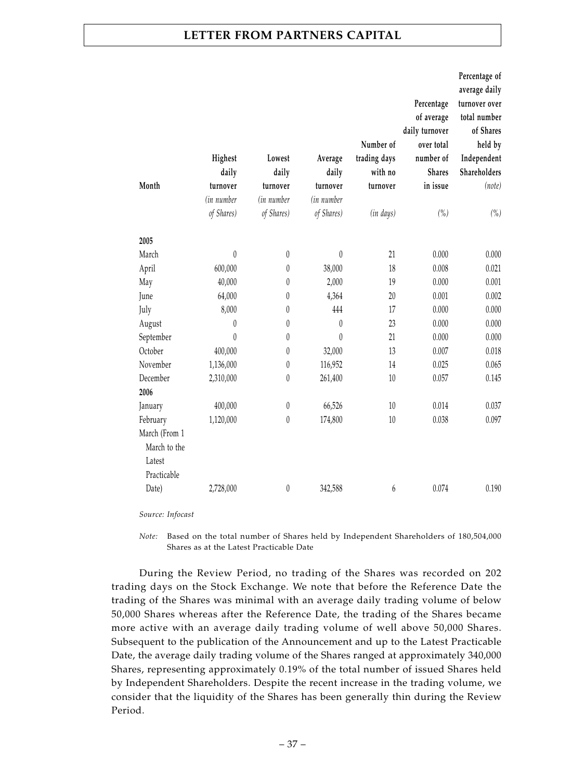| Month                                                  | Highest<br>daily<br>turnover<br>(in number | Lowest<br>daily<br>turnover<br>(in number | Average<br>daily<br>turnover<br>(in number | Number of<br>trading days<br>with no<br>turnover | Percentage<br>of average<br>daily turnover<br>over total<br>number of<br><b>Shares</b><br>in issue | Percentage of<br>average daily<br>turnover over<br>total number<br>of Shares<br>held by<br>Independent<br>Shareholders<br>(note) |
|--------------------------------------------------------|--------------------------------------------|-------------------------------------------|--------------------------------------------|--------------------------------------------------|----------------------------------------------------------------------------------------------------|----------------------------------------------------------------------------------------------------------------------------------|
|                                                        | of Shares)                                 | of Shares)                                | of Shares)                                 | (in days)                                        | (%)                                                                                                | (%)                                                                                                                              |
| 2005                                                   |                                            |                                           |                                            |                                                  |                                                                                                    |                                                                                                                                  |
| March                                                  | $\boldsymbol{0}$                           | 0                                         | 0                                          | 21                                               | 0.000                                                                                              | 0.000                                                                                                                            |
| April                                                  | 600,000                                    | $\boldsymbol{0}$                          | 38,000                                     | 18                                               | 0.008                                                                                              | 0.021                                                                                                                            |
| May                                                    | 40,000                                     | 0                                         | 2,000                                      | 19                                               | 0.000                                                                                              | 0.001                                                                                                                            |
| June                                                   | 64,000                                     | 0                                         | 4,364                                      | 20                                               | 0.001                                                                                              | 0.002                                                                                                                            |
| July                                                   | 8,000                                      | 0                                         | 444                                        | 17                                               | 0.000                                                                                              | 0.000                                                                                                                            |
| August                                                 | 0                                          | 0                                         | 0                                          | 23                                               | 0.000                                                                                              | 0.000                                                                                                                            |
| September                                              | $\boldsymbol{0}$                           | 0                                         | $\boldsymbol{0}$                           | 21                                               | 0.000                                                                                              | 0.000                                                                                                                            |
| October                                                | 400,000                                    | $\boldsymbol{0}$                          | 32,000                                     | 13                                               | 0.007                                                                                              | 0.018                                                                                                                            |
| November                                               | 1,136,000                                  | 0                                         | 116,952                                    | 14                                               | 0.025                                                                                              | 0.065                                                                                                                            |
| December<br>2006                                       | 2,310,000                                  | $\boldsymbol{0}$                          | 261,400                                    | $10\,$                                           | 0.057                                                                                              | 0.145                                                                                                                            |
| January                                                | 400,000                                    | $\boldsymbol{0}$                          | 66,526                                     | $10\,$                                           | 0.014                                                                                              | 0.037                                                                                                                            |
| February                                               | 1,120,000                                  | $\mathbf{0}$                              | 174,800                                    | 10                                               | 0.038                                                                                              | 0.097                                                                                                                            |
| March (From 1<br>March to the<br>Latest<br>Practicable |                                            |                                           |                                            |                                                  |                                                                                                    |                                                                                                                                  |
| Date)                                                  | 2,728,000                                  | $\boldsymbol{0}$                          | 342,588                                    | 6                                                | 0.074                                                                                              | 0.190                                                                                                                            |

*Source: Infocast*

*Note:* Based on the total number of Shares held by Independent Shareholders of 180,504,000 Shares as at the Latest Practicable Date

During the Review Period, no trading of the Shares was recorded on 202 trading days on the Stock Exchange. We note that before the Reference Date the trading of the Shares was minimal with an average daily trading volume of below 50,000 Shares whereas after the Reference Date, the trading of the Shares became more active with an average daily trading volume of well above 50,000 Shares. Subsequent to the publication of the Announcement and up to the Latest Practicable Date, the average daily trading volume of the Shares ranged at approximately 340,000 Shares, representing approximately 0.19% of the total number of issued Shares held by Independent Shareholders. Despite the recent increase in the trading volume, we consider that the liquidity of the Shares has been generally thin during the Review Period.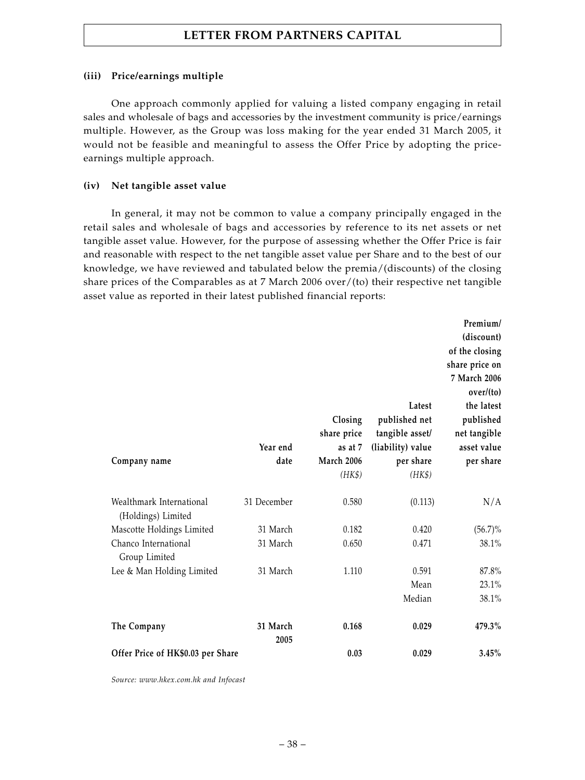### **(iii) Price/earnings multiple**

One approach commonly applied for valuing a listed company engaging in retail sales and wholesale of bags and accessories by the investment community is price/earnings multiple. However, as the Group was loss making for the year ended 31 March 2005, it would not be feasible and meaningful to assess the Offer Price by adopting the priceearnings multiple approach.

### **(iv) Net tangible asset value**

In general, it may not be common to value a company principally engaged in the retail sales and wholesale of bags and accessories by reference to its net assets or net tangible asset value. However, for the purpose of assessing whether the Offer Price is fair and reasonable with respect to the net tangible asset value per Share and to the best of our knowledge, we have reviewed and tabulated below the premia/(discounts) of the closing share prices of the Comparables as at 7 March 2006 over/(to) their respective net tangible asset value as reported in their latest published financial reports:

|                                                |                  | Closing<br>share price | Latest<br>published net<br>tangible asset/ | Premium/<br>(discount)<br>of the closing<br>share price on<br>7 March 2006<br>over/(to)<br>the latest<br>published<br>net tangible |
|------------------------------------------------|------------------|------------------------|--------------------------------------------|------------------------------------------------------------------------------------------------------------------------------------|
|                                                | Year end         | as at 7                | (liability) value                          | asset value                                                                                                                        |
| Company name                                   | date             | March 2006             | per share                                  | per share                                                                                                                          |
|                                                |                  | (HK\$)                 | (HK\$)                                     |                                                                                                                                    |
| Wealthmark International<br>(Holdings) Limited | 31 December      | 0.580                  | (0.113)                                    | N/A                                                                                                                                |
| Mascotte Holdings Limited                      | 31 March         | 0.182                  | 0.420                                      | $(56.7)\%$                                                                                                                         |
| Chanco International<br>Group Limited          | 31 March         | 0.650                  | 0.471                                      | 38.1%                                                                                                                              |
| Lee & Man Holding Limited                      | 31 March         | 1.110                  | 0.591                                      | 87.8%                                                                                                                              |
|                                                |                  |                        | Mean                                       | 23.1%                                                                                                                              |
|                                                |                  |                        | Median                                     | 38.1%                                                                                                                              |
| The Company                                    | 31 March<br>2005 | 0.168                  | 0.029                                      | 479.3%                                                                                                                             |
| Offer Price of HK\$0.03 per Share              |                  | 0.03                   | 0.029                                      | 3.45%                                                                                                                              |

*Source: www.hkex.com.hk and Infocast*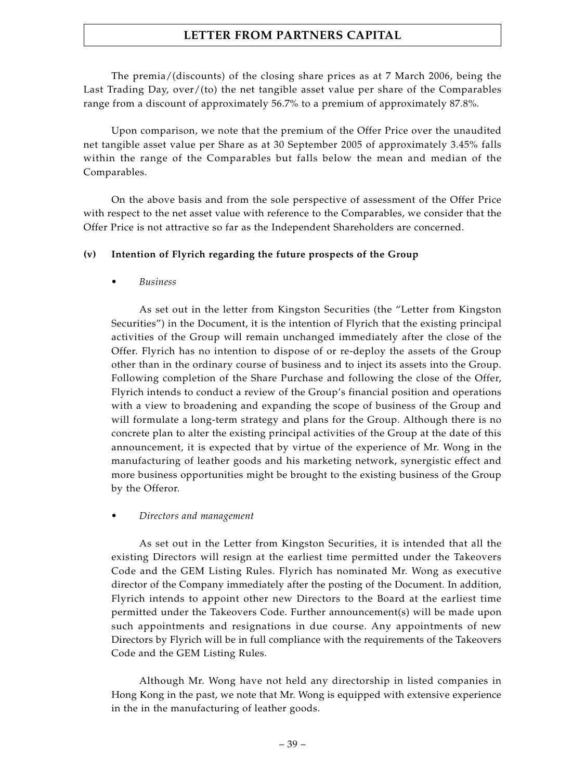The premia/(discounts) of the closing share prices as at 7 March 2006, being the Last Trading Day, over/(to) the net tangible asset value per share of the Comparables range from a discount of approximately 56.7% to a premium of approximately 87.8%.

Upon comparison, we note that the premium of the Offer Price over the unaudited net tangible asset value per Share as at 30 September 2005 of approximately 3.45% falls within the range of the Comparables but falls below the mean and median of the Comparables.

On the above basis and from the sole perspective of assessment of the Offer Price with respect to the net asset value with reference to the Comparables, we consider that the Offer Price is not attractive so far as the Independent Shareholders are concerned.

# **(v) Intention of Flyrich regarding the future prospects of the Group**

*• Business*

As set out in the letter from Kingston Securities (the "Letter from Kingston Securities") in the Document, it is the intention of Flyrich that the existing principal activities of the Group will remain unchanged immediately after the close of the Offer. Flyrich has no intention to dispose of or re-deploy the assets of the Group other than in the ordinary course of business and to inject its assets into the Group. Following completion of the Share Purchase and following the close of the Offer, Flyrich intends to conduct a review of the Group's financial position and operations with a view to broadening and expanding the scope of business of the Group and will formulate a long-term strategy and plans for the Group. Although there is no concrete plan to alter the existing principal activities of the Group at the date of this announcement, it is expected that by virtue of the experience of Mr. Wong in the manufacturing of leather goods and his marketing network, synergistic effect and more business opportunities might be brought to the existing business of the Group by the Offeror.

# *• Directors and management*

As set out in the Letter from Kingston Securities, it is intended that all the existing Directors will resign at the earliest time permitted under the Takeovers Code and the GEM Listing Rules. Flyrich has nominated Mr. Wong as executive director of the Company immediately after the posting of the Document. In addition, Flyrich intends to appoint other new Directors to the Board at the earliest time permitted under the Takeovers Code. Further announcement(s) will be made upon such appointments and resignations in due course. Any appointments of new Directors by Flyrich will be in full compliance with the requirements of the Takeovers Code and the GEM Listing Rules.

Although Mr. Wong have not held any directorship in listed companies in Hong Kong in the past, we note that Mr. Wong is equipped with extensive experience in the in the manufacturing of leather goods.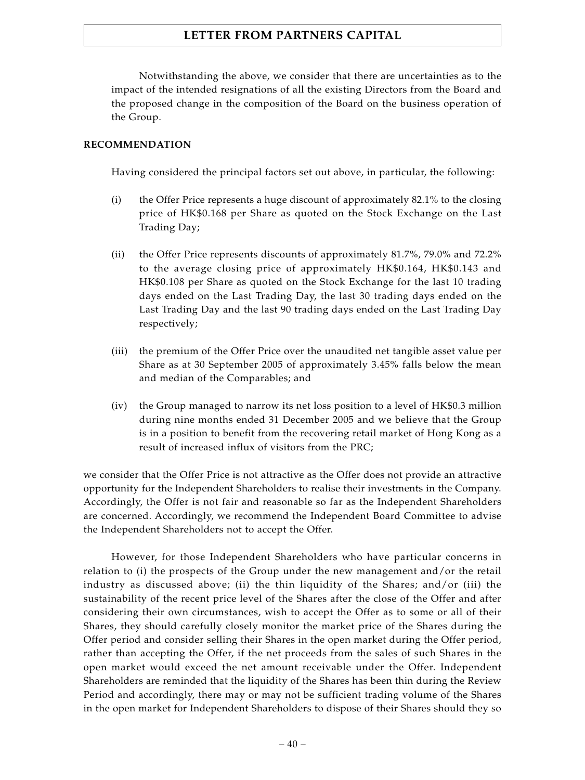Notwithstanding the above, we consider that there are uncertainties as to the impact of the intended resignations of all the existing Directors from the Board and the proposed change in the composition of the Board on the business operation of the Group.

# **RECOMMENDATION**

Having considered the principal factors set out above, in particular, the following:

- (i) the Offer Price represents a huge discount of approximately 82.1% to the closing price of HK\$0.168 per Share as quoted on the Stock Exchange on the Last Trading Day;
- (ii) the Offer Price represents discounts of approximately 81.7%, 79.0% and 72.2% to the average closing price of approximately HK\$0.164, HK\$0.143 and HK\$0.108 per Share as quoted on the Stock Exchange for the last 10 trading days ended on the Last Trading Day, the last 30 trading days ended on the Last Trading Day and the last 90 trading days ended on the Last Trading Day respectively;
- (iii) the premium of the Offer Price over the unaudited net tangible asset value per Share as at 30 September 2005 of approximately 3.45% falls below the mean and median of the Comparables; and
- (iv) the Group managed to narrow its net loss position to a level of HK\$0.3 million during nine months ended 31 December 2005 and we believe that the Group is in a position to benefit from the recovering retail market of Hong Kong as a result of increased influx of visitors from the PRC;

we consider that the Offer Price is not attractive as the Offer does not provide an attractive opportunity for the Independent Shareholders to realise their investments in the Company. Accordingly, the Offer is not fair and reasonable so far as the Independent Shareholders are concerned. Accordingly, we recommend the Independent Board Committee to advise the Independent Shareholders not to accept the Offer.

However, for those Independent Shareholders who have particular concerns in relation to (i) the prospects of the Group under the new management and/or the retail industry as discussed above; (ii) the thin liquidity of the Shares; and/or (iii) the sustainability of the recent price level of the Shares after the close of the Offer and after considering their own circumstances, wish to accept the Offer as to some or all of their Shares, they should carefully closely monitor the market price of the Shares during the Offer period and consider selling their Shares in the open market during the Offer period, rather than accepting the Offer, if the net proceeds from the sales of such Shares in the open market would exceed the net amount receivable under the Offer. Independent Shareholders are reminded that the liquidity of the Shares has been thin during the Review Period and accordingly, there may or may not be sufficient trading volume of the Shares in the open market for Independent Shareholders to dispose of their Shares should they so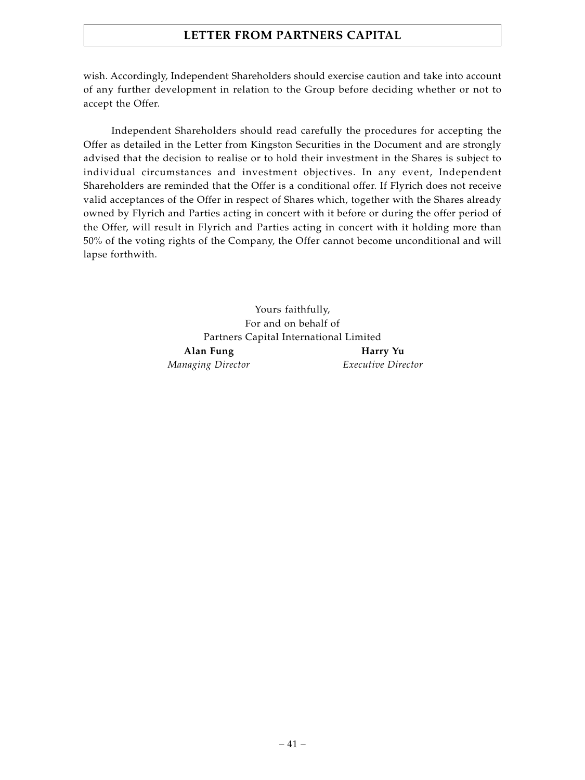wish. Accordingly, Independent Shareholders should exercise caution and take into account of any further development in relation to the Group before deciding whether or not to accept the Offer.

Independent Shareholders should read carefully the procedures for accepting the Offer as detailed in the Letter from Kingston Securities in the Document and are strongly advised that the decision to realise or to hold their investment in the Shares is subject to individual circumstances and investment objectives. In any event, Independent Shareholders are reminded that the Offer is a conditional offer. If Flyrich does not receive valid acceptances of the Offer in respect of Shares which, together with the Shares already owned by Flyrich and Parties acting in concert with it before or during the offer period of the Offer, will result in Flyrich and Parties acting in concert with it holding more than 50% of the voting rights of the Company, the Offer cannot become unconditional and will lapse forthwith.

> Yours faithfully, For and on behalf of Partners Capital International Limited Alan Fung **Harry Yu** *Managing Director Executive Director*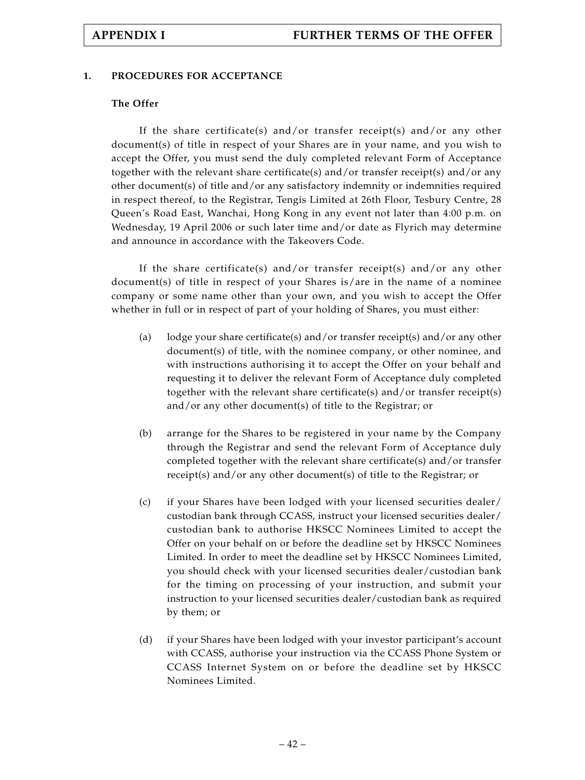# **1. PROCEDURES FOR ACCEPTANCE**

### **The Offer**

If the share certificate(s) and/or transfer receipt(s) and/or any other document(s) of title in respect of your Shares are in your name, and you wish to accept the Offer, you must send the duly completed relevant Form of Acceptance together with the relevant share certificate(s) and/or transfer receipt(s) and/or any other document(s) of title and/or any satisfactory indemnity or indemnities required in respect thereof, to the Registrar, Tengis Limited at 26th Floor, Tesbury Centre, 28 Queen's Road East, Wanchai, Hong Kong in any event not later than 4:00 p.m. on Wednesday, 19 April 2006 or such later time and/or date as Flyrich may determine and announce in accordance with the Takeovers Code.

If the share certificate(s) and/or transfer receipt(s) and/or any other document(s) of title in respect of your Shares is/are in the name of a nominee company or some name other than your own, and you wish to accept the Offer whether in full or in respect of part of your holding of Shares, you must either:

- (a) lodge your share certificate(s) and/or transfer receipt(s) and/or any other document(s) of title, with the nominee company, or other nominee, and with instructions authorising it to accept the Offer on your behalf and requesting it to deliver the relevant Form of Acceptance duly completed together with the relevant share certificate(s) and/or transfer receipt(s) and/or any other document(s) of title to the Registrar; or
- (b) arrange for the Shares to be registered in your name by the Company through the Registrar and send the relevant Form of Acceptance duly completed together with the relevant share certificate(s) and/or transfer receipt(s) and/or any other document(s) of title to the Registrar; or
- (c) if your Shares have been lodged with your licensed securities dealer/ custodian bank through CCASS, instruct your licensed securities dealer/ custodian bank to authorise HKSCC Nominees Limited to accept the Offer on your behalf on or before the deadline set by HKSCC Nominees Limited. In order to meet the deadline set by HKSCC Nominees Limited, you should check with your licensed securities dealer/custodian bank for the timing on processing of your instruction, and submit your instruction to your licensed securities dealer/custodian bank as required by them; or
- (d) if your Shares have been lodged with your investor participant's account with CCASS, authorise your instruction via the CCASS Phone System or CCASS Internet System on or before the deadline set by HKSCC Nominees Limited.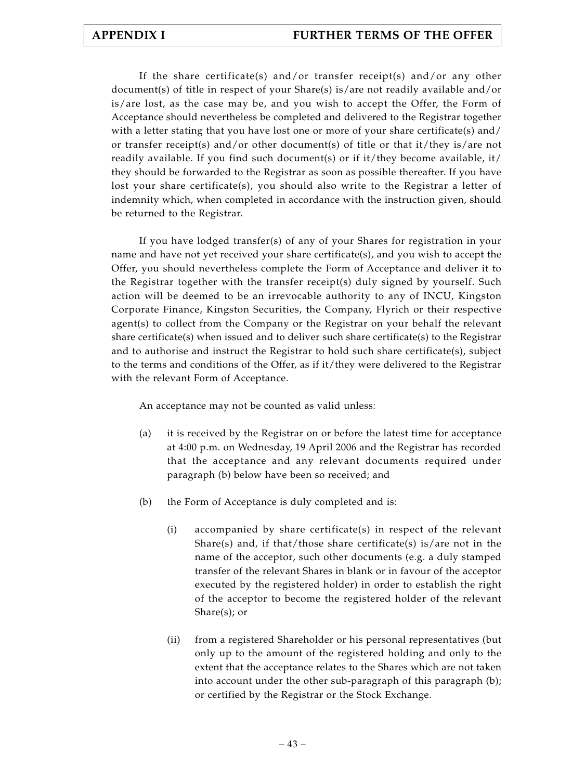If the share certificate(s) and/or transfer receipt(s) and/or any other document(s) of title in respect of your Share(s) is/are not readily available and/or is/are lost, as the case may be, and you wish to accept the Offer, the Form of Acceptance should nevertheless be completed and delivered to the Registrar together with a letter stating that you have lost one or more of your share certificate(s) and/ or transfer receipt(s) and/or other document(s) of title or that it/they is/are not readily available. If you find such document(s) or if it/they become available, it/ they should be forwarded to the Registrar as soon as possible thereafter. If you have lost your share certificate(s), you should also write to the Registrar a letter of indemnity which, when completed in accordance with the instruction given, should be returned to the Registrar.

If you have lodged transfer(s) of any of your Shares for registration in your name and have not yet received your share certificate(s), and you wish to accept the Offer, you should nevertheless complete the Form of Acceptance and deliver it to the Registrar together with the transfer receipt(s) duly signed by yourself. Such action will be deemed to be an irrevocable authority to any of INCU, Kingston Corporate Finance, Kingston Securities, the Company, Flyrich or their respective agent(s) to collect from the Company or the Registrar on your behalf the relevant share certificate(s) when issued and to deliver such share certificate(s) to the Registrar and to authorise and instruct the Registrar to hold such share certificate(s), subject to the terms and conditions of the Offer, as if it/they were delivered to the Registrar with the relevant Form of Acceptance.

An acceptance may not be counted as valid unless:

- (a) it is received by the Registrar on or before the latest time for acceptance at 4:00 p.m. on Wednesday, 19 April 2006 and the Registrar has recorded that the acceptance and any relevant documents required under paragraph (b) below have been so received; and
- (b) the Form of Acceptance is duly completed and is:
	- (i) accompanied by share certificate(s) in respect of the relevant Share(s) and, if that/those share certificate(s) is/are not in the name of the acceptor, such other documents (e.g. a duly stamped transfer of the relevant Shares in blank or in favour of the acceptor executed by the registered holder) in order to establish the right of the acceptor to become the registered holder of the relevant Share(s); or
	- (ii) from a registered Shareholder or his personal representatives (but only up to the amount of the registered holding and only to the extent that the acceptance relates to the Shares which are not taken into account under the other sub-paragraph of this paragraph (b); or certified by the Registrar or the Stock Exchange.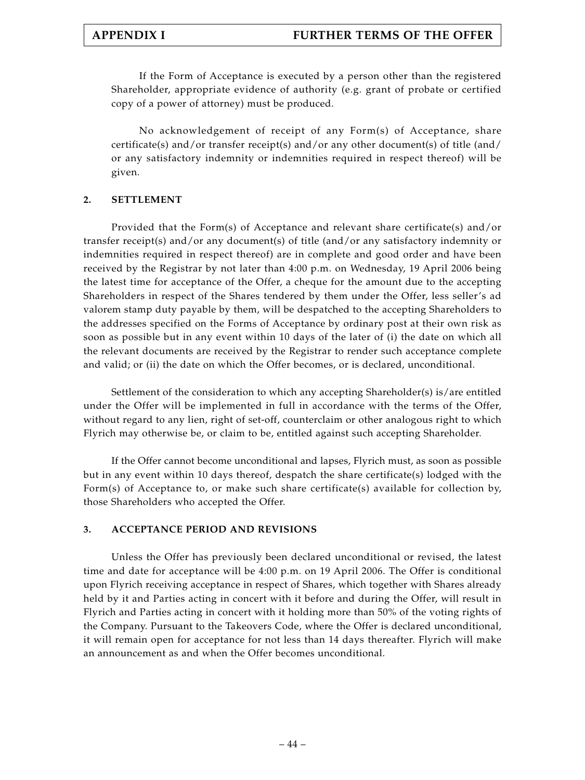If the Form of Acceptance is executed by a person other than the registered Shareholder, appropriate evidence of authority (e.g. grant of probate or certified copy of a power of attorney) must be produced.

No acknowledgement of receipt of any Form(s) of Acceptance, share certificate(s) and/or transfer receipt(s) and/or any other document(s) of title (and/ or any satisfactory indemnity or indemnities required in respect thereof) will be given.

# **2. SETTLEMENT**

Provided that the Form(s) of Acceptance and relevant share certificate(s) and/or transfer receipt(s) and/or any document(s) of title (and/or any satisfactory indemnity or indemnities required in respect thereof) are in complete and good order and have been received by the Registrar by not later than 4:00 p.m. on Wednesday, 19 April 2006 being the latest time for acceptance of the Offer, a cheque for the amount due to the accepting Shareholders in respect of the Shares tendered by them under the Offer, less seller's ad valorem stamp duty payable by them, will be despatched to the accepting Shareholders to the addresses specified on the Forms of Acceptance by ordinary post at their own risk as soon as possible but in any event within 10 days of the later of (i) the date on which all the relevant documents are received by the Registrar to render such acceptance complete and valid; or (ii) the date on which the Offer becomes, or is declared, unconditional.

Settlement of the consideration to which any accepting Shareholder(s) is/are entitled under the Offer will be implemented in full in accordance with the terms of the Offer, without regard to any lien, right of set-off, counterclaim or other analogous right to which Flyrich may otherwise be, or claim to be, entitled against such accepting Shareholder.

If the Offer cannot become unconditional and lapses, Flyrich must, as soon as possible but in any event within 10 days thereof, despatch the share certificate(s) lodged with the Form(s) of Acceptance to, or make such share certificate(s) available for collection by, those Shareholders who accepted the Offer.

# **3. ACCEPTANCE PERIOD AND REVISIONS**

Unless the Offer has previously been declared unconditional or revised, the latest time and date for acceptance will be 4:00 p.m. on 19 April 2006. The Offer is conditional upon Flyrich receiving acceptance in respect of Shares, which together with Shares already held by it and Parties acting in concert with it before and during the Offer, will result in Flyrich and Parties acting in concert with it holding more than 50% of the voting rights of the Company. Pursuant to the Takeovers Code, where the Offer is declared unconditional, it will remain open for acceptance for not less than 14 days thereafter. Flyrich will make an announcement as and when the Offer becomes unconditional.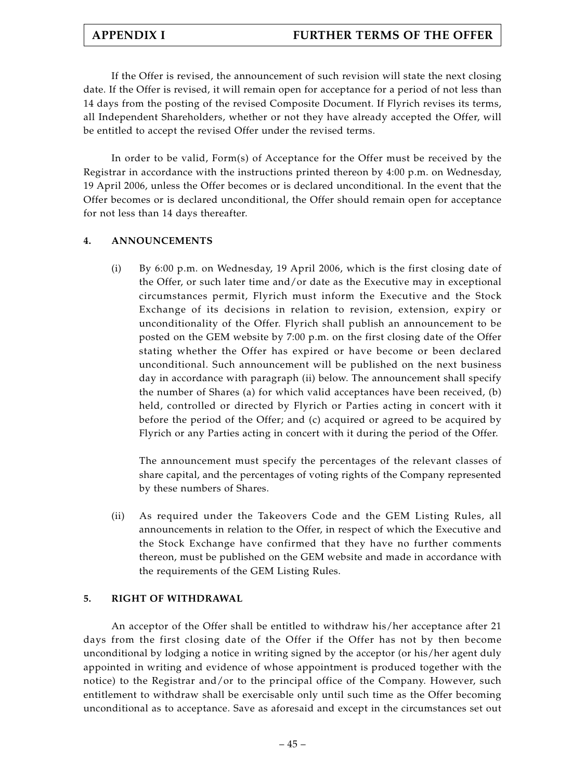If the Offer is revised, the announcement of such revision will state the next closing date. If the Offer is revised, it will remain open for acceptance for a period of not less than 14 days from the posting of the revised Composite Document. If Flyrich revises its terms, all Independent Shareholders, whether or not they have already accepted the Offer, will be entitled to accept the revised Offer under the revised terms.

In order to be valid, Form(s) of Acceptance for the Offer must be received by the Registrar in accordance with the instructions printed thereon by  $4:00$  p.m. on Wednesday, 19 April 2006, unless the Offer becomes or is declared unconditional. In the event that the Offer becomes or is declared unconditional, the Offer should remain open for acceptance for not less than 14 days thereafter.

# **4. ANNOUNCEMENTS**

(i) By 6:00 p.m. on Wednesday, 19 April 2006, which is the first closing date of the Offer, or such later time and/or date as the Executive may in exceptional circumstances permit, Flyrich must inform the Executive and the Stock Exchange of its decisions in relation to revision, extension, expiry or unconditionality of the Offer. Flyrich shall publish an announcement to be posted on the GEM website by 7:00 p.m. on the first closing date of the Offer stating whether the Offer has expired or have become or been declared unconditional. Such announcement will be published on the next business day in accordance with paragraph (ii) below. The announcement shall specify the number of Shares (a) for which valid acceptances have been received, (b) held, controlled or directed by Flyrich or Parties acting in concert with it before the period of the Offer; and (c) acquired or agreed to be acquired by Flyrich or any Parties acting in concert with it during the period of the Offer.

The announcement must specify the percentages of the relevant classes of share capital, and the percentages of voting rights of the Company represented by these numbers of Shares.

(ii) As required under the Takeovers Code and the GEM Listing Rules, all announcements in relation to the Offer, in respect of which the Executive and the Stock Exchange have confirmed that they have no further comments thereon, must be published on the GEM website and made in accordance with the requirements of the GEM Listing Rules.

# **5. RIGHT OF WITHDRAWAL**

An acceptor of the Offer shall be entitled to withdraw his/her acceptance after 21 days from the first closing date of the Offer if the Offer has not by then become unconditional by lodging a notice in writing signed by the acceptor (or his/her agent duly appointed in writing and evidence of whose appointment is produced together with the notice) to the Registrar and/or to the principal office of the Company. However, such entitlement to withdraw shall be exercisable only until such time as the Offer becoming unconditional as to acceptance. Save as aforesaid and except in the circumstances set out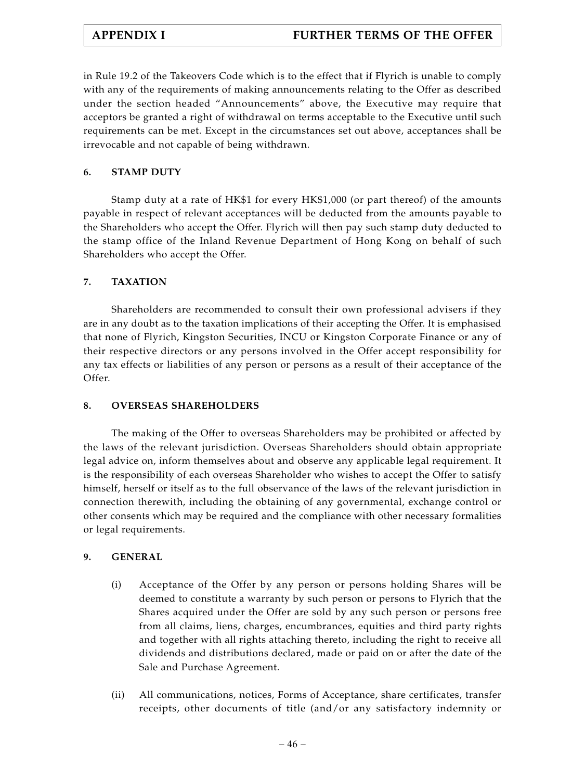in Rule 19.2 of the Takeovers Code which is to the effect that if Flyrich is unable to comply with any of the requirements of making announcements relating to the Offer as described under the section headed "Announcements" above, the Executive may require that acceptors be granted a right of withdrawal on terms acceptable to the Executive until such requirements can be met. Except in the circumstances set out above, acceptances shall be irrevocable and not capable of being withdrawn.

# **6. STAMP DUTY**

Stamp duty at a rate of HK\$1 for every HK\$1,000 (or part thereof) of the amounts payable in respect of relevant acceptances will be deducted from the amounts payable to the Shareholders who accept the Offer. Flyrich will then pay such stamp duty deducted to the stamp office of the Inland Revenue Department of Hong Kong on behalf of such Shareholders who accept the Offer.

# **7. TAXATION**

Shareholders are recommended to consult their own professional advisers if they are in any doubt as to the taxation implications of their accepting the Offer. It is emphasised that none of Flyrich, Kingston Securities, INCU or Kingston Corporate Finance or any of their respective directors or any persons involved in the Offer accept responsibility for any tax effects or liabilities of any person or persons as a result of their acceptance of the Offer.

# **8. OVERSEAS SHAREHOLDERS**

The making of the Offer to overseas Shareholders may be prohibited or affected by the laws of the relevant jurisdiction. Overseas Shareholders should obtain appropriate legal advice on, inform themselves about and observe any applicable legal requirement. It is the responsibility of each overseas Shareholder who wishes to accept the Offer to satisfy himself, herself or itself as to the full observance of the laws of the relevant jurisdiction in connection therewith, including the obtaining of any governmental, exchange control or other consents which may be required and the compliance with other necessary formalities or legal requirements.

# **9. GENERAL**

- (i) Acceptance of the Offer by any person or persons holding Shares will be deemed to constitute a warranty by such person or persons to Flyrich that the Shares acquired under the Offer are sold by any such person or persons free from all claims, liens, charges, encumbrances, equities and third party rights and together with all rights attaching thereto, including the right to receive all dividends and distributions declared, made or paid on or after the date of the Sale and Purchase Agreement.
- (ii) All communications, notices, Forms of Acceptance, share certificates, transfer receipts, other documents of title (and/or any satisfactory indemnity or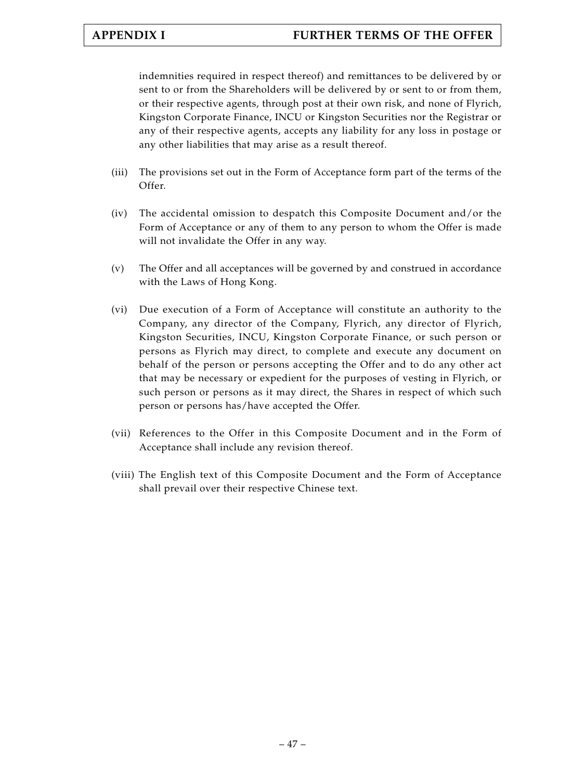indemnities required in respect thereof) and remittances to be delivered by or sent to or from the Shareholders will be delivered by or sent to or from them, or their respective agents, through post at their own risk, and none of Flyrich, Kingston Corporate Finance, INCU or Kingston Securities nor the Registrar or any of their respective agents, accepts any liability for any loss in postage or any other liabilities that may arise as a result thereof.

- (iii) The provisions set out in the Form of Acceptance form part of the terms of the Offer.
- (iv) The accidental omission to despatch this Composite Document and/or the Form of Acceptance or any of them to any person to whom the Offer is made will not invalidate the Offer in any way.
- (v) The Offer and all acceptances will be governed by and construed in accordance with the Laws of Hong Kong.
- (vi) Due execution of a Form of Acceptance will constitute an authority to the Company, any director of the Company, Flyrich, any director of Flyrich, Kingston Securities, INCU, Kingston Corporate Finance, or such person or persons as Flyrich may direct, to complete and execute any document on behalf of the person or persons accepting the Offer and to do any other act that may be necessary or expedient for the purposes of vesting in Flyrich, or such person or persons as it may direct, the Shares in respect of which such person or persons has/have accepted the Offer.
- (vii) References to the Offer in this Composite Document and in the Form of Acceptance shall include any revision thereof.
- (viii) The English text of this Composite Document and the Form of Acceptance shall prevail over their respective Chinese text.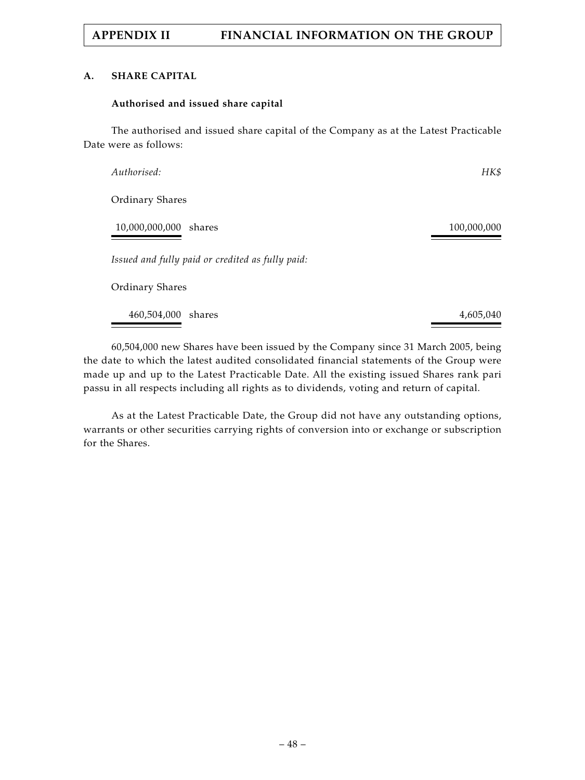### **A. SHARE CAPITAL**

### **Authorised and issued share capital**

The authorised and issued share capital of the Company as at the Latest Practicable Date were as follows:

| Authorised:                                      | HK\$        |
|--------------------------------------------------|-------------|
| <b>Ordinary Shares</b>                           |             |
| 10,000,000,000 shares                            | 100,000,000 |
| Issued and fully paid or credited as fully paid: |             |
| <b>Ordinary Shares</b>                           |             |
| 460,504,000 shares                               | 4,605,040   |

60,504,000 new Shares have been issued by the Company since 31 March 2005, being the date to which the latest audited consolidated financial statements of the Group were made up and up to the Latest Practicable Date. All the existing issued Shares rank pari passu in all respects including all rights as to dividends, voting and return of capital.

As at the Latest Practicable Date, the Group did not have any outstanding options, warrants or other securities carrying rights of conversion into or exchange or subscription for the Shares.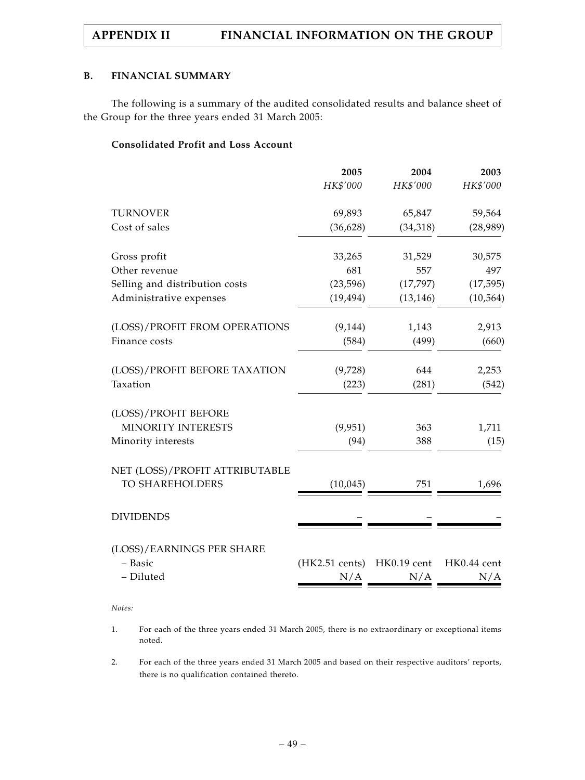### **B. FINANCIAL SUMMARY**

The following is a summary of the audited consolidated results and balance sheet of the Group for the three years ended 31 March 2005:

# **Consolidated Profit and Loss Account**

|                                | 2005           | 2004        | 2003        |
|--------------------------------|----------------|-------------|-------------|
|                                | HK\$'000       | HK\$'000    | HK\$'000    |
| <b>TURNOVER</b>                | 69,893         | 65,847      | 59,564      |
| Cost of sales                  | (36, 628)      | (34, 318)   | (28,989)    |
| Gross profit                   | 33,265         | 31,529      | 30,575      |
| Other revenue                  | 681            | 557         | 497         |
| Selling and distribution costs | (23, 596)      | (17, 797)   | (17, 595)   |
| Administrative expenses        | (19, 494)      | (13, 146)   | (10, 564)   |
| (LOSS)/PROFIT FROM OPERATIONS  | (9, 144)       | 1,143       | 2,913       |
| Finance costs                  | (584)          | (499)       | (660)       |
| (LOSS)/PROFIT BEFORE TAXATION  | (9,728)        | 644         | 2,253       |
| Taxation                       | (223)          | (281)       | (542)       |
| (LOSS)/PROFIT BEFORE           |                |             |             |
| MINORITY INTERESTS             | (9,951)        | 363         | 1,711       |
| Minority interests             | (94)           | 388         | (15)        |
| NET (LOSS)/PROFIT ATTRIBUTABLE |                |             |             |
| TO SHAREHOLDERS                | (10, 045)      | 751         | 1,696       |
| <b>DIVIDENDS</b>               |                |             |             |
| (LOSS)/EARNINGS PER SHARE      |                |             |             |
| - Basic                        | (HK2.51 cents) | HK0.19 cent | HK0.44 cent |
| - Diluted                      | N/A            | N/A         | N/A         |

*Notes:*

1. For each of the three years ended 31 March 2005, there is no extraordinary or exceptional items noted.

2. For each of the three years ended 31 March 2005 and based on their respective auditors' reports, there is no qualification contained thereto.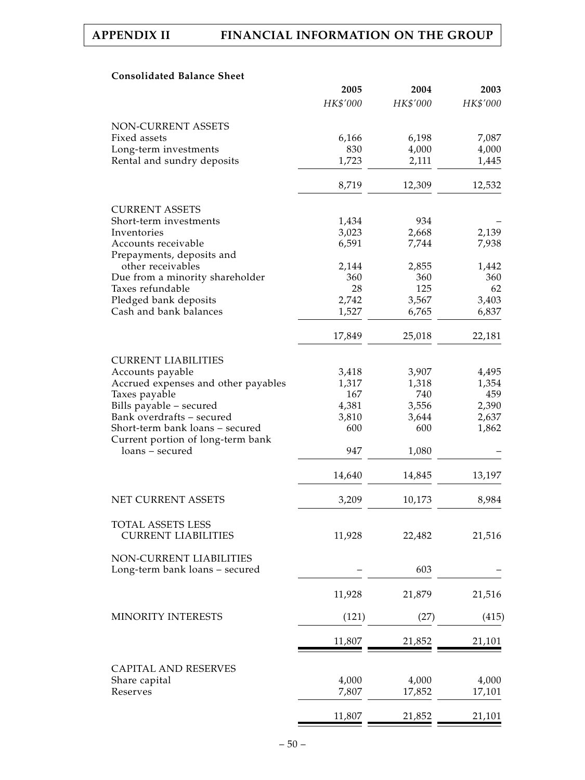# **Consolidated Balance Sheet**

|                                                                      | 2005     | 2004     | 2003          |
|----------------------------------------------------------------------|----------|----------|---------------|
|                                                                      | HK\$'000 | HK\$'000 | HK\$'000      |
| NON-CURRENT ASSETS                                                   |          |          |               |
| Fixed assets                                                         | 6,166    | 6,198    | 7,087         |
| Long-term investments                                                | 830      | 4,000    | 4,000         |
| Rental and sundry deposits                                           | 1,723    | 2,111    | 1,445         |
|                                                                      | 8,719    | 12,309   | 12,532        |
| <b>CURRENT ASSETS</b>                                                |          |          |               |
| Short-term investments                                               | 1,434    | 934      |               |
| Inventories                                                          | 3,023    | 2,668    | 2,139         |
| Accounts receivable                                                  | 6,591    | 7,744    | 7,938         |
| Prepayments, deposits and                                            |          |          |               |
| other receivables                                                    | 2,144    | 2,855    | 1,442         |
| Due from a minority shareholder                                      | 360      | 360      | 360           |
| Taxes refundable                                                     | 28       | 125      | 62            |
| Pledged bank deposits                                                | 2,742    | 3,567    | 3,403         |
| Cash and bank balances                                               | 1,527    | 6,765    | 6,837         |
|                                                                      | 17,849   | 25,018   | 22,181        |
|                                                                      |          |          |               |
| <b>CURRENT LIABILITIES</b>                                           |          |          |               |
| Accounts payable                                                     | 3,418    | 3,907    | 4,495         |
| Accrued expenses and other payables                                  | 1,317    | 1,318    | 1,354         |
| Taxes payable                                                        | 167      | 740      | 459           |
| Bills payable - secured                                              | 4,381    | 3,556    | 2,390         |
| Bank overdrafts - secured                                            | 3,810    | 3,644    | 2,637         |
| Short-term bank loans - secured<br>Current portion of long-term bank | 600      | 600      | 1,862         |
| loans – secured                                                      | 947      | 1,080    |               |
|                                                                      | 14,640   | 14,845   | 13,197        |
|                                                                      |          |          |               |
| NET CURRENT ASSETS                                                   | 3,209    | 10,173   | 8,984         |
| <b>TOTAL ASSETS LESS</b>                                             |          |          |               |
| <b>CURRENT LIABILITIES</b>                                           | 11,928   | 22,482   | 21,516        |
| NON-CURRENT LIABILITIES                                              |          |          |               |
| Long-term bank loans - secured                                       |          | 603      |               |
|                                                                      | 11,928   | 21,879   | 21,516        |
| MINORITY INTERESTS                                                   | (121)    | (27)     | (415)         |
|                                                                      | 11,807   | 21,852   | <u>21,101</u> |
|                                                                      |          |          |               |
| <b>CAPITAL AND RESERVES</b>                                          |          |          |               |
| Share capital                                                        | 4,000    | 4,000    | 4,000         |
| Reserves                                                             | 7,807    | 17,852   | 17,101        |
|                                                                      | 11,807   | 21,852   | 21,101        |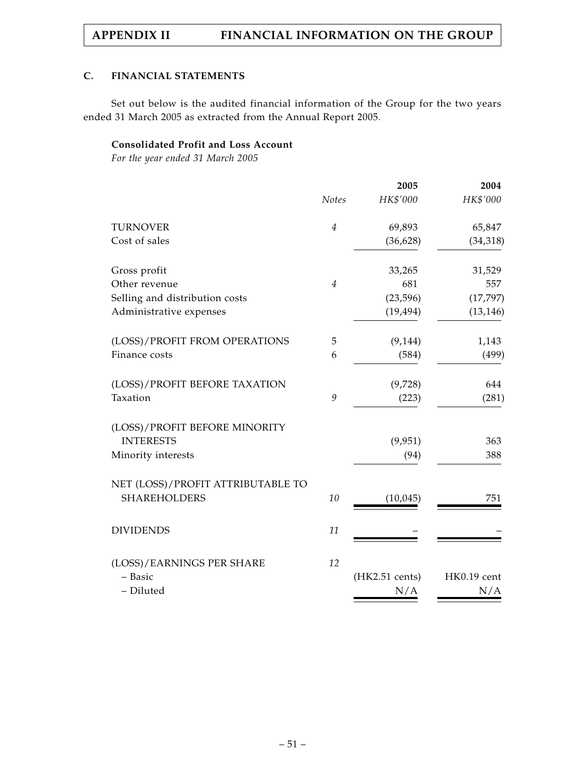# **C. FINANCIAL STATEMENTS**

Set out below is the audited financial information of the Group for the two years ended 31 March 2005 as extracted from the Annual Report 2005.

# **Consolidated Profit and Loss Account**

*For the year ended 31 March 2005*

|                                   |                | 2005           | 2004        |
|-----------------------------------|----------------|----------------|-------------|
|                                   | <b>Notes</b>   | HK\$'000       | HK\$'000    |
| <b>TURNOVER</b>                   | $\overline{4}$ | 69,893         | 65,847      |
| Cost of sales                     |                | (36, 628)      | (34, 318)   |
| Gross profit                      |                | 33,265         | 31,529      |
| Other revenue                     | $\overline{4}$ | 681            | 557         |
| Selling and distribution costs    |                | (23, 596)      | (17, 797)   |
| Administrative expenses           |                | (19, 494)      | (13, 146)   |
| (LOSS)/PROFIT FROM OPERATIONS     | 5              | (9, 144)       | 1,143       |
| Finance costs                     | 6              | (584)          | (499)       |
| (LOSS)/PROFIT BEFORE TAXATION     |                | (9,728)        | 644         |
| Taxation                          | 9              | (223)          | (281)       |
| (LOSS)/PROFIT BEFORE MINORITY     |                |                |             |
| <b>INTERESTS</b>                  |                | (9,951)        | 363         |
| Minority interests                |                | (94)           | 388         |
| NET (LOSS)/PROFIT ATTRIBUTABLE TO |                |                |             |
| <b>SHAREHOLDERS</b>               | 10             | (10,045)       | 751         |
| <b>DIVIDENDS</b>                  | 11             |                |             |
| (LOSS)/EARNINGS PER SHARE         | 12             |                |             |
| - Basic                           |                | (HK2.51 cents) | HK0.19 cent |
| - Diluted                         |                | N/A            | N/A         |
|                                   |                |                |             |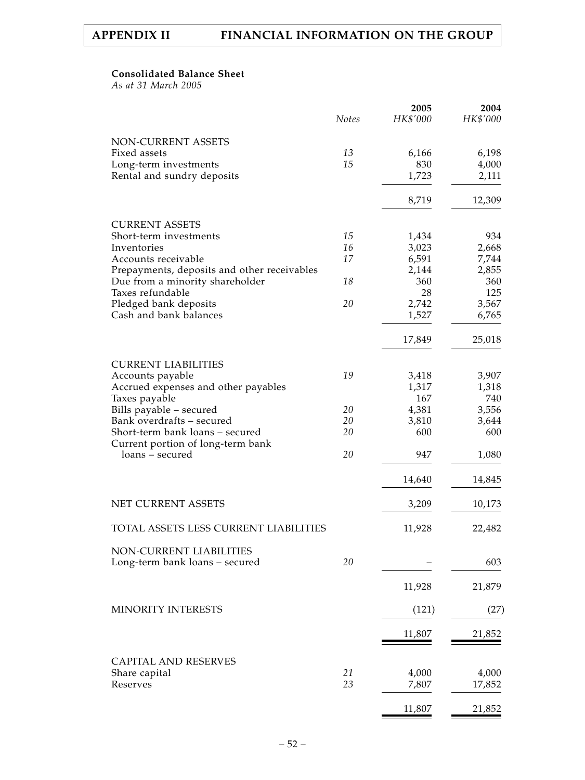### **Consolidated Balance Sheet**

*As at 31 March 2005*

|                                                                      | <b>Notes</b> | 2005<br>HK\$'000 | 2004<br>HK\$'000 |
|----------------------------------------------------------------------|--------------|------------------|------------------|
| <b>NON-CURRENT ASSETS</b>                                            |              |                  |                  |
| Fixed assets                                                         | 13           | 6,166            | 6,198            |
| Long-term investments                                                | 15           | 830              | 4,000            |
| Rental and sundry deposits                                           |              | 1,723            | 2,111            |
|                                                                      |              | 8,719            | 12,309           |
| <b>CURRENT ASSETS</b>                                                |              |                  |                  |
| Short-term investments                                               | 15           | 1,434            | 934              |
| Inventories                                                          | 16           | 3,023            | 2,668            |
| Accounts receivable                                                  | 17           | 6,591            | 7,744            |
| Prepayments, deposits and other receivables                          |              | 2,144            | 2,855            |
| Due from a minority shareholder                                      | 18           | 360              | 360              |
| Taxes refundable                                                     |              | 28               | 125              |
| Pledged bank deposits                                                | 20           | 2,742            | 3,567            |
| Cash and bank balances                                               |              | 1,527            | 6,765            |
|                                                                      |              | 17,849           | 25,018           |
| <b>CURRENT LIABILITIES</b>                                           |              |                  |                  |
| Accounts payable                                                     | 19           | 3,418            | 3,907            |
| Accrued expenses and other payables                                  |              | 1,317            | 1,318            |
| Taxes payable                                                        |              | 167              | 740              |
| Bills payable - secured                                              | 20           | 4,381            | 3,556            |
| Bank overdrafts - secured                                            | 20           | 3,810            | 3,644            |
| Short-term bank loans – secured<br>Current portion of long-term bank | 20           | 600              | 600              |
| loans – secured                                                      | 20           | 947              | 1,080            |
|                                                                      |              | 14,640           | 14,845           |
| NET CURRENT ASSETS                                                   |              | 3,209            | 10,173           |
| TOTAL ASSETS LESS CURRENT LIABILITIES                                |              | 11,928           | 22,482           |
| NON-CURRENT LIABILITIES                                              |              |                  |                  |
| Long-term bank loans - secured                                       | 20           |                  | 603              |
|                                                                      |              | 11,928           | 21,879           |
| MINORITY INTERESTS                                                   |              | (121)            | (27)             |
|                                                                      |              | 11,807           | 21,852           |
|                                                                      |              |                  |                  |
| <b>CAPITAL AND RESERVES</b>                                          | 21           | 4,000            | 4,000            |
| Share capital<br>Reserves                                            | 23           | 7,807            | 17,852           |
|                                                                      |              |                  |                  |
|                                                                      |              | 11,807           | 21,852           |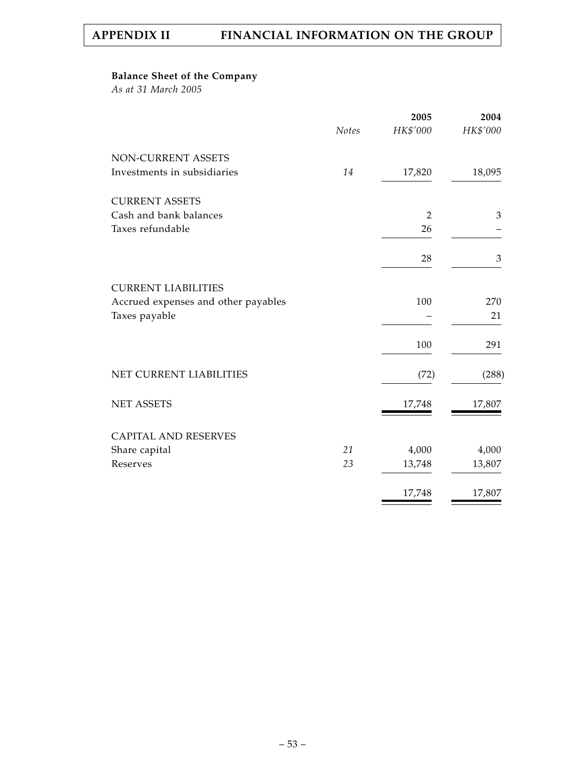# **Balance Sheet of the Company**

*As at 31 March 2005*

|                                     |              | 2005           | 2004     |
|-------------------------------------|--------------|----------------|----------|
|                                     | <b>Notes</b> | HK\$'000       | HK\$'000 |
| NON-CURRENT ASSETS                  |              |                |          |
| Investments in subsidiaries         | 14           | 17,820         | 18,095   |
| <b>CURRENT ASSETS</b>               |              |                |          |
| Cash and bank balances              |              | $\overline{2}$ | 3        |
| Taxes refundable                    |              | 26             |          |
|                                     |              | 28             | 3        |
| <b>CURRENT LIABILITIES</b>          |              |                |          |
| Accrued expenses and other payables |              | 100            | 270      |
| Taxes payable                       |              |                | 21       |
|                                     |              | 100            | 291      |
| NET CURRENT LIABILITIES             |              | (72)           | (288)    |
| <b>NET ASSETS</b>                   |              | 17,748         | 17,807   |
| <b>CAPITAL AND RESERVES</b>         |              |                |          |
| Share capital                       | 21           | 4,000          | 4,000    |
| Reserves                            | 23           | 13,748         | 13,807   |
|                                     |              | 17,748         | 17,807   |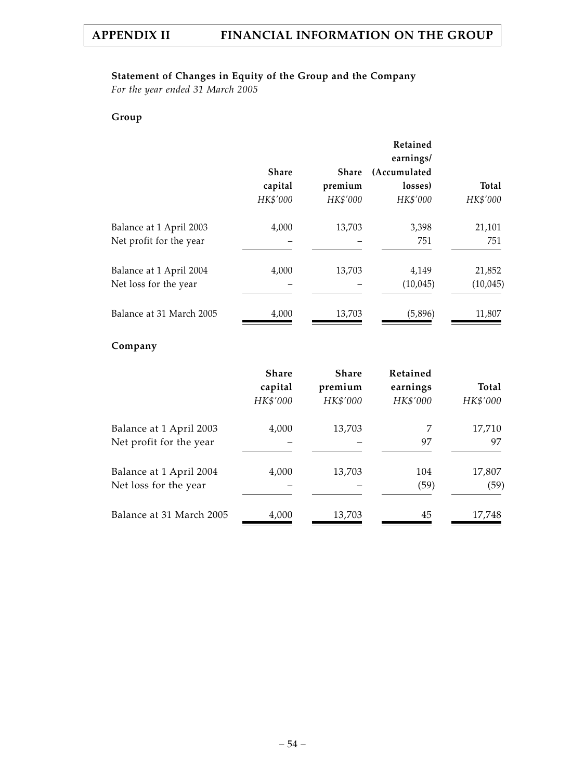# **Statement of Changes in Equity of the Group and the Company**

*For the year ended 31 March 2005*

# **Group**

|                          |              |          | Retained<br>earnings/ |           |
|--------------------------|--------------|----------|-----------------------|-----------|
|                          | <b>Share</b> | Share    | (Accumulated          |           |
|                          | capital      | premium  | losses)               | Total     |
|                          | HK\$'000     | HK\$'000 | HK\$'000              | HK\$'000  |
| Balance at 1 April 2003  | 4,000        | 13,703   | 3,398                 | 21,101    |
| Net profit for the year  |              |          | 751                   | 751       |
| Balance at 1 April 2004  | 4,000        | 13,703   | 4,149                 | 21,852    |
| Net loss for the year    |              |          | (10,045)              | (10, 045) |
| Balance at 31 March 2005 | 4,000        | 13,703   | (5,896)               | 11,807    |

# **Company**

|                          | <b>Share</b><br>capital<br>HK\$'000 | <b>Share</b><br>premium<br>HK\$'000 | <b>Retained</b><br>earnings<br>HK\$'000 | Total<br>HK\$'000 |
|--------------------------|-------------------------------------|-------------------------------------|-----------------------------------------|-------------------|
| Balance at 1 April 2003  | 4,000                               | 13,703                              | 7                                       | 17,710            |
| Net profit for the year  |                                     |                                     | 97                                      | 97                |
| Balance at 1 April 2004  | 4,000                               | 13,703                              | 104                                     | 17,807            |
| Net loss for the year    |                                     |                                     | (59)                                    | (59)              |
| Balance at 31 March 2005 | 4,000                               | 13,703                              | 45                                      | 17,748            |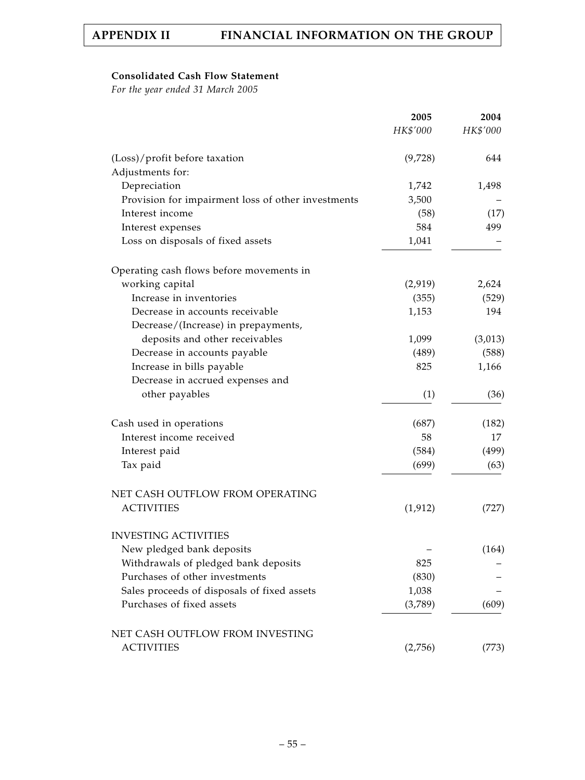# **Consolidated Cash Flow Statement**

*For the year ended 31 March 2005*

|                                                    | 2005     | 2004     |
|----------------------------------------------------|----------|----------|
|                                                    | HK\$'000 | HK\$'000 |
| (Loss)/profit before taxation                      | (9,728)  | 644      |
| Adjustments for:                                   |          |          |
| Depreciation                                       | 1,742    | 1,498    |
| Provision for impairment loss of other investments | 3,500    |          |
| Interest income                                    | (58)     | (17)     |
| Interest expenses                                  | 584      | 499      |
| Loss on disposals of fixed assets                  | 1,041    |          |
| Operating cash flows before movements in           |          |          |
| working capital                                    | (2,919)  | 2,624    |
| Increase in inventories                            | (355)    | (529)    |
| Decrease in accounts receivable                    | 1,153    | 194      |
| Decrease/(Increase) in prepayments,                |          |          |
| deposits and other receivables                     | 1,099    | (3,013)  |
| Decrease in accounts payable                       | (489)    | (588)    |
| Increase in bills payable                          | 825      | 1,166    |
| Decrease in accrued expenses and                   |          |          |
| other payables                                     | (1)      | (36)     |
| Cash used in operations                            | (687)    | (182)    |
| Interest income received                           | 58       | 17       |
| Interest paid                                      | (584)    | (499)    |
| Tax paid                                           | (699)    | (63)     |
| NET CASH OUTFLOW FROM OPERATING                    |          |          |
| <b>ACTIVITIES</b>                                  | (1, 912) | (727)    |
| <b>INVESTING ACTIVITIES</b>                        |          |          |
| New pledged bank deposits                          |          | (164)    |
| Withdrawals of pledged bank deposits               | 825      |          |
| Purchases of other investments                     | (830)    |          |
| Sales proceeds of disposals of fixed assets        | 1,038    |          |
| Purchases of fixed assets                          | (3,789)  | (609)    |
| NET CASH OUTFLOW FROM INVESTING                    |          |          |
| <b>ACTIVITIES</b>                                  | (2,756)  | (773)    |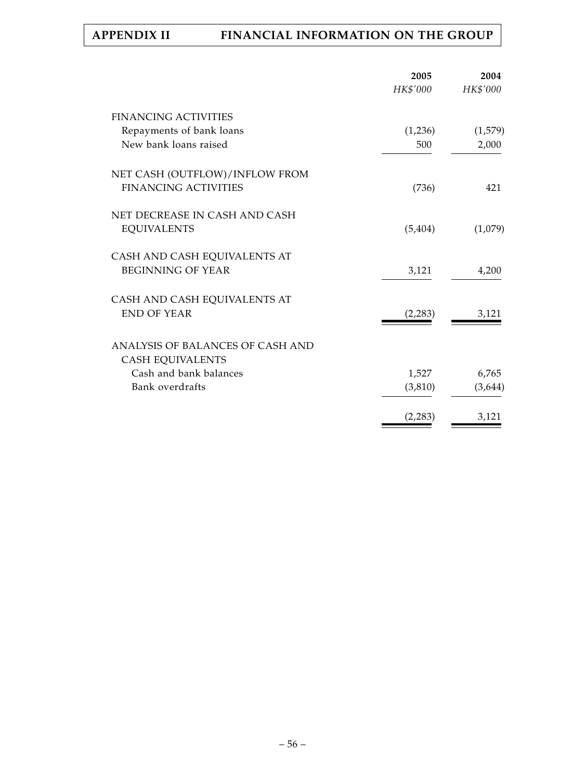|                                  | 2005<br>HK\$'000 | 2004<br>HK\$'000 |
|----------------------------------|------------------|------------------|
|                                  |                  |                  |
| <b>FINANCING ACTIVITIES</b>      |                  |                  |
| Repayments of bank loans         | (1,236)          | (1,579)          |
| New bank loans raised            | 500              | 2,000            |
| NET CASH (OUTFLOW)/INFLOW FROM   |                  |                  |
| <b>FINANCING ACTIVITIES</b>      | (736)            | 421              |
| NET DECREASE IN CASH AND CASH    |                  |                  |
| <b>EQUIVALENTS</b>               | (5, 404)         | (1,079)          |
| CASH AND CASH EQUIVALENTS AT     |                  |                  |
| <b>BEGINNING OF YEAR</b>         | 3,121            | 4,200            |
| CASH AND CASH EQUIVALENTS AT     |                  |                  |
| <b>END OF YEAR</b>               | (2, 283)         | 3,121            |
| ANALYSIS OF BALANCES OF CASH AND |                  |                  |
| <b>CASH EQUIVALENTS</b>          |                  |                  |
| Cash and bank balances           | 1,527            | 6,765            |
| Bank overdrafts                  | (3, 810)         | (3,644)          |
|                                  | (2, 283)         | 3,121            |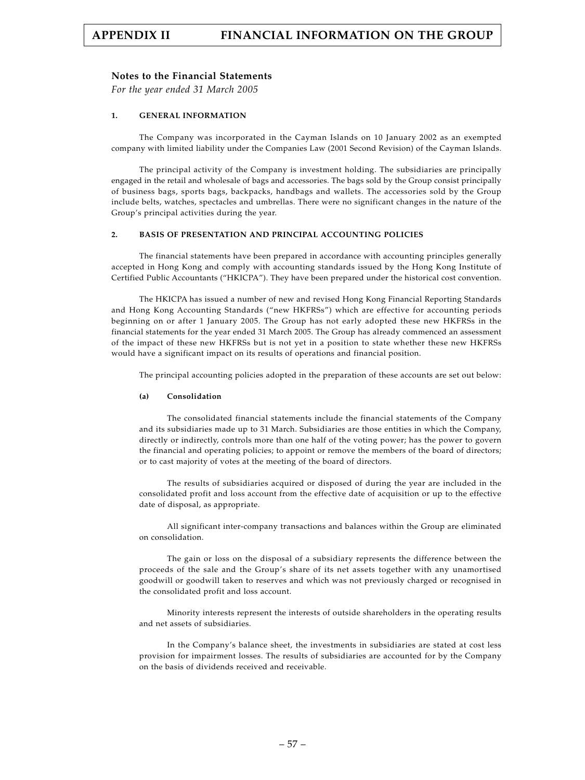### **Notes to the Financial Statements**

*For the year ended 31 March 2005*

### **1. GENERAL INFORMATION**

The Company was incorporated in the Cayman Islands on 10 January 2002 as an exempted company with limited liability under the Companies Law (2001 Second Revision) of the Cayman Islands.

The principal activity of the Company is investment holding. The subsidiaries are principally engaged in the retail and wholesale of bags and accessories. The bags sold by the Group consist principally of business bags, sports bags, backpacks, handbags and wallets. The accessories sold by the Group include belts, watches, spectacles and umbrellas. There were no significant changes in the nature of the Group's principal activities during the year.

### **2. BASIS OF PRESENTATION AND PRINCIPAL ACCOUNTING POLICIES**

The financial statements have been prepared in accordance with accounting principles generally accepted in Hong Kong and comply with accounting standards issued by the Hong Kong Institute of Certified Public Accountants ("HKICPA"). They have been prepared under the historical cost convention.

The HKICPA has issued a number of new and revised Hong Kong Financial Reporting Standards and Hong Kong Accounting Standards ("new HKFRSs") which are effective for accounting periods beginning on or after 1 January 2005. The Group has not early adopted these new HKFRSs in the financial statements for the year ended 31 March 2005. The Group has already commenced an assessment of the impact of these new HKFRSs but is not yet in a position to state whether these new HKFRSs would have a significant impact on its results of operations and financial position.

The principal accounting policies adopted in the preparation of these accounts are set out below:

#### **(a) Consolidation**

The consolidated financial statements include the financial statements of the Company and its subsidiaries made up to 31 March. Subsidiaries are those entities in which the Company, directly or indirectly, controls more than one half of the voting power; has the power to govern the financial and operating policies; to appoint or remove the members of the board of directors; or to cast majority of votes at the meeting of the board of directors.

The results of subsidiaries acquired or disposed of during the year are included in the consolidated profit and loss account from the effective date of acquisition or up to the effective date of disposal, as appropriate.

All significant inter-company transactions and balances within the Group are eliminated on consolidation.

The gain or loss on the disposal of a subsidiary represents the difference between the proceeds of the sale and the Group's share of its net assets together with any unamortised goodwill or goodwill taken to reserves and which was not previously charged or recognised in the consolidated profit and loss account.

Minority interests represent the interests of outside shareholders in the operating results and net assets of subsidiaries.

In the Company's balance sheet, the investments in subsidiaries are stated at cost less provision for impairment losses. The results of subsidiaries are accounted for by the Company on the basis of dividends received and receivable.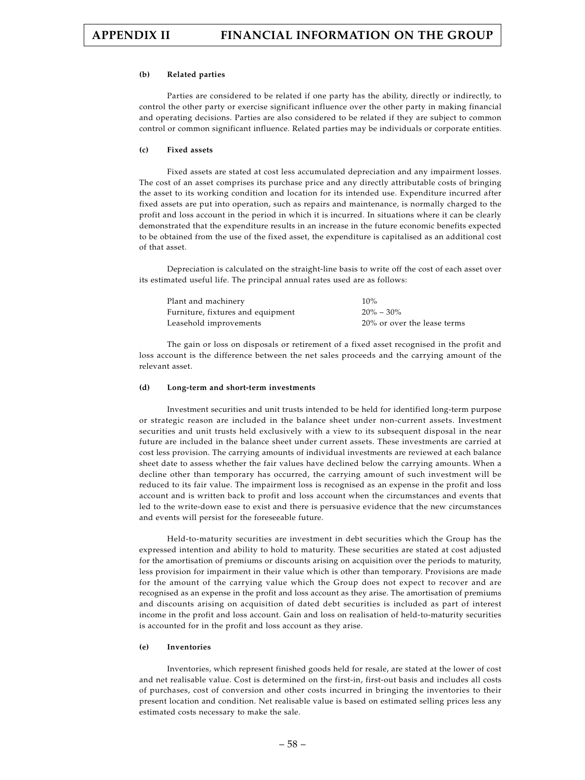#### **(b) Related parties**

Parties are considered to be related if one party has the ability, directly or indirectly, to control the other party or exercise significant influence over the other party in making financial and operating decisions. Parties are also considered to be related if they are subject to common control or common significant influence. Related parties may be individuals or corporate entities.

#### **(c) Fixed assets**

Fixed assets are stated at cost less accumulated depreciation and any impairment losses. The cost of an asset comprises its purchase price and any directly attributable costs of bringing the asset to its working condition and location for its intended use. Expenditure incurred after fixed assets are put into operation, such as repairs and maintenance, is normally charged to the profit and loss account in the period in which it is incurred. In situations where it can be clearly demonstrated that the expenditure results in an increase in the future economic benefits expected to be obtained from the use of the fixed asset, the expenditure is capitalised as an additional cost of that asset.

Depreciation is calculated on the straight-line basis to write off the cost of each asset over its estimated useful life. The principal annual rates used are as follows:

| Plant and machinery               | 10%                         |
|-----------------------------------|-----------------------------|
| Furniture, fixtures and equipment | $20\% - 30\%$               |
| Leasehold improvements            | 20% or over the lease terms |

The gain or loss on disposals or retirement of a fixed asset recognised in the profit and loss account is the difference between the net sales proceeds and the carrying amount of the relevant asset.

#### **(d) Long-term and short-term investments**

Investment securities and unit trusts intended to be held for identified long-term purpose or strategic reason are included in the balance sheet under non-current assets. Investment securities and unit trusts held exclusively with a view to its subsequent disposal in the near future are included in the balance sheet under current assets. These investments are carried at cost less provision. The carrying amounts of individual investments are reviewed at each balance sheet date to assess whether the fair values have declined below the carrying amounts. When a decline other than temporary has occurred, the carrying amount of such investment will be reduced to its fair value. The impairment loss is recognised as an expense in the profit and loss account and is written back to profit and loss account when the circumstances and events that led to the write-down ease to exist and there is persuasive evidence that the new circumstances and events will persist for the foreseeable future.

Held-to-maturity securities are investment in debt securities which the Group has the expressed intention and ability to hold to maturity. These securities are stated at cost adjusted for the amortisation of premiums or discounts arising on acquisition over the periods to maturity, less provision for impairment in their value which is other than temporary. Provisions are made for the amount of the carrying value which the Group does not expect to recover and are recognised as an expense in the profit and loss account as they arise. The amortisation of premiums and discounts arising on acquisition of dated debt securities is included as part of interest income in the profit and loss account. Gain and loss on realisation of held-to-maturity securities is accounted for in the profit and loss account as they arise.

#### **(e) Inventories**

Inventories, which represent finished goods held for resale, are stated at the lower of cost and net realisable value. Cost is determined on the first-in, first-out basis and includes all costs of purchases, cost of conversion and other costs incurred in bringing the inventories to their present location and condition. Net realisable value is based on estimated selling prices less any estimated costs necessary to make the sale.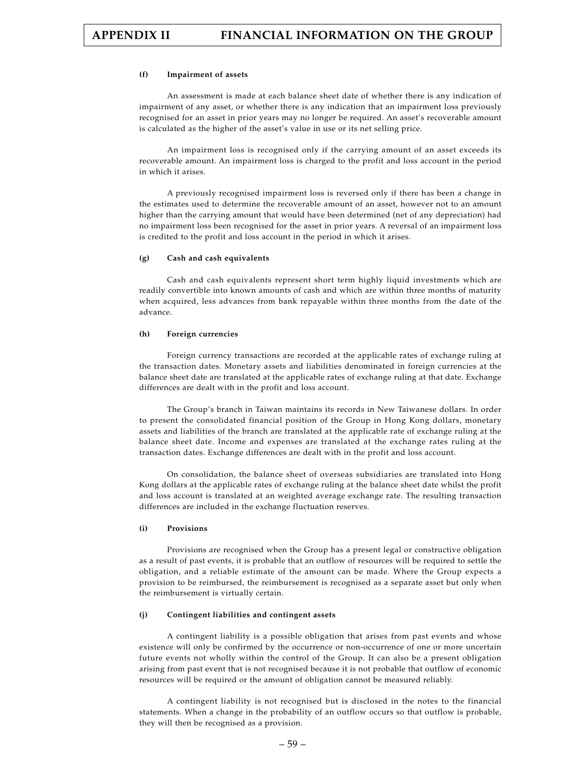#### **(f) Impairment of assets**

An assessment is made at each balance sheet date of whether there is any indication of impairment of any asset, or whether there is any indication that an impairment loss previously recognised for an asset in prior years may no longer be required. An asset's recoverable amount is calculated as the higher of the asset's value in use or its net selling price.

An impairment loss is recognised only if the carrying amount of an asset exceeds its recoverable amount. An impairment loss is charged to the profit and loss account in the period in which it arises.

A previously recognised impairment loss is reversed only if there has been a change in the estimates used to determine the recoverable amount of an asset, however not to an amount higher than the carrying amount that would have been determined (net of any depreciation) had no impairment loss been recognised for the asset in prior years. A reversal of an impairment loss is credited to the profit and loss account in the period in which it arises.

#### **(g) Cash and cash equivalents**

Cash and cash equivalents represent short term highly liquid investments which are readily convertible into known amounts of cash and which are within three months of maturity when acquired, less advances from bank repayable within three months from the date of the advance.

#### **(h) Foreign currencies**

Foreign currency transactions are recorded at the applicable rates of exchange ruling at the transaction dates. Monetary assets and liabilities denominated in foreign currencies at the balance sheet date are translated at the applicable rates of exchange ruling at that date. Exchange differences are dealt with in the profit and loss account.

The Group's branch in Taiwan maintains its records in New Taiwanese dollars. In order to present the consolidated financial position of the Group in Hong Kong dollars, monetary assets and liabilities of the branch are translated at the applicable rate of exchange ruling at the balance sheet date. Income and expenses are translated at the exchange rates ruling at the transaction dates. Exchange differences are dealt with in the profit and loss account.

On consolidation, the balance sheet of overseas subsidiaries are translated into Hong Kong dollars at the applicable rates of exchange ruling at the balance sheet date whilst the profit and loss account is translated at an weighted average exchange rate. The resulting transaction differences are included in the exchange fluctuation reserves.

### **(i) Provisions**

Provisions are recognised when the Group has a present legal or constructive obligation as a result of past events, it is probable that an outflow of resources will be required to settle the obligation, and a reliable estimate of the amount can be made. Where the Group expects a provision to be reimbursed, the reimbursement is recognised as a separate asset but only when the reimbursement is virtually certain.

#### **(j) Contingent liabilities and contingent assets**

A contingent liability is a possible obligation that arises from past events and whose existence will only be confirmed by the occurrence or non-occurrence of one or more uncertain future events not wholly within the control of the Group. It can also be a present obligation arising from past event that is not recognised because it is not probable that outflow of economic resources will be required or the amount of obligation cannot be measured reliably.

A contingent liability is not recognised but is disclosed in the notes to the financial statements. When a change in the probability of an outflow occurs so that outflow is probable, they will then be recognised as a provision.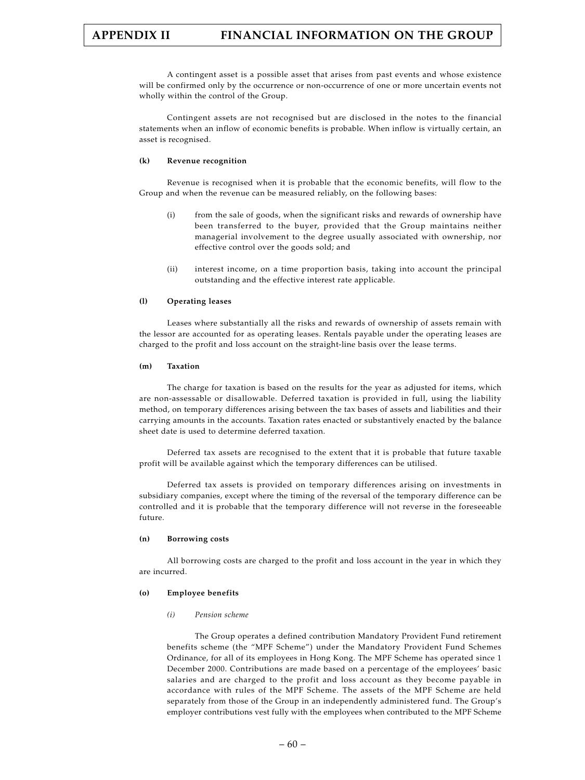A contingent asset is a possible asset that arises from past events and whose existence will be confirmed only by the occurrence or non-occurrence of one or more uncertain events not wholly within the control of the Group.

Contingent assets are not recognised but are disclosed in the notes to the financial statements when an inflow of economic benefits is probable. When inflow is virtually certain, an asset is recognised.

### **(k) Revenue recognition**

Revenue is recognised when it is probable that the economic benefits, will flow to the Group and when the revenue can be measured reliably, on the following bases:

- (i) from the sale of goods, when the significant risks and rewards of ownership have been transferred to the buyer, provided that the Group maintains neither managerial involvement to the degree usually associated with ownership, nor effective control over the goods sold; and
- (ii) interest income, on a time proportion basis, taking into account the principal outstanding and the effective interest rate applicable.

### **(l) Operating leases**

Leases where substantially all the risks and rewards of ownership of assets remain with the lessor are accounted for as operating leases. Rentals payable under the operating leases are charged to the profit and loss account on the straight-line basis over the lease terms.

#### **(m) Taxation**

The charge for taxation is based on the results for the year as adjusted for items, which are non-assessable or disallowable. Deferred taxation is provided in full, using the liability method, on temporary differences arising between the tax bases of assets and liabilities and their carrying amounts in the accounts. Taxation rates enacted or substantively enacted by the balance sheet date is used to determine deferred taxation.

Deferred tax assets are recognised to the extent that it is probable that future taxable profit will be available against which the temporary differences can be utilised.

Deferred tax assets is provided on temporary differences arising on investments in subsidiary companies, except where the timing of the reversal of the temporary difference can be controlled and it is probable that the temporary difference will not reverse in the foreseeable future.

#### **(n) Borrowing costs**

All borrowing costs are charged to the profit and loss account in the year in which they are incurred.

### **(o) Employee benefits**

#### *(i) Pension scheme*

The Group operates a defined contribution Mandatory Provident Fund retirement benefits scheme (the "MPF Scheme") under the Mandatory Provident Fund Schemes Ordinance, for all of its employees in Hong Kong. The MPF Scheme has operated since 1 December 2000. Contributions are made based on a percentage of the employees' basic salaries and are charged to the profit and loss account as they become payable in accordance with rules of the MPF Scheme. The assets of the MPF Scheme are held separately from those of the Group in an independently administered fund. The Group's employer contributions vest fully with the employees when contributed to the MPF Scheme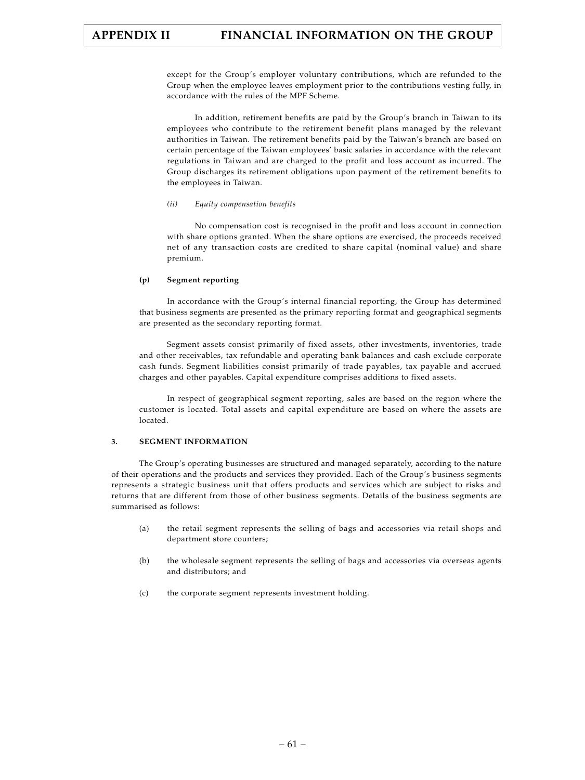except for the Group's employer voluntary contributions, which are refunded to the Group when the employee leaves employment prior to the contributions vesting fully, in accordance with the rules of the MPF Scheme.

In addition, retirement benefits are paid by the Group's branch in Taiwan to its employees who contribute to the retirement benefit plans managed by the relevant authorities in Taiwan. The retirement benefits paid by the Taiwan's branch are based on certain percentage of the Taiwan employees' basic salaries in accordance with the relevant regulations in Taiwan and are charged to the profit and loss account as incurred. The Group discharges its retirement obligations upon payment of the retirement benefits to the employees in Taiwan.

### *(ii) Equity compensation benefits*

No compensation cost is recognised in the profit and loss account in connection with share options granted. When the share options are exercised, the proceeds received net of any transaction costs are credited to share capital (nominal value) and share premium.

### **(p) Segment reporting**

In accordance with the Group's internal financial reporting, the Group has determined that business segments are presented as the primary reporting format and geographical segments are presented as the secondary reporting format.

Segment assets consist primarily of fixed assets, other investments, inventories, trade and other receivables, tax refundable and operating bank balances and cash exclude corporate cash funds. Segment liabilities consist primarily of trade payables, tax payable and accrued charges and other payables. Capital expenditure comprises additions to fixed assets.

In respect of geographical segment reporting, sales are based on the region where the customer is located. Total assets and capital expenditure are based on where the assets are located.

### **3. SEGMENT INFORMATION**

The Group's operating businesses are structured and managed separately, according to the nature of their operations and the products and services they provided. Each of the Group's business segments represents a strategic business unit that offers products and services which are subject to risks and returns that are different from those of other business segments. Details of the business segments are summarised as follows:

- (a) the retail segment represents the selling of bags and accessories via retail shops and department store counters;
- (b) the wholesale segment represents the selling of bags and accessories via overseas agents and distributors; and
- (c) the corporate segment represents investment holding.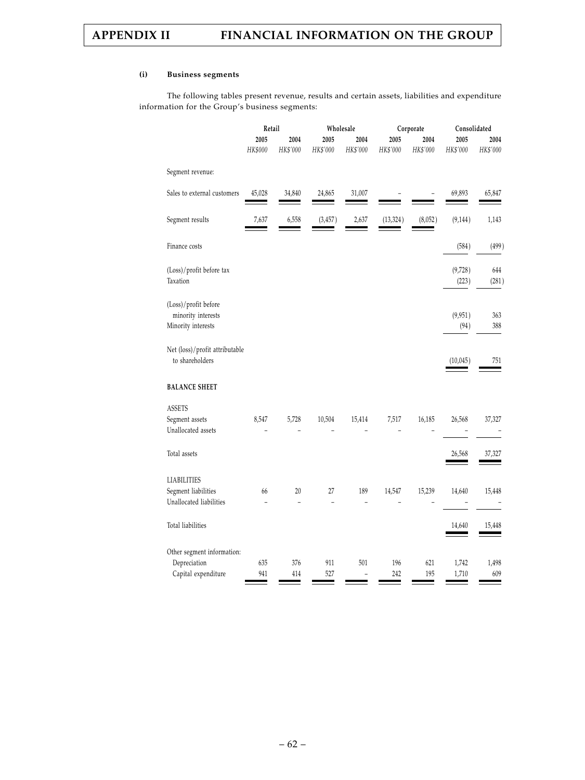### **(i) Business segments**

The following tables present revenue, results and certain assets, liabilities and expenditure information for the Group's business segments:

|                                                                      | Retail     |                      | Wholesale<br>Corporate |          |            |            | Consolidated     |              |
|----------------------------------------------------------------------|------------|----------------------|------------------------|----------|------------|------------|------------------|--------------|
|                                                                      | 2005       | 2004                 | 2005                   | 2004     | 2005       | 2004       | 2005             | 2004         |
|                                                                      | HK\$000    | HK\$'000             | HK\$'000               | HK\$'000 | HK\$'000   | HK\$'000   | HK\$'000         | HK\$'000     |
| Segment revenue:                                                     |            |                      |                        |          |            |            |                  |              |
| Sales to external customers                                          | 45,028     | 34,840               | 24,865                 | 31,007   |            |            | 69,893           | 65,847       |
| Segment results                                                      | 7,637      | 6,558                | (3, 457)               | 2,637    | (13, 324)  | (8,052)    | (9, 144)         | 1,143        |
| Finance costs                                                        |            |                      |                        |          |            |            | (584)            | (499)        |
| (Loss)/profit before tax<br>Taxation                                 |            |                      |                        |          |            |            | (9,728)<br>(223) | 644<br>(281) |
| (Loss)/profit before<br>minority interests<br>Minority interests     |            |                      |                        |          |            |            | (9,951)<br>(94)  | 363<br>388   |
| Net (loss)/profit attributable<br>to shareholders                    |            |                      |                        |          |            |            | (10,045)         | 751          |
| <b>BALANCE SHEET</b>                                                 |            |                      |                        |          |            |            |                  |              |
| <b>ASSETS</b><br>Segment assets<br>Unallocated assets                | 8,547      | 5,728                | 10,504                 | 15,414   | 7,517      | 16,185     | 26,568           | 37,327       |
| Total assets                                                         |            |                      |                        |          |            |            | 26,568           | 37,327       |
| <b>LIABILITIES</b><br>Segment liabilities<br>Unallocated liabilities | 66         | 20<br>$\overline{a}$ | 27                     | 189      | 14,547     | 15,239     | 14,640           | 15,448       |
| Total liabilities                                                    |            |                      |                        |          |            |            | 14,640           | 15,448       |
| Other segment information:                                           |            |                      |                        |          |            |            |                  |              |
| Depreciation<br>Capital expenditure                                  | 635<br>941 | 376<br>414           | 911<br>527             | 501      | 196<br>242 | 621<br>195 | 1,742<br>1,710   | 1,498<br>609 |
|                                                                      |            |                      |                        |          |            |            |                  |              |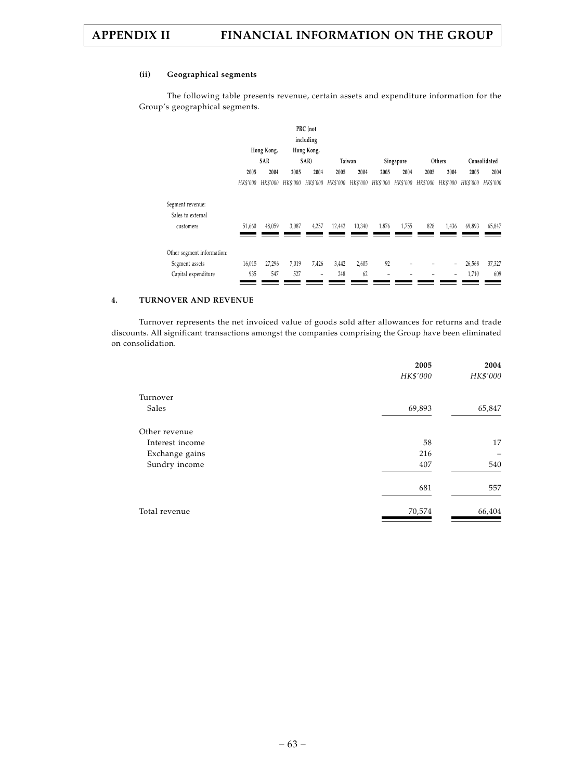### **(ii) Geographical segments**

The following table presents revenue, certain assets and expenditure information for the Group's geographical segments.

|                            |          |            |          | PRC (not   |        |                                     |       |           |          |          |          |              |
|----------------------------|----------|------------|----------|------------|--------|-------------------------------------|-------|-----------|----------|----------|----------|--------------|
|                            |          |            |          | including  |        |                                     |       |           |          |          |          |              |
|                            |          | Hong Kong, |          | Hong Kong, |        |                                     |       |           |          |          |          |              |
|                            |          | SAR        |          | SAR)       |        | Taiwan                              |       | Singapore |          | Others   |          | Consolidated |
|                            | 2005     | 2004       | 2005     | 2004       | 2005   | 2004                                | 2005  | 2004      | 2005     | 2004     | 2005     | 2004         |
|                            | HK\$'000 | HK\$'000   | HK\$'000 | HK\$'000   |        | HK\$'000 HK\$'000 HK\$'000 HK\$'000 |       |           | HK\$'000 | HK\$'000 | HK\$'000 | HK\$'000     |
| Segment revenue:           |          |            |          |            |        |                                     |       |           |          |          |          |              |
| Sales to external          |          |            |          |            |        |                                     |       |           |          |          |          |              |
| customers                  | 51,660   | 48,059     | 3,087    | 4,257      | 12,442 | 10,340                              | 1,876 | 1,755     | 828      | 1,436    | 69,893   | 65,847       |
|                            |          |            |          |            |        |                                     |       |           |          |          |          |              |
| Other segment information: |          |            |          |            |        |                                     |       |           |          |          |          |              |
| Segment assets             | 16,015   | 27,296     | 7,019    | 7,426      | 3,442  | 2,605                               | 92    |           |          | -        | 26,568   | 37,327       |
| Capital expenditure        | 935      | 547        | 527      |            | 248    | 62                                  |       |           |          |          | 1,710    | 609          |
|                            |          |            |          |            |        |                                     |       |           |          |          |          |              |

### **4. TURNOVER AND REVENUE**

Turnover represents the net invoiced value of goods sold after allowances for returns and trade discounts. All significant transactions amongst the companies comprising the Group have been eliminated on consolidation.

|                 | 2005     | 2004     |
|-----------------|----------|----------|
|                 | HK\$'000 | HK\$'000 |
| Turnover        |          |          |
| Sales           | 69,893   | 65,847   |
| Other revenue   |          |          |
| Interest income | 58       | 17       |
| Exchange gains  | 216      |          |
| Sundry income   | 407      | 540      |
|                 | 681      | 557      |
| Total revenue   | 70,574   | 66,404   |
|                 |          |          |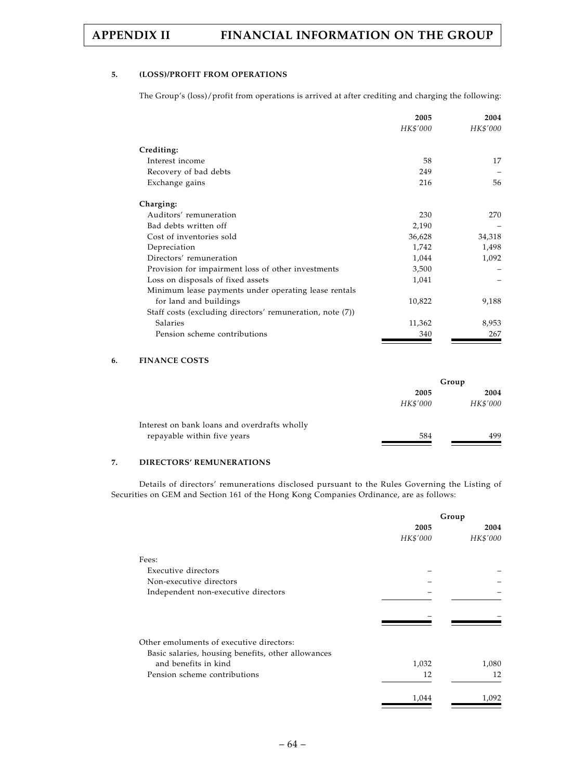### **5. (LOSS)/PROFIT FROM OPERATIONS**

The Group's (loss)/profit from operations is arrived at after crediting and charging the following:

| HK\$'000<br>HK\$'000<br>Crediting:<br>Interest income<br>58<br>17<br>Recovery of bad debts<br>249<br>56<br>Exchange gains<br>216<br>Charging:<br>Auditors' remuneration<br>230<br>270<br>Bad debts written off<br>2,190<br>Cost of inventories sold<br>36,628<br>34,318<br>Depreciation<br>1,742<br>1,498<br>Directors' remuneration<br>1,044<br>1,092<br>3,500<br>Provision for impairment loss of other investments |
|-----------------------------------------------------------------------------------------------------------------------------------------------------------------------------------------------------------------------------------------------------------------------------------------------------------------------------------------------------------------------------------------------------------------------|
|                                                                                                                                                                                                                                                                                                                                                                                                                       |
|                                                                                                                                                                                                                                                                                                                                                                                                                       |
|                                                                                                                                                                                                                                                                                                                                                                                                                       |
|                                                                                                                                                                                                                                                                                                                                                                                                                       |
|                                                                                                                                                                                                                                                                                                                                                                                                                       |
|                                                                                                                                                                                                                                                                                                                                                                                                                       |
|                                                                                                                                                                                                                                                                                                                                                                                                                       |
|                                                                                                                                                                                                                                                                                                                                                                                                                       |
|                                                                                                                                                                                                                                                                                                                                                                                                                       |
|                                                                                                                                                                                                                                                                                                                                                                                                                       |
|                                                                                                                                                                                                                                                                                                                                                                                                                       |
|                                                                                                                                                                                                                                                                                                                                                                                                                       |
| 1,041<br>Loss on disposals of fixed assets                                                                                                                                                                                                                                                                                                                                                                            |
| Minimum lease payments under operating lease rentals                                                                                                                                                                                                                                                                                                                                                                  |
| for land and buildings<br>10,822<br>9,188                                                                                                                                                                                                                                                                                                                                                                             |
| Staff costs (excluding directors' remuneration, note (7))                                                                                                                                                                                                                                                                                                                                                             |
| Salaries<br>11,362<br>8,953                                                                                                                                                                                                                                                                                                                                                                                           |
| Pension scheme contributions<br>340<br>267                                                                                                                                                                                                                                                                                                                                                                            |

# **6. FINANCE COSTS**

|          | Group    |
|----------|----------|
| 2005     | 2004     |
| HK\$'000 | HK\$'000 |
|          |          |
| 584      | 499      |
|          |          |

### **7. DIRECTORS' REMUNERATIONS**

Details of directors' remunerations disclosed pursuant to the Rules Governing the Listing of Securities on GEM and Section 161 of the Hong Kong Companies Ordinance, are as follows:

|                                                    |          | Group    |
|----------------------------------------------------|----------|----------|
|                                                    | 2005     | 2004     |
|                                                    | HK\$'000 | HK\$'000 |
| Fees:                                              |          |          |
| Executive directors                                |          |          |
| Non-executive directors                            |          |          |
| Independent non-executive directors                |          |          |
|                                                    |          |          |
| Other emoluments of executive directors:           |          |          |
| Basic salaries, housing benefits, other allowances |          |          |
| and benefits in kind                               | 1,032    | 1,080    |
| Pension scheme contributions                       | 12       | 12       |
|                                                    | 1,044    | 1,092    |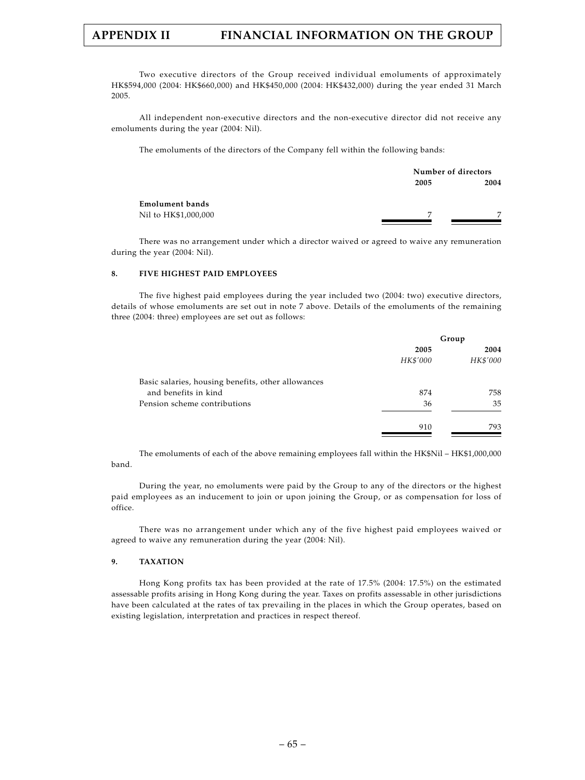Two executive directors of the Group received individual emoluments of approximately HK\$594,000 (2004: HK\$660,000) and HK\$450,000 (2004: HK\$432,000) during the year ended 31 March 2005.

All independent non-executive directors and the non-executive director did not receive any emoluments during the year (2004: Nil).

The emoluments of the directors of the Company fell within the following bands:

|                        | Number of directors |                |
|------------------------|---------------------|----------------|
|                        | 2005                | 2004           |
| <b>Emolument bands</b> |                     |                |
| Nil to HK\$1,000,000   | $\overline{ }$      | $\overline{ }$ |

There was no arrangement under which a director waived or agreed to waive any remuneration during the year (2004: Nil).

### **8. FIVE HIGHEST PAID EMPLOYEES**

The five highest paid employees during the year included two (2004: two) executive directors, details of whose emoluments are set out in note 7 above. Details of the emoluments of the remaining three (2004: three) employees are set out as follows:

|                                                    |          | Group    |
|----------------------------------------------------|----------|----------|
|                                                    | 2005     | 2004     |
|                                                    | HK\$'000 | HK\$'000 |
| Basic salaries, housing benefits, other allowances |          |          |
| and benefits in kind                               | 874      | 758      |
| Pension scheme contributions                       | 36       | 35       |
|                                                    | 910      | 793      |

The emoluments of each of the above remaining employees fall within the HK\$Nil – HK\$1,000,000 band.

During the year, no emoluments were paid by the Group to any of the directors or the highest paid employees as an inducement to join or upon joining the Group, or as compensation for loss of office.

There was no arrangement under which any of the five highest paid employees waived or agreed to waive any remuneration during the year (2004: Nil).

### **9. TAXATION**

Hong Kong profits tax has been provided at the rate of 17.5% (2004: 17.5%) on the estimated assessable profits arising in Hong Kong during the year. Taxes on profits assessable in other jurisdictions have been calculated at the rates of tax prevailing in the places in which the Group operates, based on existing legislation, interpretation and practices in respect thereof.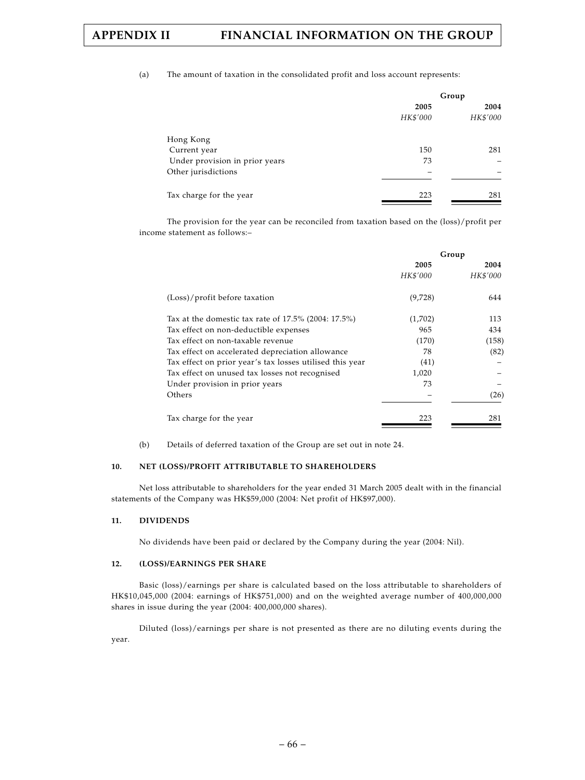### (a) The amount of taxation in the consolidated profit and loss account represents:

|                                |          | Group    |
|--------------------------------|----------|----------|
|                                | 2005     | 2004     |
|                                | HK\$'000 | HK\$'000 |
| Hong Kong                      |          |          |
| Current year                   | 150      | 281      |
| Under provision in prior years | 73       |          |
| Other jurisdictions            |          |          |
| Tax charge for the year        | 223      | 281      |

The provision for the year can be reconciled from taxation based on the (loss)/profit per income statement as follows:–

|                                                          |          | Group    |
|----------------------------------------------------------|----------|----------|
|                                                          | 2005     | 2004     |
|                                                          | HK\$'000 | HK\$'000 |
| (Loss)/profit before taxation                            | (9,728)  | 644      |
| Tax at the domestic tax rate of $17.5\%$ (2004: 17.5%)   | (1,702)  | 113      |
| Tax effect on non-deductible expenses                    | 965      | 434      |
| Tax effect on non-taxable revenue                        | (170)    | (158)    |
| Tax effect on accelerated depreciation allowance         | 78       | (82)     |
| Tax effect on prior year's tax losses utilised this year | (41)     |          |
| Tax effect on unused tax losses not recognised           | 1,020    |          |
| Under provision in prior years                           | 73       |          |
| Others                                                   |          | (26)     |
| Tax charge for the year                                  | 223      | 281      |

(b) Details of deferred taxation of the Group are set out in note 24.

### **10. NET (LOSS)/PROFIT ATTRIBUTABLE TO SHAREHOLDERS**

Net loss attributable to shareholders for the year ended 31 March 2005 dealt with in the financial statements of the Company was HK\$59,000 (2004: Net profit of HK\$97,000).

### **11. DIVIDENDS**

No dividends have been paid or declared by the Company during the year (2004: Nil).

### **12. (LOSS)/EARNINGS PER SHARE**

Basic (loss)/earnings per share is calculated based on the loss attributable to shareholders of HK\$10,045,000 (2004: earnings of HK\$751,000) and on the weighted average number of 400,000,000 shares in issue during the year (2004: 400,000,000 shares).

Diluted (loss)/earnings per share is not presented as there are no diluting events during the year.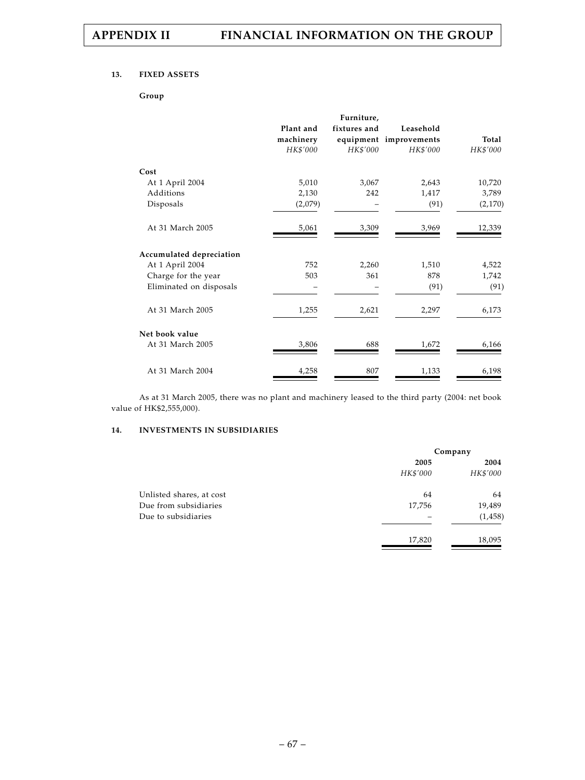### **13. FIXED ASSETS**

**Group**

|                          |           | Furniture,   |                        |          |
|--------------------------|-----------|--------------|------------------------|----------|
|                          | Plant and | fixtures and | Leasehold              |          |
|                          | machinery |              | equipment improvements | Total    |
|                          | HK\$'000  | HK\$'000     | HK\$'000               | HK\$'000 |
| Cost                     |           |              |                        |          |
| At 1 April 2004          | 5,010     | 3,067        | 2,643                  | 10,720   |
| Additions                | 2,130     | 242          | 1,417                  | 3,789    |
| Disposals                | (2,079)   |              | (91)                   | (2,170)  |
| At 31 March 2005         | 5,061     | 3,309        | 3,969                  | 12,339   |
| Accumulated depreciation |           |              |                        |          |
| At 1 April 2004          | 752       | 2,260        | 1,510                  | 4,522    |
| Charge for the year      | 503       | 361          | 878                    | 1,742    |
| Eliminated on disposals  |           |              | (91)                   | (91)     |
| At 31 March 2005         | 1,255     | 2,621        | 2,297                  | 6,173    |
| Net book value           |           |              |                        |          |
| At 31 March 2005         | 3,806     | 688          | 1,672                  | 6,166    |
| At 31 March 2004         | 4,258     | 807          | 1,133                  | 6,198    |

As at 31 March 2005, there was no plant and machinery leased to the third party (2004: net book value of HK\$2,555,000).

### **14. INVESTMENTS IN SUBSIDIARIES**

|                          | Company  |          |
|--------------------------|----------|----------|
|                          | 2005     | 2004     |
|                          | HK\$'000 | HK\$'000 |
| Unlisted shares, at cost | 64       | 64       |
| Due from subsidiaries    | 17,756   | 19,489   |
| Due to subsidiaries      |          | (1, 458) |
|                          | 17,820   | 18,095   |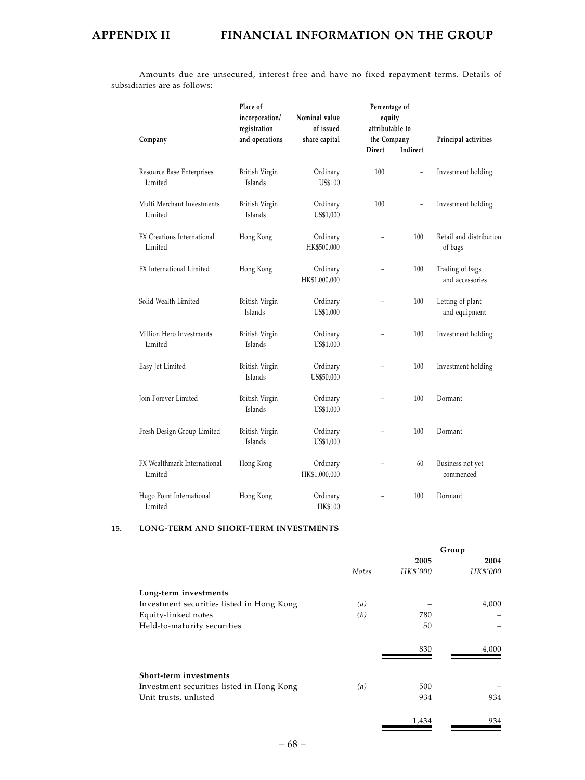Amounts due are unsecured, interest free and have no fixed repayment terms. Details of subsidiaries are as follows:

| Company                                | Place of<br>incorporation/<br>registration<br>and operations | Nominal value<br>of issued<br>share capital | Percentage of<br>equity<br>attributable to<br>the Company<br>Direct | Indirect                 | Principal activities               |
|----------------------------------------|--------------------------------------------------------------|---------------------------------------------|---------------------------------------------------------------------|--------------------------|------------------------------------|
| Resource Base Enterprises<br>Limited   | British Virgin<br>Islands                                    | Ordinary<br>US\$100                         | 100                                                                 | $\qquad \qquad -$        | Investment holding                 |
| Multi Merchant Investments<br>Limited  | British Virgin<br>Islands                                    | Ordinary<br>US\$1,000                       | 100                                                                 | $\overline{\phantom{a}}$ | Investment holding                 |
| FX Creations International<br>Limited  | Hong Kong                                                    | Ordinary<br>HK\$500,000                     |                                                                     | 100                      | Retail and distribution<br>of bags |
| FX International Limited               | Hong Kong                                                    | Ordinary<br>HK\$1,000,000                   |                                                                     | 100                      | Trading of bags<br>and accessories |
| Solid Wealth Limited                   | British Virgin<br>Islands                                    | Ordinary<br>US\$1,000                       |                                                                     | 100                      | Letting of plant<br>and equipment  |
| Million Hero Investments<br>Limited    | British Virgin<br>Islands                                    | Ordinary<br>US\$1,000                       |                                                                     | 100                      | Investment holding                 |
| Easy Jet Limited                       | British Virgin<br>Islands                                    | Ordinary<br>US\$50,000                      |                                                                     | 100                      | Investment holding                 |
| Join Forever Limited                   | British Virgin<br>Islands                                    | Ordinary<br>US\$1,000                       | $\overline{\phantom{0}}$                                            | 100                      | Dormant                            |
| Fresh Design Group Limited             | British Virgin<br>Islands                                    | Ordinary<br>US\$1,000                       | $\equiv$                                                            | 100                      | Dormant                            |
| FX Wealthmark International<br>Limited | Hong Kong                                                    | Ordinary<br>HK\$1,000,000                   |                                                                     | 60                       | Business not yet<br>commenced      |
| Hugo Point International<br>Limited    | Hong Kong                                                    | Ordinary<br><b>HK\$100</b>                  |                                                                     | 100                      | Dormant                            |

### **15. LONG-TERM AND SHORT-TERM INVESTMENTS**

|                                           |              |          | Group    |
|-------------------------------------------|--------------|----------|----------|
|                                           |              | 2005     | 2004     |
|                                           | <b>Notes</b> | HK\$'000 | HK\$'000 |
| Long-term investments                     |              |          |          |
| Investment securities listed in Hong Kong | (a)          |          | 4,000    |
| Equity-linked notes                       | (b)          | 780      |          |
| Held-to-maturity securities               |              | 50       |          |
|                                           |              | 830      | 4,000    |
| Short-term investments                    |              |          |          |
| Investment securities listed in Hong Kong | (a)          | 500      |          |
| Unit trusts, unlisted                     |              | 934      | 934      |
|                                           |              | 1,434    | 934      |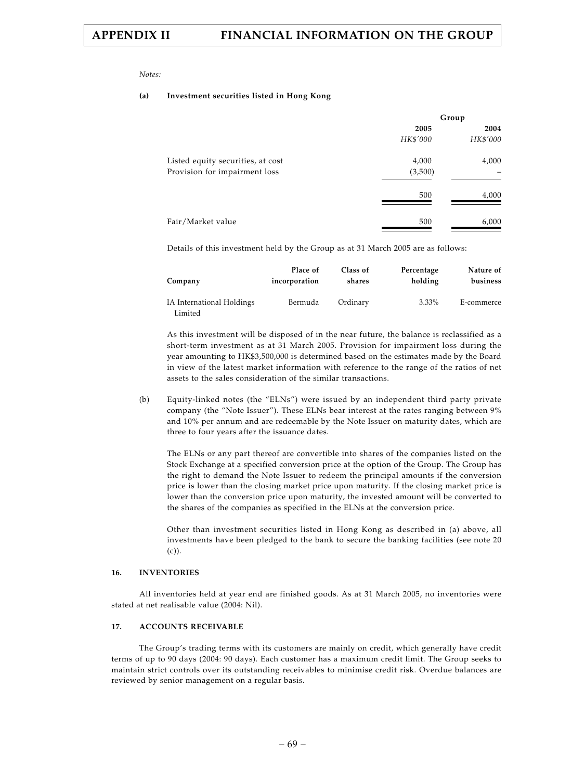*Notes:*

#### **(a) Investment securities listed in Hong Kong**

|                                   | Group    |          |  |
|-----------------------------------|----------|----------|--|
|                                   | 2005     | 2004     |  |
|                                   | HK\$'000 | HK\$'000 |  |
| Listed equity securities, at cost | 4,000    | 4,000    |  |
| Provision for impairment loss     | (3,500)  |          |  |
|                                   | 500      | 4,000    |  |
| Fair/Market value                 | 500      | 6,000    |  |

Details of this investment held by the Group as at 31 March 2005 are as follows:

| Company                              | Place of      | Class of | Percentage | Nature of  |
|--------------------------------------|---------------|----------|------------|------------|
|                                      | incorporation | shares   | holding    | business   |
| IA International Holdings<br>Limited | Bermuda       | Ordinary | $3.33\%$   | E-commerce |

As this investment will be disposed of in the near future, the balance is reclassified as a short-term investment as at 31 March 2005. Provision for impairment loss during the year amounting to HK\$3,500,000 is determined based on the estimates made by the Board in view of the latest market information with reference to the range of the ratios of net assets to the sales consideration of the similar transactions.

(b) Equity-linked notes (the "ELNs") were issued by an independent third party private company (the "Note Issuer"). These ELNs bear interest at the rates ranging between 9% and 10% per annum and are redeemable by the Note Issuer on maturity dates, which are three to four years after the issuance dates.

The ELNs or any part thereof are convertible into shares of the companies listed on the Stock Exchange at a specified conversion price at the option of the Group. The Group has the right to demand the Note Issuer to redeem the principal amounts if the conversion price is lower than the closing market price upon maturity. If the closing market price is lower than the conversion price upon maturity, the invested amount will be converted to the shares of the companies as specified in the ELNs at the conversion price.

Other than investment securities listed in Hong Kong as described in (a) above, all investments have been pledged to the bank to secure the banking facilities (see note 20 (c)).

#### **16. INVENTORIES**

All inventories held at year end are finished goods. As at 31 March 2005, no inventories were stated at net realisable value (2004: Nil).

#### **17. ACCOUNTS RECEIVABLE**

The Group's trading terms with its customers are mainly on credit, which generally have credit terms of up to 90 days (2004: 90 days). Each customer has a maximum credit limit. The Group seeks to maintain strict controls over its outstanding receivables to minimise credit risk. Overdue balances are reviewed by senior management on a regular basis.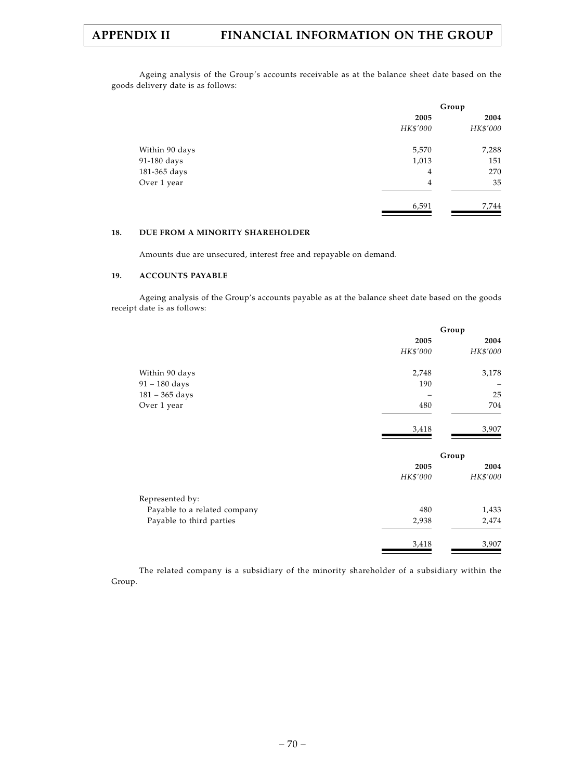Ageing analysis of the Group's accounts receivable as at the balance sheet date based on the goods delivery date is as follows:

|                | Group    |          |  |
|----------------|----------|----------|--|
|                | 2005     | 2004     |  |
|                | HK\$'000 | HK\$'000 |  |
| Within 90 days | 5,570    | 7,288    |  |
| 91-180 days    | 1,013    | 151      |  |
| 181-365 days   | 4        | 270      |  |
| Over 1 year    | 4        | 35       |  |
|                | 6,591    | 7,744    |  |

### **18. DUE FROM A MINORITY SHAREHOLDER**

Amounts due are unsecured, interest free and repayable on demand.

#### **19. ACCOUNTS PAYABLE**

Ageing analysis of the Group's accounts payable as at the balance sheet date based on the goods receipt date is as follows:

|                              | Group    |          |  |
|------------------------------|----------|----------|--|
|                              | 2005     | 2004     |  |
|                              | HK\$'000 | HK\$'000 |  |
| Within 90 days               | 2,748    | 3,178    |  |
| $91 - 180$ days              | 190      |          |  |
| $181 - 365$ days             |          | 25       |  |
| Over 1 year                  | 480      | 704      |  |
|                              | 3,418    | 3,907    |  |
|                              |          | Group    |  |
|                              | 2005     | 2004     |  |
|                              | HK\$'000 | HK\$'000 |  |
| Represented by:              |          |          |  |
| Payable to a related company | 480      | 1,433    |  |
| Payable to third parties     | 2,938    | 2,474    |  |
|                              | 3,418    | 3,907    |  |
|                              |          |          |  |

The related company is a subsidiary of the minority shareholder of a subsidiary within the Group.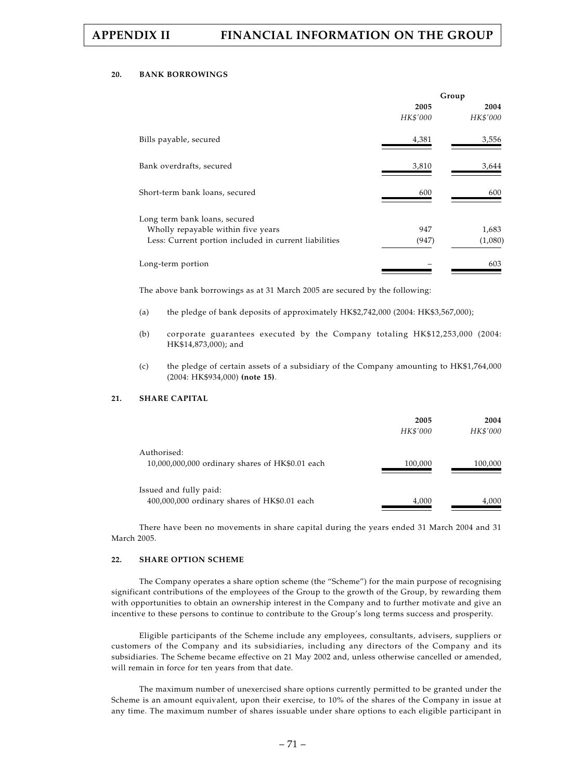#### **20. BANK BORROWINGS**

|                                                                                                                              | Group            |                  |  |
|------------------------------------------------------------------------------------------------------------------------------|------------------|------------------|--|
|                                                                                                                              | 2005<br>HK\$'000 | 2004<br>HK\$'000 |  |
| Bills payable, secured                                                                                                       | 4,381            | 3,556            |  |
| Bank overdrafts, secured                                                                                                     | 3,810            | 3,644            |  |
| Short-term bank loans, secured                                                                                               | 600              | 600              |  |
| Long term bank loans, secured<br>Wholly repayable within five years<br>Less: Current portion included in current liabilities | 947<br>(947)     | 1,683<br>(1,080) |  |
| Long-term portion                                                                                                            |                  | 603              |  |

The above bank borrowings as at 31 March 2005 are secured by the following:

- (a) the pledge of bank deposits of approximately HK\$2,742,000 (2004: HK\$3,567,000);
- (b) corporate guarantees executed by the Company totaling HK\$12,253,000 (2004: HK\$14,873,000); and
- (c) the pledge of certain assets of a subsidiary of the Company amounting to HK\$1,764,000 (2004: HK\$934,000) **(note 15)**.

### **21. SHARE CAPITAL**

|                                                                        | 2005<br>HK\$'000 | 2004<br>HK\$'000 |
|------------------------------------------------------------------------|------------------|------------------|
| Authorised:<br>10,000,000,000 ordinary shares of HK\$0.01 each         | 100,000          | 100,000          |
| Issued and fully paid:<br>400,000,000 ordinary shares of HK\$0.01 each | 4,000            | 4,000            |

There have been no movements in share capital during the years ended 31 March 2004 and 31 March 2005.

#### **22. SHARE OPTION SCHEME**

The Company operates a share option scheme (the "Scheme") for the main purpose of recognising significant contributions of the employees of the Group to the growth of the Group, by rewarding them with opportunities to obtain an ownership interest in the Company and to further motivate and give an incentive to these persons to continue to contribute to the Group's long terms success and prosperity.

Eligible participants of the Scheme include any employees, consultants, advisers, suppliers or customers of the Company and its subsidiaries, including any directors of the Company and its subsidiaries. The Scheme became effective on 21 May 2002 and, unless otherwise cancelled or amended, will remain in force for ten years from that date.

The maximum number of unexercised share options currently permitted to be granted under the Scheme is an amount equivalent, upon their exercise, to 10% of the shares of the Company in issue at any time. The maximum number of shares issuable under share options to each eligible participant in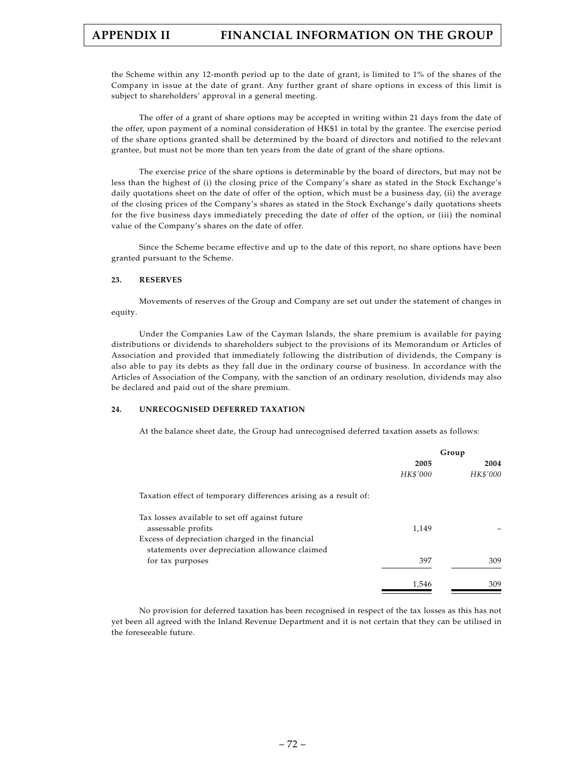the Scheme within any 12-month period up to the date of grant, is limited to 1% of the shares of the Company in issue at the date of grant. Any further grant of share options in excess of this limit is subject to shareholders' approval in a general meeting.

The offer of a grant of share options may be accepted in writing within 21 days from the date of the offer, upon payment of a nominal consideration of HK\$1 in total by the grantee. The exercise period of the share options granted shall be determined by the board of directors and notified to the relevant grantee, but must not be more than ten years from the date of grant of the share options.

The exercise price of the share options is determinable by the board of directors, but may not be less than the highest of (i) the closing price of the Company's share as stated in the Stock Exchange's daily quotations sheet on the date of offer of the option, which must be a business day, (ii) the average of the closing prices of the Company's shares as stated in the Stock Exchange's daily quotations sheets for the five business days immediately preceding the date of offer of the option, or (iii) the nominal value of the Company's shares on the date of offer.

Since the Scheme became effective and up to the date of this report, no share options have been granted pursuant to the Scheme.

#### **23. RESERVES**

Movements of reserves of the Group and Company are set out under the statement of changes in equity.

Under the Companies Law of the Cayman Islands, the share premium is available for paying distributions or dividends to shareholders subject to the provisions of its Memorandum or Articles of Association and provided that immediately following the distribution of dividends, the Company is also able to pay its debts as they fall due in the ordinary course of business. In accordance with the Articles of Association of the Company, with the sanction of an ordinary resolution, dividends may also be declared and paid out of the share premium.

#### **24. UNRECOGNISED DEFERRED TAXATION**

At the balance sheet date, the Group had unrecognised deferred taxation assets as follows:

|                                                                  |          | Group    |
|------------------------------------------------------------------|----------|----------|
|                                                                  | 2005     | 2004     |
|                                                                  | HK\$'000 | HK\$'000 |
| Taxation effect of temporary differences arising as a result of: |          |          |
| Tax losses available to set off against future                   |          |          |
| assessable profits                                               | 1,149    |          |
| Excess of depreciation charged in the financial                  |          |          |
| statements over depreciation allowance claimed                   |          |          |
| for tax purposes                                                 | 397      | 309      |
|                                                                  | 1,546    | 309      |

No provision for deferred taxation has been recognised in respect of the tax losses as this has not yet been all agreed with the Inland Revenue Department and it is not certain that they can be utilised in the foreseeable future.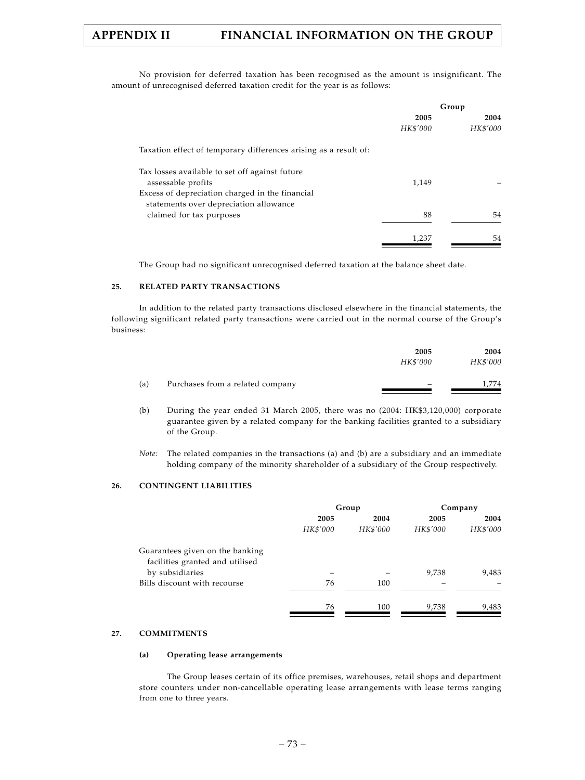No provision for deferred taxation has been recognised as the amount is insignificant. The amount of unrecognised deferred taxation credit for the year is as follows:

|                                                                  | Group    |          |
|------------------------------------------------------------------|----------|----------|
|                                                                  | 2005     | 2004     |
|                                                                  | HK\$'000 | HK\$'000 |
| Taxation effect of temporary differences arising as a result of: |          |          |
| Tax losses available to set off against future                   |          |          |
| assessable profits                                               | 1,149    |          |
| Excess of depreciation charged in the financial                  |          |          |
| statements over depreciation allowance                           |          |          |
| claimed for tax purposes                                         | 88       | 54       |
|                                                                  | 1,237    | 54       |

The Group had no significant unrecognised deferred taxation at the balance sheet date.

#### **25. RELATED PARTY TRANSACTIONS**

In addition to the related party transactions disclosed elsewhere in the financial statements, the following significant related party transactions were carried out in the normal course of the Group's business:

|     |                                  | 2005     | 2004     |
|-----|----------------------------------|----------|----------|
|     |                                  | HK\$'000 | HK\$'000 |
| (a) | Purchases from a related company |          | .774     |

- (b) During the year ended 31 March 2005, there was no (2004: HK\$3,120,000) corporate guarantee given by a related company for the banking facilities granted to a subsidiary of the Group.
- *Note:* The related companies in the transactions (a) and (b) are a subsidiary and an immediate holding company of the minority shareholder of a subsidiary of the Group respectively.

#### **26. CONTINGENT LIABILITIES**

|                                                                    |          | Group    |          | Company  |
|--------------------------------------------------------------------|----------|----------|----------|----------|
|                                                                    | 2005     | 2004     | 2005     | 2004     |
|                                                                    | HK\$'000 | HK\$'000 | HK\$'000 | HK\$'000 |
| Guarantees given on the banking<br>facilities granted and utilised |          |          |          |          |
| by subsidiaries                                                    |          |          | 9,738    | 9,483    |
| Bills discount with recourse                                       | 76       | 100      |          |          |
|                                                                    | 76       | 100      | 9,738    | 9,483    |

#### **27. COMMITMENTS**

#### **(a) Operating lease arrangements**

The Group leases certain of its office premises, warehouses, retail shops and department store counters under non-cancellable operating lease arrangements with lease terms ranging from one to three years.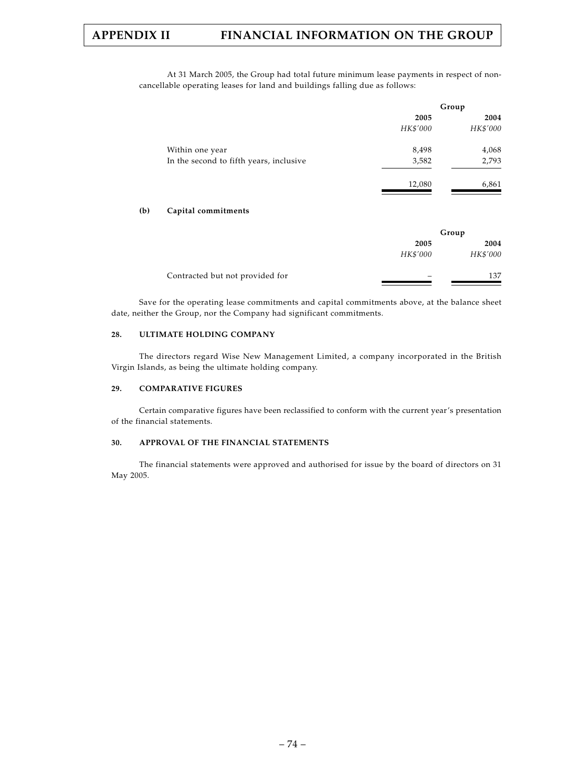At 31 March 2005, the Group had total future minimum lease payments in respect of noncancellable operating leases for land and buildings falling due as follows:

|          | Group    |
|----------|----------|
| 2005     | 2004     |
| HK\$'000 | HK\$'000 |
| 8,498    | 4,068    |
| 3,582    | 2,793    |
| 12,080   | 6,861    |
|          |          |

#### **(b) Capital commitments**

|                                 |          | Group    |
|---------------------------------|----------|----------|
|                                 | 2005     | 2004     |
|                                 | HK\$'000 | HK\$'000 |
| Contracted but not provided for |          | 137      |

Save for the operating lease commitments and capital commitments above, at the balance sheet date, neither the Group, nor the Company had significant commitments.

#### **28. ULTIMATE HOLDING COMPANY**

The directors regard Wise New Management Limited, a company incorporated in the British Virgin Islands, as being the ultimate holding company.

#### **29. COMPARATIVE FIGURES**

Certain comparative figures have been reclassified to conform with the current year's presentation of the financial statements.

## **30. APPROVAL OF THE FINANCIAL STATEMENTS**

The financial statements were approved and authorised for issue by the board of directors on 31 May 2005.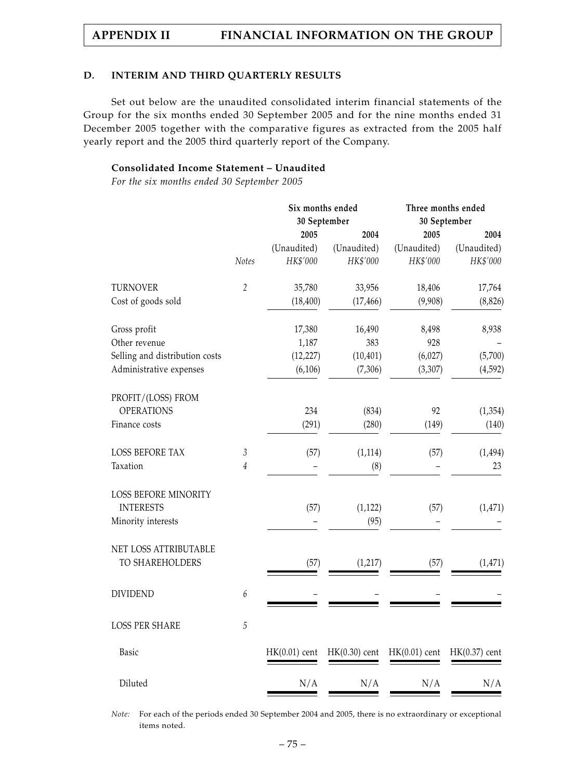## **D. INTERIM AND THIRD QUARTERLY RESULTS**

Set out below are the unaudited consolidated interim financial statements of the Group for the six months ended 30 September 2005 and for the nine months ended 31 December 2005 together with the comparative figures as extracted from the 2005 half yearly report and the 2005 third quarterly report of the Company.

# **Consolidated Income Statement – Unaudited**

*For the six months ended 30 September 2005*

|                                |                | Six months ended<br>30 September |                 | Three months ended<br>30 September |                 |  |
|--------------------------------|----------------|----------------------------------|-----------------|------------------------------------|-----------------|--|
|                                |                | 2005                             | 2004            | 2005                               | 2004            |  |
|                                |                | (Unaudited)                      | (Unaudited)     | (Unaudited)                        | (Unaudited)     |  |
|                                | Notes          | HK\$'000                         | HK\$'000        | HK\$'000                           | HK\$'000        |  |
| <b>TURNOVER</b>                | $\overline{2}$ | 35,780                           | 33,956          | 18,406                             | 17,764          |  |
| Cost of goods sold             |                | (18, 400)                        | (17, 466)       | (9,908)                            | (8, 826)        |  |
| Gross profit                   |                | 17,380                           | 16,490          | 8,498                              | 8,938           |  |
| Other revenue                  |                | 1,187                            | 383             | 928                                |                 |  |
| Selling and distribution costs |                | (12, 227)                        | (10, 401)       | (6,027)                            | (5,700)         |  |
| Administrative expenses        |                | (6, 106)                         | (7,306)         | (3,307)                            | (4,592)         |  |
| PROFIT/(LOSS) FROM             |                |                                  |                 |                                    |                 |  |
| <b>OPERATIONS</b>              |                | 234                              | (834)           | 92                                 | (1, 354)        |  |
| Finance costs                  |                | (291)                            | (280)           | (149)                              | (140)           |  |
| <b>LOSS BEFORE TAX</b>         | $\mathfrak{Z}$ | (57)                             | (1, 114)        | (57)                               | (1, 494)        |  |
| Taxation                       | $\sqrt{4}$     |                                  | (8)             |                                    | 23              |  |
| <b>LOSS BEFORE MINORITY</b>    |                |                                  |                 |                                    |                 |  |
| <b>INTERESTS</b>               |                | (57)                             | (1, 122)        | (57)                               | (1, 471)        |  |
| Minority interests             |                |                                  | (95)            |                                    |                 |  |
| NET LOSS ATTRIBUTABLE          |                |                                  |                 |                                    |                 |  |
| TO SHAREHOLDERS                |                | (57)                             | (1, 217)        | (57)                               | (1, 471)        |  |
| <b>DIVIDEND</b>                | 6              |                                  |                 |                                    |                 |  |
|                                |                |                                  |                 |                                    |                 |  |
| <b>LOSS PER SHARE</b>          | 5              |                                  |                 |                                    |                 |  |
| Basic                          |                | $HK(0.01)$ cent                  | $HK(0.30)$ cent | $HK(0.01)$ cent                    | $HK(0.37)$ cent |  |
| Diluted                        |                | N/A                              | N/A             | N/A                                | N/A             |  |

*Note:* For each of the periods ended 30 September 2004 and 2005, there is no extraordinary or exceptional items noted.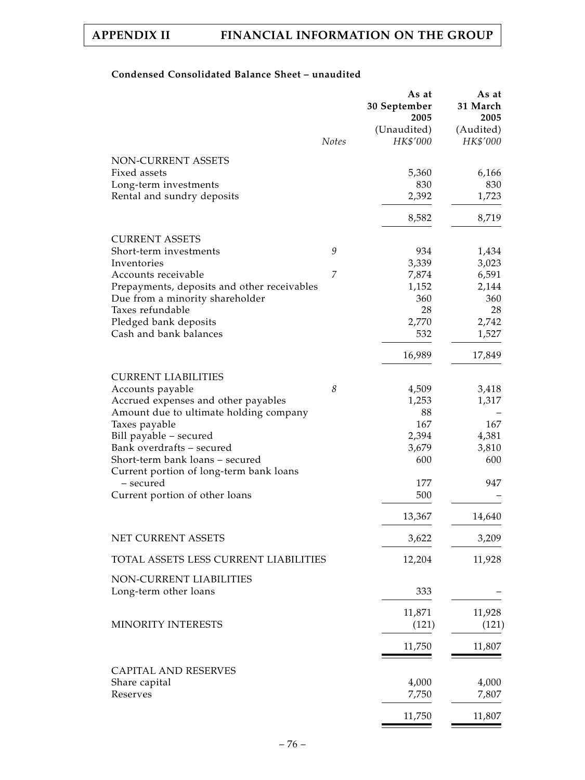# **Condensed Consolidated Balance Sheet – unaudited**

|                                                      | <b>Notes</b> | As at<br>30 September<br>2005<br>(Unaudited)<br>HK\$'000 | As at<br>31 March<br>2005<br>(Audited)<br>HK\$'000 |
|------------------------------------------------------|--------------|----------------------------------------------------------|----------------------------------------------------|
|                                                      |              |                                                          |                                                    |
| NON-CURRENT ASSETS<br>Fixed assets                   |              | 5,360                                                    | 6,166                                              |
| Long-term investments                                |              | 830                                                      | 830                                                |
| Rental and sundry deposits                           |              | 2,392                                                    | 1,723                                              |
|                                                      |              | 8,582                                                    | 8,719                                              |
|                                                      |              |                                                          |                                                    |
| <b>CURRENT ASSETS</b>                                |              |                                                          |                                                    |
| Short-term investments                               | 9            | 934                                                      | 1,434                                              |
| Inventories<br>Accounts receivable                   | 7            | 3,339                                                    | 3,023                                              |
| Prepayments, deposits and other receivables          |              | 7,874<br>1,152                                           | 6,591<br>2,144                                     |
| Due from a minority shareholder                      |              | 360                                                      | 360                                                |
| Taxes refundable                                     |              | 28                                                       | 28                                                 |
| Pledged bank deposits                                |              | 2,770                                                    | 2,742                                              |
| Cash and bank balances                               |              | 532                                                      | 1,527                                              |
|                                                      |              | 16,989                                                   | 17,849                                             |
| <b>CURRENT LIABILITIES</b>                           |              |                                                          |                                                    |
| Accounts payable                                     | 8            | 4,509                                                    | 3,418                                              |
| Accrued expenses and other payables                  |              | 1,253                                                    | 1,317                                              |
| Amount due to ultimate holding company               |              | 88                                                       |                                                    |
| Taxes payable                                        |              | 167                                                      | 167                                                |
| Bill payable - secured                               |              | 2,394                                                    | 4,381                                              |
| Bank overdrafts - secured                            |              | 3,679                                                    | 3,810                                              |
| Short-term bank loans - secured                      |              | 600                                                      | 600                                                |
| Current portion of long-term bank loans<br>- secured |              | 177                                                      | 947                                                |
| Current portion of other loans                       |              | 500                                                      |                                                    |
|                                                      |              | 13,367                                                   | 14,640                                             |
|                                                      |              |                                                          |                                                    |
| NET CURRENT ASSETS                                   |              | 3,622                                                    | 3,209                                              |
| TOTAL ASSETS LESS CURRENT LIABILITIES                |              | 12,204                                                   | 11,928                                             |
| NON-CURRENT LIABILITIES                              |              |                                                          |                                                    |
| Long-term other loans                                |              | 333                                                      |                                                    |
|                                                      |              | 11,871                                                   | 11,928                                             |
| MINORITY INTERESTS                                   |              | (121)                                                    | (121)                                              |
|                                                      |              | 11,750                                                   | 11,807                                             |
| <b>CAPITAL AND RESERVES</b>                          |              |                                                          |                                                    |
| Share capital                                        |              | 4,000                                                    | 4,000                                              |
| Reserves                                             |              | 7,750                                                    | 7,807                                              |
|                                                      |              | 11,750                                                   | 11,807                                             |
|                                                      |              |                                                          |                                                    |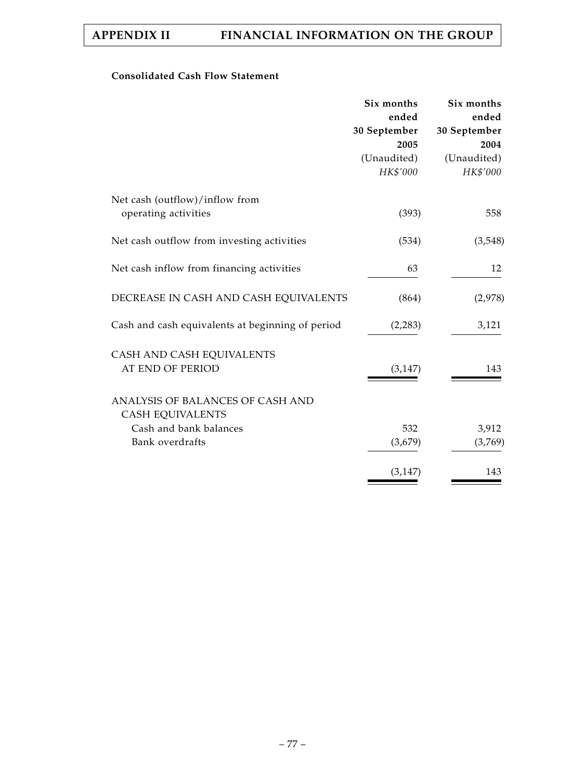# **Consolidated Cash Flow Statement**

|                                                             | Six months<br>ended | Six months<br>ended |
|-------------------------------------------------------------|---------------------|---------------------|
|                                                             | 30 September        | 30 September        |
|                                                             | 2005                | 2004                |
|                                                             | (Unaudited)         | (Unaudited)         |
|                                                             | HK\$'000            | HK\$'000            |
| Net cash (outflow)/inflow from                              |                     |                     |
| operating activities                                        | (393)               | 558                 |
| Net cash outflow from investing activities                  | (534)               | (3,548)             |
| Net cash inflow from financing activities                   | 63                  | 12                  |
| DECREASE IN CASH AND CASH EQUIVALENTS                       | (864)               | (2,978)             |
| Cash and cash equivalents at beginning of period            | (2,283)             | 3,121               |
| CASH AND CASH EQUIVALENTS                                   |                     |                     |
| AT END OF PERIOD                                            | (3, 147)            | 143                 |
| ANALYSIS OF BALANCES OF CASH AND<br><b>CASH EQUIVALENTS</b> |                     |                     |
| Cash and bank balances                                      | 532                 | 3,912               |
| Bank overdrafts                                             | (3,679)             | (3,769)             |
|                                                             | (3, 147)            | 143                 |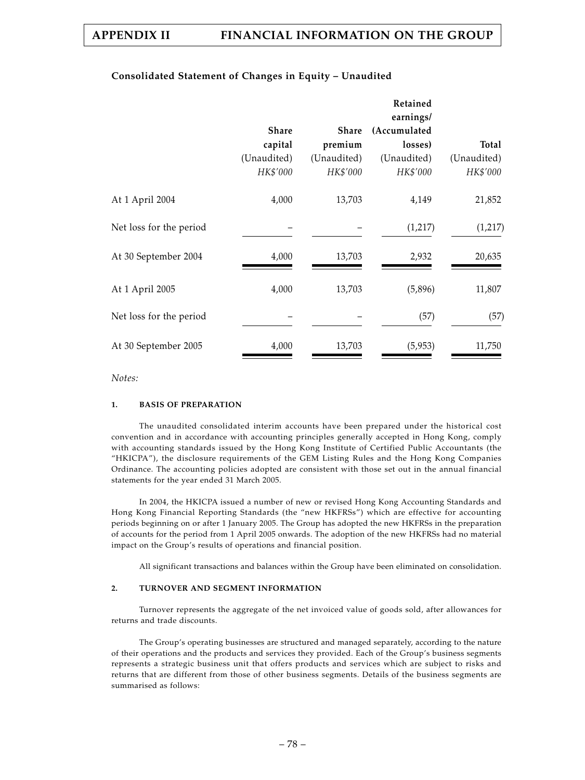# **Consolidated Statement of Changes in Equity – Unaudited**

|                         |              |             | Retained<br>earnings/ |             |
|-------------------------|--------------|-------------|-----------------------|-------------|
|                         | <b>Share</b> | Share       | (Accumulated          |             |
|                         | capital      | premium     | losses)               | Total       |
|                         | (Unaudited)  | (Unaudited) | (Unaudited)           | (Unaudited) |
|                         | HK\$'000     | HK\$'000    | HK\$'000              | HK\$'000    |
| At 1 April 2004         | 4,000        | 13,703      | 4,149                 | 21,852      |
| Net loss for the period |              |             | (1,217)               | (1,217)     |
| At 30 September 2004    | 4,000        | 13,703      | 2,932                 | 20,635      |
| At 1 April 2005         | 4,000        | 13,703      | (5,896)               | 11,807      |
| Net loss for the period |              |             | (57)                  | (57)        |
| At 30 September 2005    | 4,000        | 13,703      | (5,953)               | 11,750      |

*Notes:*

### **1. BASIS OF PREPARATION**

The unaudited consolidated interim accounts have been prepared under the historical cost convention and in accordance with accounting principles generally accepted in Hong Kong, comply with accounting standards issued by the Hong Kong Institute of Certified Public Accountants (the "HKICPA"), the disclosure requirements of the GEM Listing Rules and the Hong Kong Companies Ordinance. The accounting policies adopted are consistent with those set out in the annual financial statements for the year ended 31 March 2005.

In 2004, the HKICPA issued a number of new or revised Hong Kong Accounting Standards and Hong Kong Financial Reporting Standards (the "new HKFRSs") which are effective for accounting periods beginning on or after 1 January 2005. The Group has adopted the new HKFRSs in the preparation of accounts for the period from 1 April 2005 onwards. The adoption of the new HKFRSs had no material impact on the Group's results of operations and financial position.

All significant transactions and balances within the Group have been eliminated on consolidation.

## **2. TURNOVER AND SEGMENT INFORMATION**

Turnover represents the aggregate of the net invoiced value of goods sold, after allowances for returns and trade discounts.

The Group's operating businesses are structured and managed separately, according to the nature of their operations and the products and services they provided. Each of the Group's business segments represents a strategic business unit that offers products and services which are subject to risks and returns that are different from those of other business segments. Details of the business segments are summarised as follows: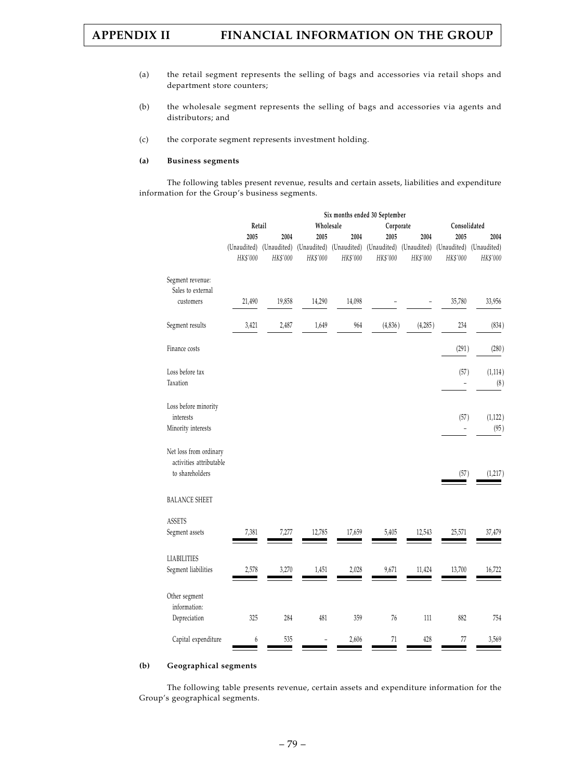- (a) the retail segment represents the selling of bags and accessories via retail shops and department store counters;
- (b) the wholesale segment represents the selling of bags and accessories via agents and distributors; and
- (c) the corporate segment represents investment holding.

#### **(a) Business segments**

The following tables present revenue, results and certain assets, liabilities and expenditure information for the Group's business segments.

|                                                                      | Six months ended 30 September |          |           |          |                                                                                     |          |                                     |          |
|----------------------------------------------------------------------|-------------------------------|----------|-----------|----------|-------------------------------------------------------------------------------------|----------|-------------------------------------|----------|
|                                                                      | Retail                        |          | Wholesale |          | Corporate                                                                           |          | Consolidated                        |          |
|                                                                      | 2005                          | 2004     | 2005      | 2004     | 2005                                                                                | 2004     | 2005                                | 2004     |
|                                                                      | HK\$'000                      | HK\$'000 | HK\$'000  | HK\$'000 | (Unaudited) (Unaudited) (Unaudited) (Unaudited) (Unaudited) (Unaudited)<br>HK\$'000 | HK\$'000 | (Unaudited) (Unaudited)<br>HK\$'000 | HK\$'000 |
| Segment revenue:                                                     |                               |          |           |          |                                                                                     |          |                                     |          |
| Sales to external                                                    |                               |          |           |          |                                                                                     |          |                                     |          |
| customers                                                            | 21,490                        | 19,858   | 14,290    | 14,098   |                                                                                     |          | 35,780                              | 33,956   |
| Segment results                                                      | 3,421                         | 2,487    | 1,649     | 964      | (4,836)                                                                             | (4,285)  | 234                                 | (834)    |
| Finance costs                                                        |                               |          |           |          |                                                                                     |          | (291)                               | (280)    |
| Loss before tax                                                      |                               |          |           |          |                                                                                     |          | (57)                                | (1, 114) |
| Taxation                                                             |                               |          |           |          |                                                                                     |          |                                     | (8)      |
| Loss before minority<br>interests                                    |                               |          |           |          |                                                                                     |          | (57)                                | (1, 122) |
| Minority interests                                                   |                               |          |           |          |                                                                                     |          |                                     | (95)     |
| Net loss from ordinary<br>activities attributable<br>to shareholders |                               |          |           |          |                                                                                     |          | (57)                                | (1, 217) |
| <b>BALANCE SHEET</b>                                                 |                               |          |           |          |                                                                                     |          |                                     |          |
| <b>ASSETS</b>                                                        |                               |          |           |          |                                                                                     |          |                                     |          |
| Segment assets                                                       | 7,381                         | 7,277    | 12,785    | 17,659   | 5,405                                                                               | 12,543   | 25,571                              | 37,479   |
| <b>LIABILITIES</b>                                                   |                               |          |           |          |                                                                                     |          |                                     |          |
| Segment liabilities                                                  | 2,578                         | 3,270    | 1,451     | 2,028    | 9,671                                                                               | 11,424   | 13,700                              | 16,722   |
| Other segment                                                        |                               |          |           |          |                                                                                     |          |                                     |          |
| information:<br>Depreciation                                         | 325                           | 284      | 481       | 359      | 76                                                                                  | 111      | 882                                 | 754      |
| Capital expenditure                                                  | 6                             | 535      |           | 2,606    | 71                                                                                  | 428      | 77                                  | 3,569    |

#### **(b) Geographical segments**

The following table presents revenue, certain assets and expenditure information for the Group's geographical segments.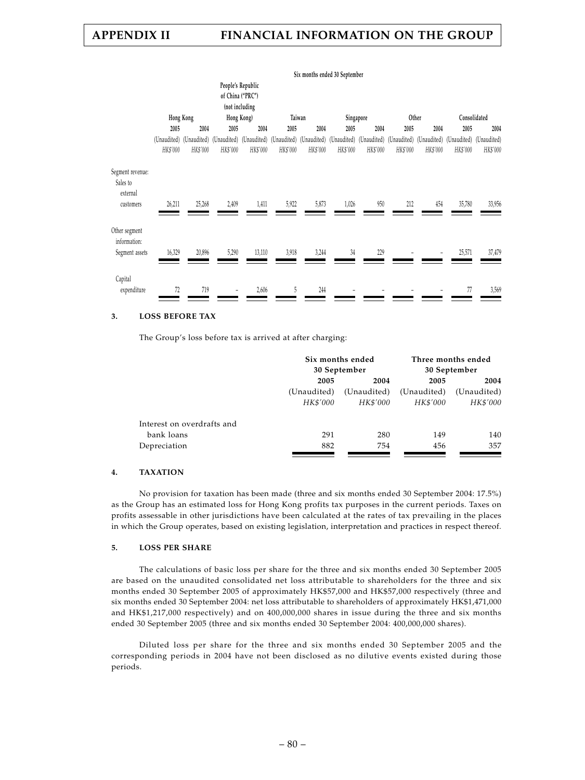|                                                       |                         |           |                                                                                                                                                 |                                                                       |          |          | Six months ended 30 September |          |          |          |              |          |
|-------------------------------------------------------|-------------------------|-----------|-------------------------------------------------------------------------------------------------------------------------------------------------|-----------------------------------------------------------------------|----------|----------|-------------------------------|----------|----------|----------|--------------|----------|
|                                                       |                         | Hong Kong |                                                                                                                                                 | People's Republic<br>of China ("PRC")<br>(not including<br>Hong Kong) |          | Taiwan   | Singapore                     |          |          | Other    | Consolidated |          |
|                                                       | 2005                    | 2004      | 2005                                                                                                                                            | 2004                                                                  | 2005     | 2004     | 2005                          | 2004     | 2005     | 2004     | 2005         | 2004     |
|                                                       | (Unaudited)<br>HK\$'000 | HK\$'000  | (Unaudited) (Unaudited) (Unaudited) (Unaudited) (Unaudited) (Unaudited) (Unaudited) (Unaudited) (Unaudited) (Unaudited) (Unaudited)<br>HK\$'000 | HK\$'000                                                              | HK\$'000 | HK\$'000 | HK\$'000                      | HK\$'000 | HK\$'000 | HK\$'000 | HK\$'000     | HK\$'000 |
| Segment revenue:<br>Sales to<br>external<br>customers | 26,211                  | 25,268    | 2,409                                                                                                                                           | 1,411                                                                 | 5,922    | 5,873    | 1,026                         | 950      | 212      | 454      | 35,780       | 33,956   |
| Other segment<br>information:<br>Segment assets       | 16,329                  | 20,896    | 5,290                                                                                                                                           | 13,110                                                                | 3,918    | 3,244    | 34                            | 229      |          |          | 25,571       | 37,479   |
| Capital<br>expenditure                                | 72                      | 719       |                                                                                                                                                 | 2,606                                                                 | 5        | 244      |                               |          |          |          | 77           | 3,569    |

#### **3. LOSS BEFORE TAX**

The Group's loss before tax is arrived at after charging:

|                            |              | Six months ended | Three months ended |              |  |
|----------------------------|--------------|------------------|--------------------|--------------|--|
|                            |              | 30 September     |                    | 30 September |  |
|                            | 2005<br>2004 |                  | 2005               | 2004         |  |
|                            | (Unaudited)  | (Unaudited)      | (Unaudited)        | (Unaudited)  |  |
|                            | HK\$'000     | HK\$'000         | HK\$'000           | HK\$'000     |  |
| Interest on overdrafts and |              |                  |                    |              |  |
| bank loans                 | 291          | 280              | 149                | 140          |  |
| Depreciation               | 882          | 754              | 456                | 357          |  |

#### **4. TAXATION**

No provision for taxation has been made (three and six months ended 30 September 2004: 17.5%) as the Group has an estimated loss for Hong Kong profits tax purposes in the current periods. Taxes on profits assessable in other jurisdictions have been calculated at the rates of tax prevailing in the places in which the Group operates, based on existing legislation, interpretation and practices in respect thereof.

#### **5. LOSS PER SHARE**

The calculations of basic loss per share for the three and six months ended 30 September 2005 are based on the unaudited consolidated net loss attributable to shareholders for the three and six months ended 30 September 2005 of approximately HK\$57,000 and HK\$57,000 respectively (three and six months ended 30 September 2004: net loss attributable to shareholders of approximately HK\$1,471,000 and HK\$1,217,000 respectively) and on 400,000,000 shares in issue during the three and six months ended 30 September 2005 (three and six months ended 30 September 2004: 400,000,000 shares).

Diluted loss per share for the three and six months ended 30 September 2005 and the corresponding periods in 2004 have not been disclosed as no dilutive events existed during those periods.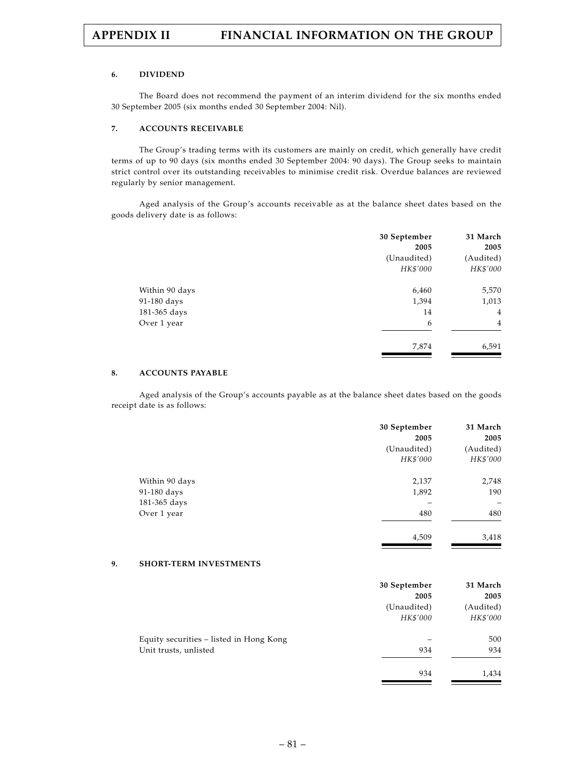#### **6. DIVIDEND**

The Board does not recommend the payment of an interim dividend for the six months ended 30 September 2005 (six months ended 30 September 2004: Nil).

#### **7. ACCOUNTS RECEIVABLE**

The Group's trading terms with its customers are mainly on credit, which generally have credit terms of up to 90 days (six months ended 30 September 2004: 90 days). The Group seeks to maintain strict control over its outstanding receivables to minimise credit risk. Overdue balances are reviewed regularly by senior management.

Aged analysis of the Group's accounts receivable as at the balance sheet dates based on the goods delivery date is as follows:

|                | 30 September<br>2005 | 31 March<br>2005 |
|----------------|----------------------|------------------|
|                | (Unaudited)          | (Audited)        |
|                | HK\$'000             | HK\$'000         |
| Within 90 days | 6,460                | 5,570            |
| 91-180 days    | 1,394                | 1,013            |
| 181-365 days   | 14                   | 4                |
| Over 1 year    | 6                    | 4                |
|                | 7,874                | 6,591            |

#### **8. ACCOUNTS PAYABLE**

Aged analysis of the Group's accounts payable as at the balance sheet dates based on the goods receipt date is as follows:

|                | 30 September | 31 March  |
|----------------|--------------|-----------|
|                | 2005         | 2005      |
|                | (Unaudited)  | (Audited) |
|                | HK\$'000     | HK\$'000  |
| Within 90 days | 2,137        | 2,748     |
| 91-180 days    | 1,892        | 190       |
| 181-365 days   |              | -         |
| Over 1 year    | 480          | 480       |
|                | 4,509        | 3,418     |

## **9. SHORT-TERM INVESTMENTS**

|                                         | 30 September<br>2005 | 31 March<br>2005 |
|-----------------------------------------|----------------------|------------------|
|                                         | (Unaudited)          | (Audited)        |
|                                         | HK\$'000             | HK\$'000         |
| Equity securities – listed in Hong Kong |                      | 500              |
| Unit trusts, unlisted                   | 934                  | 934              |
|                                         | 934                  | 1,434            |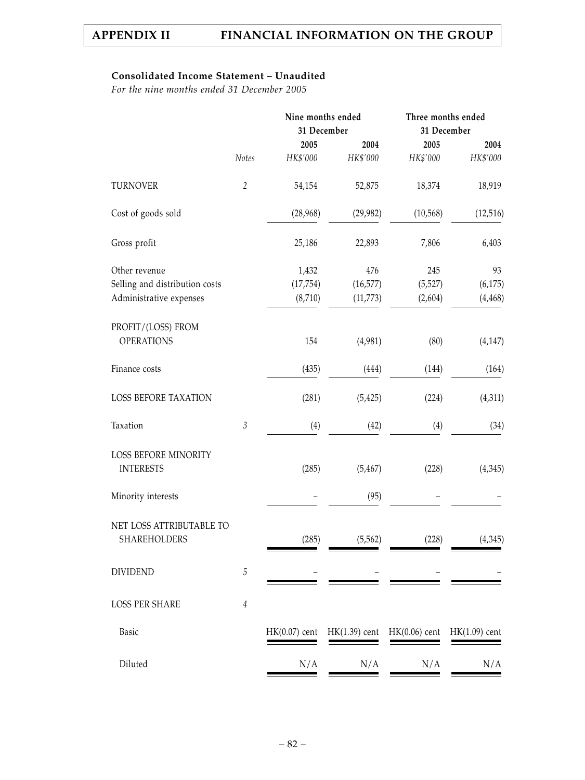# **Consolidated Income Statement – Unaudited**

*For the nine months ended 31 December 2005*

|                                          |                | Nine months ended<br>31 December |                 | Three months ended<br>31 December |                 |
|------------------------------------------|----------------|----------------------------------|-----------------|-----------------------------------|-----------------|
|                                          |                | 2005                             | 2004            | 2005                              | 2004            |
|                                          | Notes          | HK\$'000                         | HK\$'000        | HK\$'000                          | HK\$'000        |
| <b>TURNOVER</b>                          | $\overline{2}$ | 54,154                           | 52,875          | 18,374                            | 18,919          |
| Cost of goods sold                       |                | (28,968)                         | (29, 982)       | (10, 568)                         | (12, 516)       |
| Gross profit                             |                | 25,186                           | 22,893          | 7,806                             | 6,403           |
| Other revenue                            |                | 1,432                            | 476             | 245                               | 93              |
| Selling and distribution costs           |                | (17, 754)                        | (16, 577)       | (5, 527)                          | (6, 175)        |
| Administrative expenses                  |                | (8,710)                          | (11, 773)       | (2,604)                           | (4, 468)        |
| PROFIT/(LOSS) FROM                       |                |                                  |                 |                                   |                 |
| <b>OPERATIONS</b>                        |                | 154                              | (4,981)         | (80)                              | (4, 147)        |
| Finance costs                            |                | (435)                            | (444)           | (144)                             | (164)           |
| LOSS BEFORE TAXATION                     |                | (281)                            | (5, 425)        | (224)                             | (4,311)         |
| Taxation                                 | $\mathfrak{Z}$ | (4)                              | (42)            | (4)                               | (34)            |
| LOSS BEFORE MINORITY<br><b>INTERESTS</b> |                | (285)                            | (5, 467)        | (228)                             | (4,345)         |
| Minority interests                       |                |                                  | (95)            |                                   |                 |
| NET LOSS ATTRIBUTABLE TO                 |                |                                  |                 |                                   |                 |
| <b>SHAREHOLDERS</b>                      |                | (285)                            | (5, 562)        | (228)                             | (4, 345)        |
| <b>DIVIDEND</b>                          | 5              |                                  |                 |                                   |                 |
| <b>LOSS PER SHARE</b>                    | $\it 4$        |                                  |                 |                                   |                 |
| Basic                                    |                | $HK(0.07)$ cent                  | $HK(1.39)$ cent | $HK(0.06)$ cent                   | $HK(1.09)$ cent |
| Diluted                                  |                | N/A                              | N/A             | N/A                               | N/A             |
|                                          |                |                                  |                 |                                   |                 |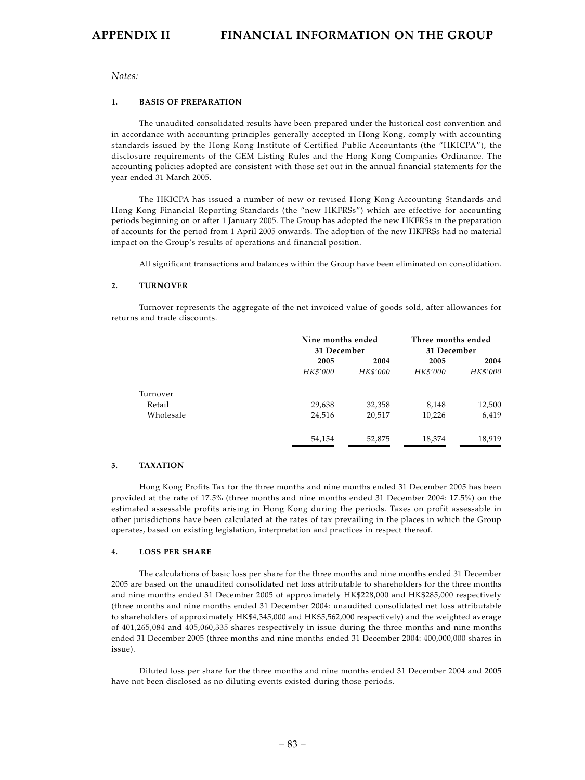*Notes:*

#### **1. BASIS OF PREPARATION**

The unaudited consolidated results have been prepared under the historical cost convention and in accordance with accounting principles generally accepted in Hong Kong, comply with accounting standards issued by the Hong Kong Institute of Certified Public Accountants (the "HKICPA"), the disclosure requirements of the GEM Listing Rules and the Hong Kong Companies Ordinance. The accounting policies adopted are consistent with those set out in the annual financial statements for the year ended 31 March 2005.

The HKICPA has issued a number of new or revised Hong Kong Accounting Standards and Hong Kong Financial Reporting Standards (the "new HKFRSs") which are effective for accounting periods beginning on or after 1 January 2005. The Group has adopted the new HKFRSs in the preparation of accounts for the period from 1 April 2005 onwards. The adoption of the new HKFRSs had no material impact on the Group's results of operations and financial position.

All significant transactions and balances within the Group have been eliminated on consolidation.

#### **2. TURNOVER**

Turnover represents the aggregate of the net invoiced value of goods sold, after allowances for returns and trade discounts.

|          | Nine months ended<br>31 December |          | Three months ended<br>31 December |  |
|----------|----------------------------------|----------|-----------------------------------|--|
| 2005     | 2004                             | 2005     | 2004                              |  |
| HK\$'000 | HK\$'000                         | HK\$'000 | HK\$'000                          |  |
|          |                                  |          |                                   |  |
| 29,638   | 32,358                           | 8,148    | 12,500                            |  |
| 24,516   | 20,517                           | 10,226   | 6,419                             |  |
| 54,154   | 52,875                           | 18,374   | 18,919                            |  |
|          |                                  |          |                                   |  |

#### **3. TAXATION**

Hong Kong Profits Tax for the three months and nine months ended 31 December 2005 has been provided at the rate of 17.5% (three months and nine months ended 31 December 2004: 17.5%) on the estimated assessable profits arising in Hong Kong during the periods. Taxes on profit assessable in other jurisdictions have been calculated at the rates of tax prevailing in the places in which the Group operates, based on existing legislation, interpretation and practices in respect thereof.

#### **4. LOSS PER SHARE**

The calculations of basic loss per share for the three months and nine months ended 31 December 2005 are based on the unaudited consolidated net loss attributable to shareholders for the three months and nine months ended 31 December 2005 of approximately HK\$228,000 and HK\$285,000 respectively (three months and nine months ended 31 December 2004: unaudited consolidated net loss attributable to shareholders of approximately HK\$4,345,000 and HK\$5,562,000 respectively) and the weighted average of 401,265,084 and 405,060,335 shares respectively in issue during the three months and nine months ended 31 December 2005 (three months and nine months ended 31 December 2004: 400,000,000 shares in issue).

Diluted loss per share for the three months and nine months ended 31 December 2004 and 2005 have not been disclosed as no diluting events existed during those periods.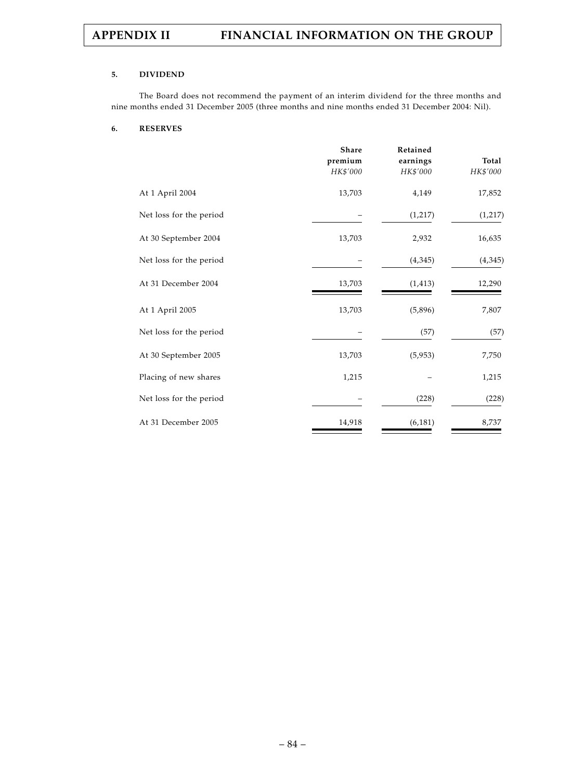#### **5. DIVIDEND**

The Board does not recommend the payment of an interim dividend for the three months and nine months ended 31 December 2005 (three months and nine months ended 31 December 2004: Nil).

#### **6. RESERVES**

|                         | <b>Share</b><br>premium<br>HK\$'000 | Retained<br>earnings<br>HK\$'000 | Total<br>HK\$'000 |
|-------------------------|-------------------------------------|----------------------------------|-------------------|
| At 1 April 2004         | 13,703                              | 4,149                            | 17,852            |
| Net loss for the period |                                     | (1,217)                          | (1,217)           |
| At 30 September 2004    | 13,703                              | 2,932                            | 16,635            |
| Net loss for the period |                                     | (4,345)                          | (4,345)           |
| At 31 December 2004     | 13,703                              | (1, 413)                         | 12,290            |
| At 1 April 2005         | 13,703                              | (5,896)                          | 7,807             |
| Net loss for the period |                                     | (57)                             | (57)              |
| At 30 September 2005    | 13,703                              | (5,953)                          | 7,750             |
| Placing of new shares   | 1,215                               |                                  | 1,215             |
| Net loss for the period |                                     | (228)                            | (228)             |
| At 31 December 2005     | 14,918                              | (6, 181)                         | 8,737             |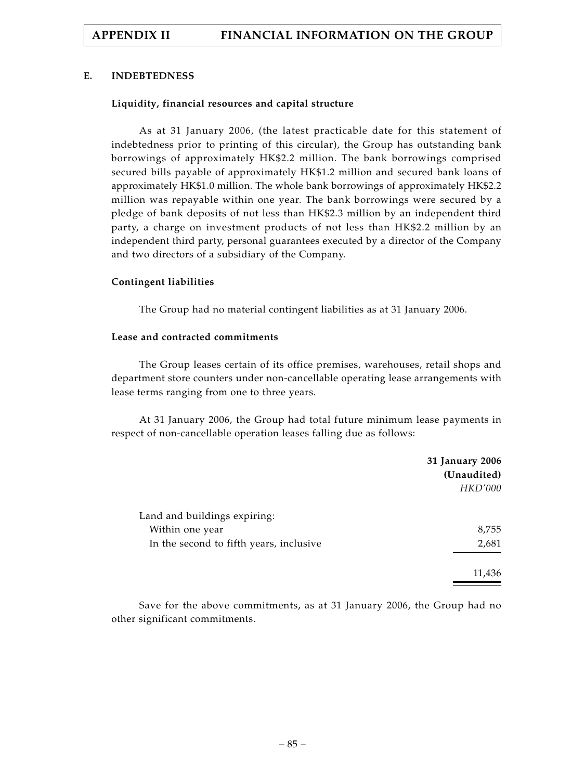### **E. INDEBTEDNESS**

### **Liquidity, financial resources and capital structure**

As at 31 January 2006, (the latest practicable date for this statement of indebtedness prior to printing of this circular), the Group has outstanding bank borrowings of approximately HK\$2.2 million. The bank borrowings comprised secured bills payable of approximately HK\$1.2 million and secured bank loans of approximately HK\$1.0 million. The whole bank borrowings of approximately HK\$2.2 million was repayable within one year. The bank borrowings were secured by a pledge of bank deposits of not less than HK\$2.3 million by an independent third party, a charge on investment products of not less than HK\$2.2 million by an independent third party, personal guarantees executed by a director of the Company and two directors of a subsidiary of the Company.

### **Contingent liabilities**

The Group had no material contingent liabilities as at 31 January 2006.

### **Lease and contracted commitments**

The Group leases certain of its office premises, warehouses, retail shops and department store counters under non-cancellable operating lease arrangements with lease terms ranging from one to three years.

At 31 January 2006, the Group had total future minimum lease payments in respect of non-cancellable operation leases falling due as follows:

|                                         | 31 January 2006 |
|-----------------------------------------|-----------------|
|                                         | (Unaudited)     |
|                                         | <b>HKD'000</b>  |
| Land and buildings expiring:            |                 |
| Within one year                         | 8,755           |
| In the second to fifth years, inclusive | 2,681           |
|                                         | 11,436          |

Save for the above commitments, as at 31 January 2006, the Group had no other significant commitments.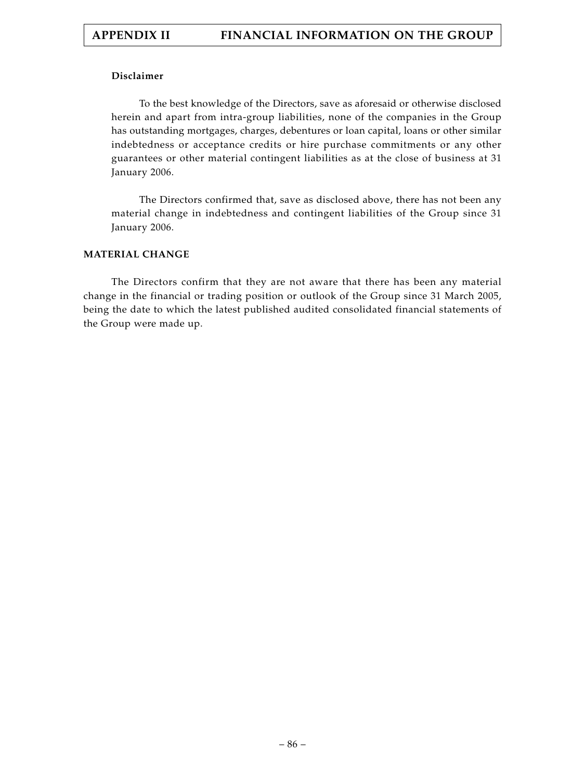# **Disclaimer**

To the best knowledge of the Directors, save as aforesaid or otherwise disclosed herein and apart from intra-group liabilities, none of the companies in the Group has outstanding mortgages, charges, debentures or loan capital, loans or other similar indebtedness or acceptance credits or hire purchase commitments or any other guarantees or other material contingent liabilities as at the close of business at 31 January 2006.

The Directors confirmed that, save as disclosed above, there has not been any material change in indebtedness and contingent liabilities of the Group since 31 January 2006.

# **MATERIAL CHANGE**

The Directors confirm that they are not aware that there has been any material change in the financial or trading position or outlook of the Group since 31 March 2005, being the date to which the latest published audited consolidated financial statements of the Group were made up.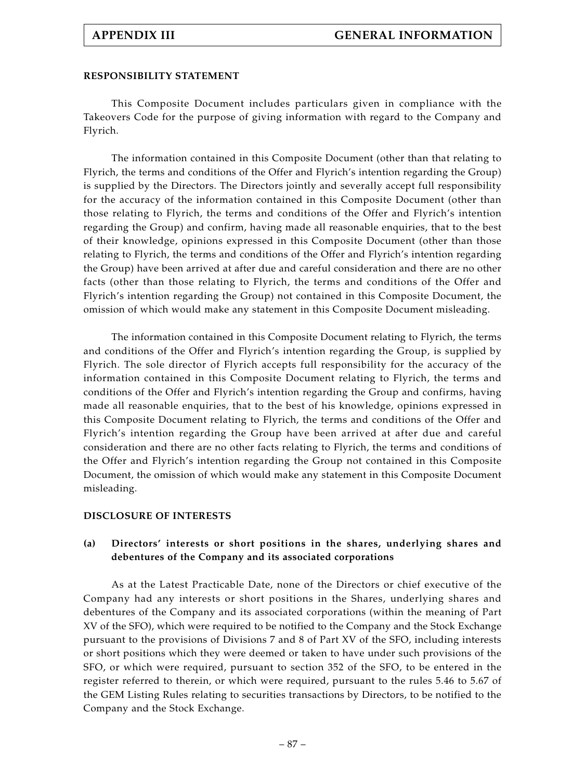## **RESPONSIBILITY STATEMENT**

This Composite Document includes particulars given in compliance with the Takeovers Code for the purpose of giving information with regard to the Company and Flyrich.

The information contained in this Composite Document (other than that relating to Flyrich, the terms and conditions of the Offer and Flyrich's intention regarding the Group) is supplied by the Directors. The Directors jointly and severally accept full responsibility for the accuracy of the information contained in this Composite Document (other than those relating to Flyrich, the terms and conditions of the Offer and Flyrich's intention regarding the Group) and confirm, having made all reasonable enquiries, that to the best of their knowledge, opinions expressed in this Composite Document (other than those relating to Flyrich, the terms and conditions of the Offer and Flyrich's intention regarding the Group) have been arrived at after due and careful consideration and there are no other facts (other than those relating to Flyrich, the terms and conditions of the Offer and Flyrich's intention regarding the Group) not contained in this Composite Document, the omission of which would make any statement in this Composite Document misleading.

The information contained in this Composite Document relating to Flyrich, the terms and conditions of the Offer and Flyrich's intention regarding the Group, is supplied by Flyrich. The sole director of Flyrich accepts full responsibility for the accuracy of the information contained in this Composite Document relating to Flyrich, the terms and conditions of the Offer and Flyrich's intention regarding the Group and confirms, having made all reasonable enquiries, that to the best of his knowledge, opinions expressed in this Composite Document relating to Flyrich, the terms and conditions of the Offer and Flyrich's intention regarding the Group have been arrived at after due and careful consideration and there are no other facts relating to Flyrich, the terms and conditions of the Offer and Flyrich's intention regarding the Group not contained in this Composite Document, the omission of which would make any statement in this Composite Document misleading.

#### **DISCLOSURE OF INTERESTS**

# **(a) Directors' interests or short positions in the shares, underlying shares and debentures of the Company and its associated corporations**

As at the Latest Practicable Date, none of the Directors or chief executive of the Company had any interests or short positions in the Shares, underlying shares and debentures of the Company and its associated corporations (within the meaning of Part XV of the SFO), which were required to be notified to the Company and the Stock Exchange pursuant to the provisions of Divisions 7 and 8 of Part XV of the SFO, including interests or short positions which they were deemed or taken to have under such provisions of the SFO, or which were required, pursuant to section 352 of the SFO, to be entered in the register referred to therein, or which were required, pursuant to the rules 5.46 to 5.67 of the GEM Listing Rules relating to securities transactions by Directors, to be notified to the Company and the Stock Exchange.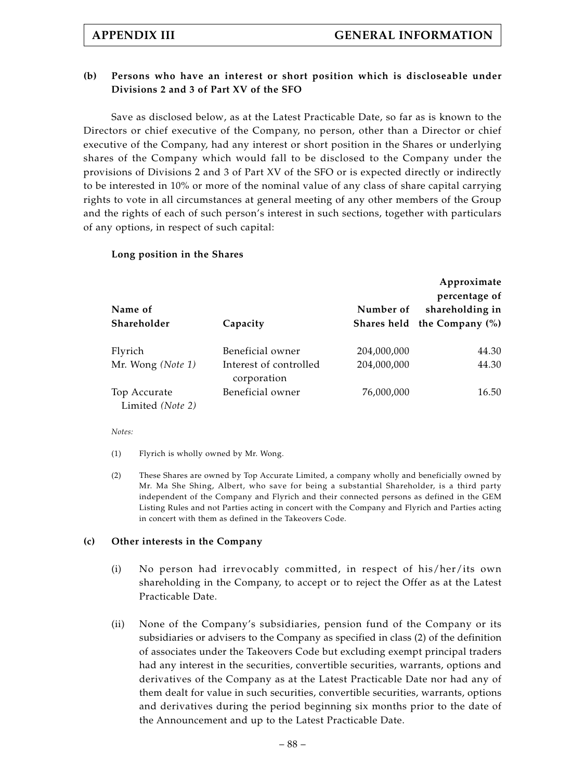# **(b) Persons who have an interest or short position which is discloseable under Divisions 2 and 3 of Part XV of the SFO**

Save as disclosed below, as at the Latest Practicable Date, so far as is known to the Directors or chief executive of the Company, no person, other than a Director or chief executive of the Company, had any interest or short position in the Shares or underlying shares of the Company which would fall to be disclosed to the Company under the provisions of Divisions 2 and 3 of Part XV of the SFO or is expected directly or indirectly to be interested in 10% or more of the nominal value of any class of share capital carrying rights to vote in all circumstances at general meeting of any other members of the Group and the rights of each of such person's interest in such sections, together with particulars of any options, in respect of such capital:

# **Long position in the Shares**

|                   |                                       |             | Approximate<br>percentage of |
|-------------------|---------------------------------------|-------------|------------------------------|
| Name of           |                                       | Number of   | shareholding in              |
| Shareholder       | Capacity                              |             | Shares held the Company (%)  |
| Flyrich           | Beneficial owner                      | 204,000,000 | 44.30                        |
| Mr. Wong (Note 1) | Interest of controlled<br>corporation | 204,000,000 | 44.30                        |
| Top Accurate      | Beneficial owner                      | 76,000,000  | 16.50                        |
| Limited (Note 2)  |                                       |             |                              |

*Notes:*

(1) Flyrich is wholly owned by Mr. Wong.

(2) These Shares are owned by Top Accurate Limited, a company wholly and beneficially owned by Mr. Ma She Shing, Albert, who save for being a substantial Shareholder, is a third party independent of the Company and Flyrich and their connected persons as defined in the GEM Listing Rules and not Parties acting in concert with the Company and Flyrich and Parties acting in concert with them as defined in the Takeovers Code.

## **(c) Other interests in the Company**

- (i) No person had irrevocably committed, in respect of his/her/its own shareholding in the Company, to accept or to reject the Offer as at the Latest Practicable Date.
- (ii) None of the Company's subsidiaries, pension fund of the Company or its subsidiaries or advisers to the Company as specified in class (2) of the definition of associates under the Takeovers Code but excluding exempt principal traders had any interest in the securities, convertible securities, warrants, options and derivatives of the Company as at the Latest Practicable Date nor had any of them dealt for value in such securities, convertible securities, warrants, options and derivatives during the period beginning six months prior to the date of the Announcement and up to the Latest Practicable Date.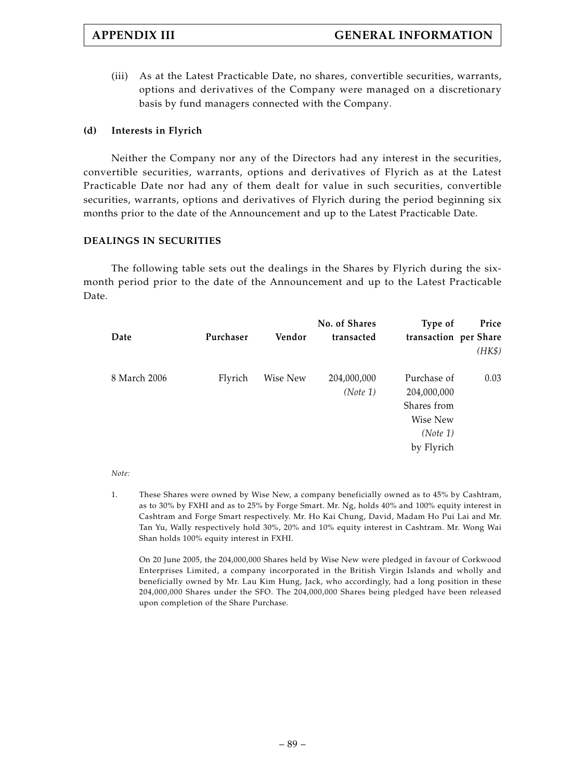(iii) As at the Latest Practicable Date, no shares, convertible securities, warrants, options and derivatives of the Company were managed on a discretionary basis by fund managers connected with the Company.

# **(d) Interests in Flyrich**

Neither the Company nor any of the Directors had any interest in the securities, convertible securities, warrants, options and derivatives of Flyrich as at the Latest Practicable Date nor had any of them dealt for value in such securities, convertible securities, warrants, options and derivatives of Flyrich during the period beginning six months prior to the date of the Announcement and up to the Latest Practicable Date.

# **DEALINGS IN SECURITIES**

The following table sets out the dealings in the Shares by Flyrich during the sixmonth period prior to the date of the Announcement and up to the Latest Practicable Date.

| Date         | Purchaser | Vendor   | No. of Shares<br>transacted | Type of<br>transaction per Share                                                | Price<br>(HK\$) |
|--------------|-----------|----------|-----------------------------|---------------------------------------------------------------------------------|-----------------|
| 8 March 2006 | Flyrich   | Wise New | 204,000,000<br>(Note 1)     | Purchase of<br>204,000,000<br>Shares from<br>Wise New<br>(Note 1)<br>by Flyrich | 0.03            |

## *Note:*

1. These Shares were owned by Wise New, a company beneficially owned as to 45% by Cashtram, as to 30% by FXHI and as to 25% by Forge Smart. Mr. Ng, holds 40% and 100% equity interest in Cashtram and Forge Smart respectively. Mr. Ho Kai Chung, David, Madam Ho Pui Lai and Mr. Tan Yu, Wally respectively hold 30%, 20% and 10% equity interest in Cashtram. Mr. Wong Wai Shan holds 100% equity interest in FXHI.

On 20 June 2005, the 204,000,000 Shares held by Wise New were pledged in favour of Corkwood Enterprises Limited, a company incorporated in the British Virgin Islands and wholly and beneficially owned by Mr. Lau Kim Hung, Jack, who accordingly, had a long position in these 204,000,000 Shares under the SFO. The 204,000,000 Shares being pledged have been released upon completion of the Share Purchase.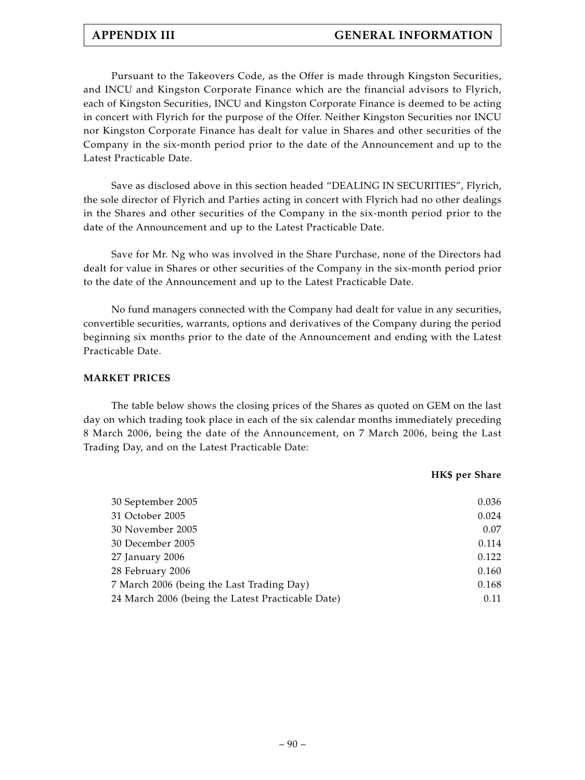# **APPENDIX III GENERAL INFORMATION**

Pursuant to the Takeovers Code, as the Offer is made through Kingston Securities, and INCU and Kingston Corporate Finance which are the financial advisors to Flyrich, each of Kingston Securities, INCU and Kingston Corporate Finance is deemed to be acting in concert with Flyrich for the purpose of the Offer. Neither Kingston Securities nor INCU nor Kingston Corporate Finance has dealt for value in Shares and other securities of the Company in the six-month period prior to the date of the Announcement and up to the Latest Practicable Date.

Save as disclosed above in this section headed "DEALING IN SECURITIES", Flyrich, the sole director of Flyrich and Parties acting in concert with Flyrich had no other dealings in the Shares and other securities of the Company in the six-month period prior to the date of the Announcement and up to the Latest Practicable Date.

Save for Mr. Ng who was involved in the Share Purchase, none of the Directors had dealt for value in Shares or other securities of the Company in the six-month period prior to the date of the Announcement and up to the Latest Practicable Date.

No fund managers connected with the Company had dealt for value in any securities, convertible securities, warrants, options and derivatives of the Company during the period beginning six months prior to the date of the Announcement and ending with the Latest Practicable Date.

# **MARKET PRICES**

The table below shows the closing prices of the Shares as quoted on GEM on the last day on which trading took place in each of the six calendar months immediately preceding 8 March 2006, being the date of the Announcement, on 7 March 2006, being the Last Trading Day, and on the Latest Practicable Date:

# **HK\$ per Share**

| 30 September 2005                                 | 0.036 |
|---------------------------------------------------|-------|
| 31 October 2005                                   | 0.024 |
| 30 November 2005                                  | 0.07  |
| 30 December 2005                                  | 0.114 |
| 27 January 2006                                   | 0.122 |
| 28 February 2006                                  | 0.160 |
| 7 March 2006 (being the Last Trading Day)         | 0.168 |
| 24 March 2006 (being the Latest Practicable Date) | 0.11  |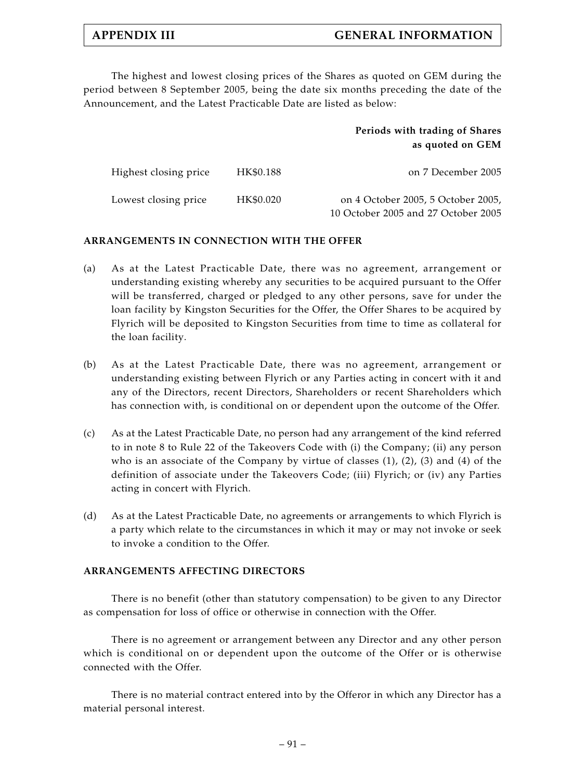The highest and lowest closing prices of the Shares as quoted on GEM during the period between 8 September 2005, being the date six months preceding the date of the Announcement, and the Latest Practicable Date are listed as below:

| Periods with trading of Shares |
|--------------------------------|
| as quoted on GEM               |

| Highest closing price | HK\$0.188 | on 7 December 2005                                                        |
|-----------------------|-----------|---------------------------------------------------------------------------|
| Lowest closing price  | HK\$0.020 | on 4 October 2005, 5 October 2005,<br>10 October 2005 and 27 October 2005 |

# **ARRANGEMENTS IN CONNECTION WITH THE OFFER**

- (a) As at the Latest Practicable Date, there was no agreement, arrangement or understanding existing whereby any securities to be acquired pursuant to the Offer will be transferred, charged or pledged to any other persons, save for under the loan facility by Kingston Securities for the Offer, the Offer Shares to be acquired by Flyrich will be deposited to Kingston Securities from time to time as collateral for the loan facility.
- (b) As at the Latest Practicable Date, there was no agreement, arrangement or understanding existing between Flyrich or any Parties acting in concert with it and any of the Directors, recent Directors, Shareholders or recent Shareholders which has connection with, is conditional on or dependent upon the outcome of the Offer.
- (c) As at the Latest Practicable Date, no person had any arrangement of the kind referred to in note 8 to Rule 22 of the Takeovers Code with (i) the Company; (ii) any person who is an associate of the Company by virtue of classes  $(1)$ ,  $(2)$ ,  $(3)$  and  $(4)$  of the definition of associate under the Takeovers Code; (iii) Flyrich; or (iv) any Parties acting in concert with Flyrich.
- (d) As at the Latest Practicable Date, no agreements or arrangements to which Flyrich is a party which relate to the circumstances in which it may or may not invoke or seek to invoke a condition to the Offer.

# **ARRANGEMENTS AFFECTING DIRECTORS**

There is no benefit (other than statutory compensation) to be given to any Director as compensation for loss of office or otherwise in connection with the Offer.

There is no agreement or arrangement between any Director and any other person which is conditional on or dependent upon the outcome of the Offer or is otherwise connected with the Offer.

There is no material contract entered into by the Offeror in which any Director has a material personal interest.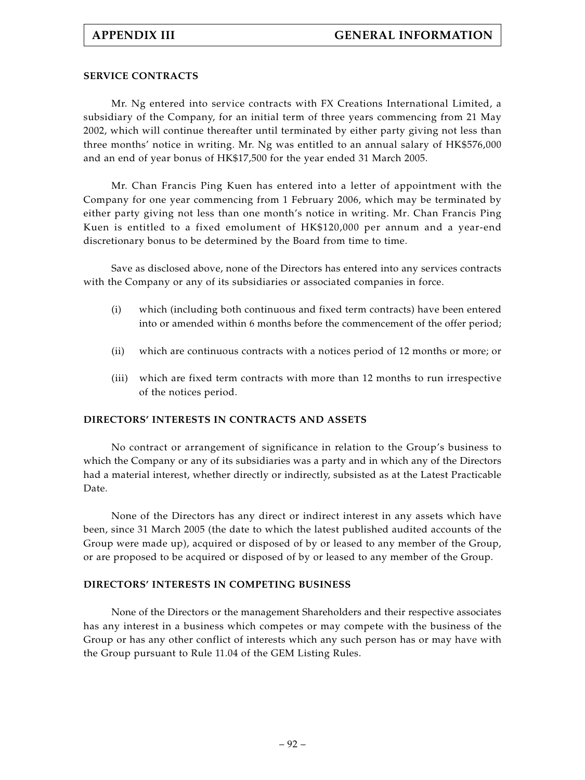## **SERVICE CONTRACTS**

Mr. Ng entered into service contracts with FX Creations International Limited, a subsidiary of the Company, for an initial term of three years commencing from 21 May 2002, which will continue thereafter until terminated by either party giving not less than three months' notice in writing. Mr. Ng was entitled to an annual salary of HK\$576,000 and an end of year bonus of HK\$17,500 for the year ended 31 March 2005.

Mr. Chan Francis Ping Kuen has entered into a letter of appointment with the Company for one year commencing from 1 February 2006, which may be terminated by either party giving not less than one month's notice in writing. Mr. Chan Francis Ping Kuen is entitled to a fixed emolument of HK\$120,000 per annum and a year-end discretionary bonus to be determined by the Board from time to time.

Save as disclosed above, none of the Directors has entered into any services contracts with the Company or any of its subsidiaries or associated companies in force.

- (i) which (including both continuous and fixed term contracts) have been entered into or amended within 6 months before the commencement of the offer period;
- (ii) which are continuous contracts with a notices period of 12 months or more; or
- (iii) which are fixed term contracts with more than 12 months to run irrespective of the notices period.

## **DIRECTORS' INTERESTS IN CONTRACTS AND ASSETS**

No contract or arrangement of significance in relation to the Group's business to which the Company or any of its subsidiaries was a party and in which any of the Directors had a material interest, whether directly or indirectly, subsisted as at the Latest Practicable Date.

None of the Directors has any direct or indirect interest in any assets which have been, since 31 March 2005 (the date to which the latest published audited accounts of the Group were made up), acquired or disposed of by or leased to any member of the Group, or are proposed to be acquired or disposed of by or leased to any member of the Group.

## **DIRECTORS' INTERESTS IN COMPETING BUSINESS**

None of the Directors or the management Shareholders and their respective associates has any interest in a business which competes or may compete with the business of the Group or has any other conflict of interests which any such person has or may have with the Group pursuant to Rule 11.04 of the GEM Listing Rules.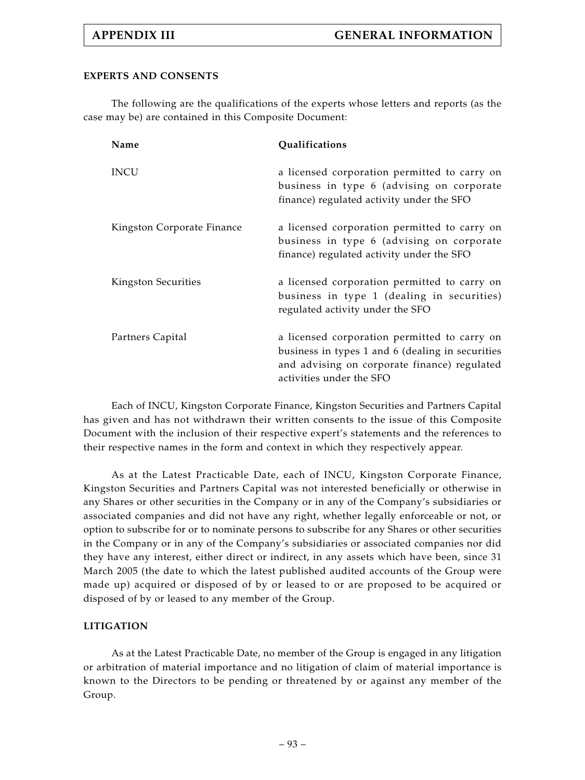# **EXPERTS AND CONSENTS**

The following are the qualifications of the experts whose letters and reports (as the case may be) are contained in this Composite Document:

| Name                       | Qualifications                                                                                                                                                               |
|----------------------------|------------------------------------------------------------------------------------------------------------------------------------------------------------------------------|
| <b>INCU</b>                | a licensed corporation permitted to carry on<br>business in type 6 (advising on corporate<br>finance) regulated activity under the SFO                                       |
| Kingston Corporate Finance | a licensed corporation permitted to carry on<br>business in type 6 (advising on corporate<br>finance) regulated activity under the SFO                                       |
| Kingston Securities        | a licensed corporation permitted to carry on<br>business in type 1 (dealing in securities)<br>regulated activity under the SFO                                               |
| Partners Capital           | a licensed corporation permitted to carry on<br>business in types 1 and 6 (dealing in securities<br>and advising on corporate finance) regulated<br>activities under the SFO |

Each of INCU, Kingston Corporate Finance, Kingston Securities and Partners Capital has given and has not withdrawn their written consents to the issue of this Composite Document with the inclusion of their respective expert's statements and the references to their respective names in the form and context in which they respectively appear.

As at the Latest Practicable Date, each of INCU, Kingston Corporate Finance, Kingston Securities and Partners Capital was not interested beneficially or otherwise in any Shares or other securities in the Company or in any of the Company's subsidiaries or associated companies and did not have any right, whether legally enforceable or not, or option to subscribe for or to nominate persons to subscribe for any Shares or other securities in the Company or in any of the Company's subsidiaries or associated companies nor did they have any interest, either direct or indirect, in any assets which have been, since 31 March 2005 (the date to which the latest published audited accounts of the Group were made up) acquired or disposed of by or leased to or are proposed to be acquired or disposed of by or leased to any member of the Group.

# **LITIGATION**

As at the Latest Practicable Date, no member of the Group is engaged in any litigation or arbitration of material importance and no litigation of claim of material importance is known to the Directors to be pending or threatened by or against any member of the Group.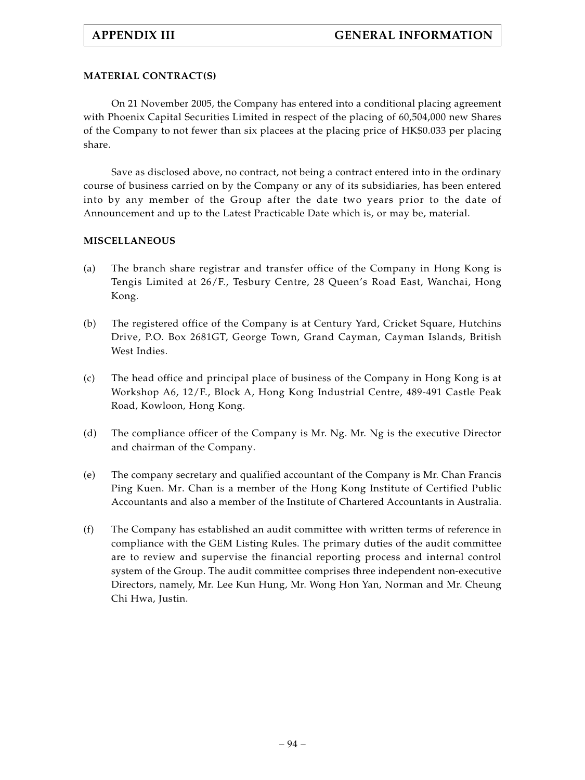# **MATERIAL CONTRACT(S)**

On 21 November 2005, the Company has entered into a conditional placing agreement with Phoenix Capital Securities Limited in respect of the placing of 60,504,000 new Shares of the Company to not fewer than six placees at the placing price of HK\$0.033 per placing share.

Save as disclosed above, no contract, not being a contract entered into in the ordinary course of business carried on by the Company or any of its subsidiaries, has been entered into by any member of the Group after the date two years prior to the date of Announcement and up to the Latest Practicable Date which is, or may be, material.

# **MISCELLANEOUS**

- (a) The branch share registrar and transfer office of the Company in Hong Kong is Tengis Limited at 26/F., Tesbury Centre, 28 Queen's Road East, Wanchai, Hong Kong.
- (b) The registered office of the Company is at Century Yard, Cricket Square, Hutchins Drive, P.O. Box 2681GT, George Town, Grand Cayman, Cayman Islands, British West Indies.
- (c) The head office and principal place of business of the Company in Hong Kong is at Workshop A6, 12/F., Block A, Hong Kong Industrial Centre, 489-491 Castle Peak Road, Kowloon, Hong Kong.
- (d) The compliance officer of the Company is Mr. Ng. Mr. Ng is the executive Director and chairman of the Company.
- (e) The company secretary and qualified accountant of the Company is Mr. Chan Francis Ping Kuen. Mr. Chan is a member of the Hong Kong Institute of Certified Public Accountants and also a member of the Institute of Chartered Accountants in Australia.
- (f) The Company has established an audit committee with written terms of reference in compliance with the GEM Listing Rules. The primary duties of the audit committee are to review and supervise the financial reporting process and internal control system of the Group. The audit committee comprises three independent non-executive Directors, namely, Mr. Lee Kun Hung, Mr. Wong Hon Yan, Norman and Mr. Cheung Chi Hwa, Justin.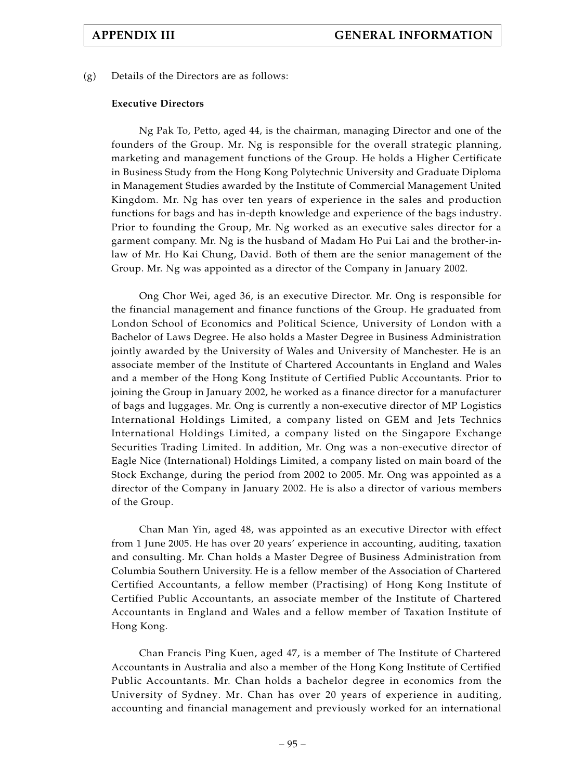(g) Details of the Directors are as follows:

### **Executive Directors**

Ng Pak To, Petto, aged 44, is the chairman, managing Director and one of the founders of the Group. Mr. Ng is responsible for the overall strategic planning, marketing and management functions of the Group. He holds a Higher Certificate in Business Study from the Hong Kong Polytechnic University and Graduate Diploma in Management Studies awarded by the Institute of Commercial Management United Kingdom. Mr. Ng has over ten years of experience in the sales and production functions for bags and has in-depth knowledge and experience of the bags industry. Prior to founding the Group, Mr. Ng worked as an executive sales director for a garment company. Mr. Ng is the husband of Madam Ho Pui Lai and the brother-inlaw of Mr. Ho Kai Chung, David. Both of them are the senior management of the Group. Mr. Ng was appointed as a director of the Company in January 2002.

Ong Chor Wei, aged 36, is an executive Director. Mr. Ong is responsible for the financial management and finance functions of the Group. He graduated from London School of Economics and Political Science, University of London with a Bachelor of Laws Degree. He also holds a Master Degree in Business Administration jointly awarded by the University of Wales and University of Manchester. He is an associate member of the Institute of Chartered Accountants in England and Wales and a member of the Hong Kong Institute of Certified Public Accountants. Prior to joining the Group in January 2002, he worked as a finance director for a manufacturer of bags and luggages. Mr. Ong is currently a non-executive director of MP Logistics International Holdings Limited, a company listed on GEM and Jets Technics International Holdings Limited, a company listed on the Singapore Exchange Securities Trading Limited. In addition, Mr. Ong was a non-executive director of Eagle Nice (International) Holdings Limited, a company listed on main board of the Stock Exchange, during the period from 2002 to 2005. Mr. Ong was appointed as a director of the Company in January 2002. He is also a director of various members of the Group.

Chan Man Yin, aged 48, was appointed as an executive Director with effect from 1 June 2005. He has over 20 years' experience in accounting, auditing, taxation and consulting. Mr. Chan holds a Master Degree of Business Administration from Columbia Southern University. He is a fellow member of the Association of Chartered Certified Accountants, a fellow member (Practising) of Hong Kong Institute of Certified Public Accountants, an associate member of the Institute of Chartered Accountants in England and Wales and a fellow member of Taxation Institute of Hong Kong.

Chan Francis Ping Kuen, aged 47, is a member of The Institute of Chartered Accountants in Australia and also a member of the Hong Kong Institute of Certified Public Accountants. Mr. Chan holds a bachelor degree in economics from the University of Sydney. Mr. Chan has over 20 years of experience in auditing, accounting and financial management and previously worked for an international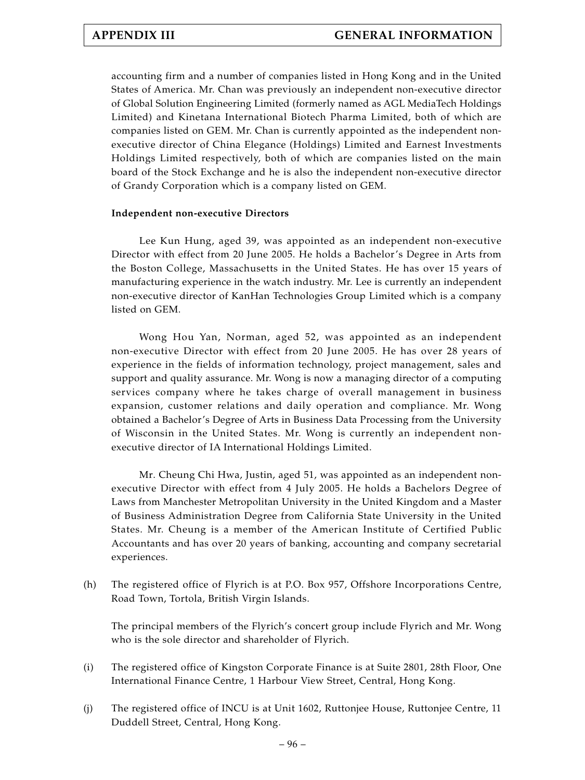accounting firm and a number of companies listed in Hong Kong and in the United States of America. Mr. Chan was previously an independent non-executive director of Global Solution Engineering Limited (formerly named as AGL MediaTech Holdings Limited) and Kinetana International Biotech Pharma Limited, both of which are companies listed on GEM. Mr. Chan is currently appointed as the independent nonexecutive director of China Elegance (Holdings) Limited and Earnest Investments Holdings Limited respectively, both of which are companies listed on the main board of the Stock Exchange and he is also the independent non-executive director of Grandy Corporation which is a company listed on GEM.

# **Independent non-executive Directors**

Lee Kun Hung, aged 39, was appointed as an independent non-executive Director with effect from 20 June 2005. He holds a Bachelor's Degree in Arts from the Boston College, Massachusetts in the United States. He has over 15 years of manufacturing experience in the watch industry. Mr. Lee is currently an independent non-executive director of KanHan Technologies Group Limited which is a company listed on GEM.

Wong Hou Yan, Norman, aged 52, was appointed as an independent non-executive Director with effect from 20 June 2005. He has over 28 years of experience in the fields of information technology, project management, sales and support and quality assurance. Mr. Wong is now a managing director of a computing services company where he takes charge of overall management in business expansion, customer relations and daily operation and compliance. Mr. Wong obtained a Bachelor's Degree of Arts in Business Data Processing from the University of Wisconsin in the United States. Mr. Wong is currently an independent nonexecutive director of IA International Holdings Limited.

Mr. Cheung Chi Hwa, Justin, aged 51, was appointed as an independent nonexecutive Director with effect from 4 July 2005. He holds a Bachelors Degree of Laws from Manchester Metropolitan University in the United Kingdom and a Master of Business Administration Degree from California State University in the United States. Mr. Cheung is a member of the American Institute of Certified Public Accountants and has over 20 years of banking, accounting and company secretarial experiences.

(h) The registered office of Flyrich is at P.O. Box 957, Offshore Incorporations Centre, Road Town, Tortola, British Virgin Islands.

The principal members of the Flyrich's concert group include Flyrich and Mr. Wong who is the sole director and shareholder of Flyrich.

- (i) The registered office of Kingston Corporate Finance is at Suite 2801, 28th Floor, One International Finance Centre, 1 Harbour View Street, Central, Hong Kong.
- (j) The registered office of INCU is at Unit 1602, Ruttonjee House, Ruttonjee Centre, 11 Duddell Street, Central, Hong Kong.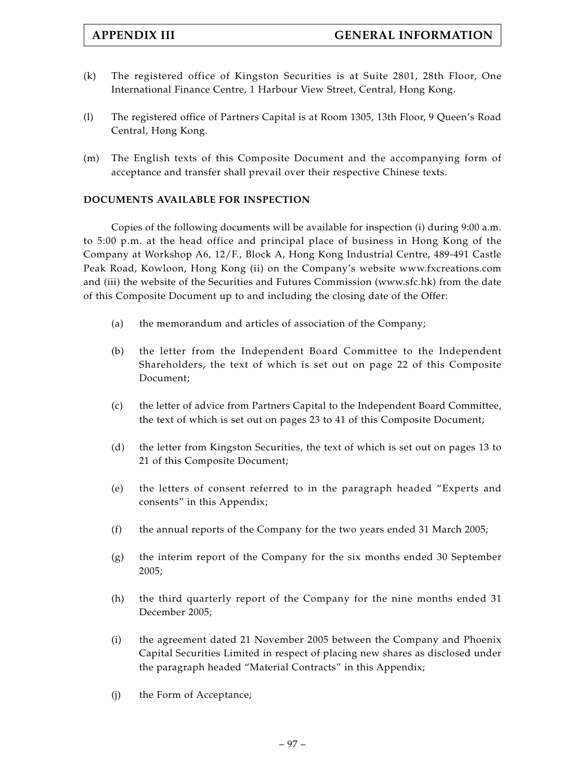- (k) The registered office of Kingston Securities is at Suite 2801, 28th Floor, One International Finance Centre, 1 Harbour View Street, Central, Hong Kong.
- (l) The registered office of Partners Capital is at Room 1305, 13th Floor, 9 Queen's Road Central, Hong Kong.
- (m) The English texts of this Composite Document and the accompanying form of acceptance and transfer shall prevail over their respective Chinese texts.

# **DOCUMENTS AVAILABLE FOR INSPECTION**

Copies of the following documents will be available for inspection (i) during 9:00 a.m. to 5:00 p.m. at the head office and principal place of business in Hong Kong of the Company at Workshop A6, 12/F., Block A, Hong Kong Industrial Centre, 489-491 Castle Peak Road, Kowloon, Hong Kong (ii) on the Company's website www.fxcreations.com and (iii) the website of the Securities and Futures Commission (www.sfc.hk) from the date of this Composite Document up to and including the closing date of the Offer:

- (a) the memorandum and articles of association of the Company;
- (b) the letter from the Independent Board Committee to the Independent Shareholders, the text of which is set out on page 22 of this Composite Document;
- (c) the letter of advice from Partners Capital to the Independent Board Committee, the text of which is set out on pages 23 to 41 of this Composite Document;
- (d) the letter from Kingston Securities, the text of which is set out on pages 13 to 21 of this Composite Document;
- (e) the letters of consent referred to in the paragraph headed "Experts and consents" in this Appendix;
- (f) the annual reports of the Company for the two years ended 31 March 2005;
- (g) the interim report of the Company for the six months ended 30 September 2005;
- (h) the third quarterly report of the Company for the nine months ended 31 December 2005;
- (i) the agreement dated 21 November 2005 between the Company and Phoenix Capital Securities Limited in respect of placing new shares as disclosed under the paragraph headed "Material Contracts" in this Appendix;
- (j) the Form of Acceptance;